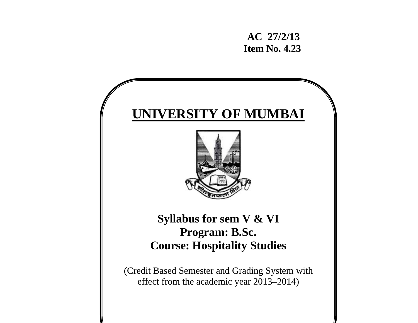**AC 27/2/13 Item No. 4.23** 

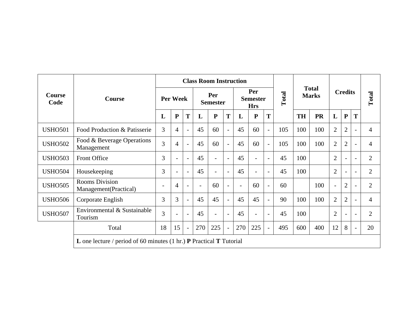|                       | <b>Course</b>                                  |                                                                                            |                          |                          |                          | <b>Class Room Instruction</b> |                          |                                      |                          |                          |       |                              |           |                          |                          |                          |                |
|-----------------------|------------------------------------------------|--------------------------------------------------------------------------------------------|--------------------------|--------------------------|--------------------------|-------------------------------|--------------------------|--------------------------------------|--------------------------|--------------------------|-------|------------------------------|-----------|--------------------------|--------------------------|--------------------------|----------------|
| <b>Course</b><br>Code |                                                | <b>Per Week</b>                                                                            |                          |                          | Per<br><b>Semester</b>   |                               |                          | Per<br><b>Semester</b><br><b>Hrs</b> |                          |                          | Total | <b>Total</b><br><b>Marks</b> |           | <b>Credits</b>           |                          | Total                    |                |
|                       |                                                | L                                                                                          | $\mathbf{P}$             | T                        | L                        | $\mathbf{P}$                  | T                        | L                                    | ${\bf P}$                | T                        |       | <b>TH</b>                    | <b>PR</b> | L                        | ${\bf P}$                | T                        |                |
| <b>USHO501</b>        | Food Production & Patisserie                   |                                                                                            | $\overline{4}$           |                          | 45                       | 60                            | $\overline{\phantom{0}}$ | 45                                   | 60                       | $\blacksquare$           | 105   | 100                          | 100       | $\overline{2}$           | $\overline{2}$           |                          | $\overline{4}$ |
| <b>USHO502</b>        | Food & Beverage Operations<br>Management       |                                                                                            | $\overline{4}$           |                          | 45                       | 60                            | $\overline{\phantom{0}}$ | 45                                   | 60                       | $\overline{\phantom{a}}$ | 105   | 100                          | 100       | $\overline{2}$           | $\overline{2}$           |                          | $\overline{4}$ |
| <b>USHO503</b>        | Front Office                                   |                                                                                            | $\overline{\phantom{a}}$ | $\overline{\phantom{a}}$ | 45                       |                               | $\overline{\phantom{0}}$ | 45                                   | $\overline{\phantom{a}}$ | $\blacksquare$           | 45    | 100                          |           | $\overline{2}$           | $\overline{\phantom{a}}$ | $\blacksquare$           | $\overline{2}$ |
| <b>USHO504</b>        | Housekeeping                                   |                                                                                            | $\blacksquare$           | $\overline{\phantom{a}}$ | 45                       |                               | $\overline{\phantom{a}}$ | 45                                   | $\overline{\phantom{a}}$ | $-$                      | 45    | 100                          |           | $\overline{2}$           | $\overline{\phantom{a}}$ | $\overline{\phantom{a}}$ | $\overline{2}$ |
| <b>USHO505</b>        | <b>Rooms Division</b><br>Management(Practical) | $\overline{a}$                                                                             | $\overline{4}$           |                          | $\overline{\phantom{a}}$ | 60                            | $\overline{\phantom{0}}$ | $\overline{\phantom{0}}$             | 60                       | $\overline{\phantom{a}}$ | 60    |                              | 100       | $\overline{\phantom{a}}$ | $\overline{2}$           |                          | $\overline{2}$ |
| <b>USHO506</b>        | Corporate English                              | 3                                                                                          | $\overline{3}$           | $\overline{\phantom{0}}$ | 45                       | 45                            | $\overline{\phantom{0}}$ | 45                                   | 45                       | $\blacksquare$           | 90    | 100                          | 100       | $\overline{2}$           | $\overline{2}$           |                          | 4              |
| <b>USHO507</b>        | Environmental & Sustainable<br>Tourism         |                                                                                            | $\overline{\phantom{a}}$ | $\overline{\phantom{a}}$ | 45                       |                               | $\overline{\phantom{a}}$ | 45                                   | $\overline{\phantom{a}}$ | $\blacksquare$           | 45    | 100                          |           | $\overline{2}$           | $\overline{\phantom{a}}$ | $\overline{\phantom{a}}$ | $\overline{2}$ |
|                       | Total                                          | 18                                                                                         | 15                       |                          | 270                      | 225                           | $\overline{\phantom{a}}$ | 270                                  | 225                      | $\overline{\phantom{a}}$ | 495   | 600                          | 400       | 12                       | 8                        |                          | 20             |
|                       |                                                | <b>L</b> one lecture / period of 60 minutes $(1 hr.)$ <b>P</b> Practical <b>T</b> Tutorial |                          |                          |                          |                               |                          |                                      |                          |                          |       |                              |           |                          |                          |                          |                |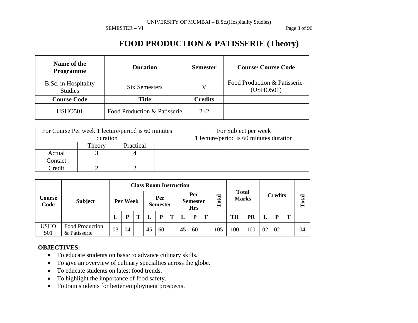SEMESTER – VI Page 3 of 96

# **FOOD PRODUCTION & PATISSERIE (Theory)**

| Name of the<br><b>Programme</b>        | <b>Duration</b>              | <b>Semester</b> | <b>Course/Course Code</b>                  |  |  |  |
|----------------------------------------|------------------------------|-----------------|--------------------------------------------|--|--|--|
| B.Sc. in Hospitality<br><b>Studies</b> | <b>Six Semesters</b>         | V               | Food Production & Patisserie-<br>(USHO501) |  |  |  |
| <b>Course Code</b>                     | <b>Title</b>                 | <b>Credits</b>  |                                            |  |  |  |
| <b>USHO501</b>                         | Food Production & Patisserie | $2 + 2$         |                                            |  |  |  |

|         | For Course Per week 1 lecture/period is 60 minutes |           |                                         | For Subject per week |  |  |  |  |  |
|---------|----------------------------------------------------|-----------|-----------------------------------------|----------------------|--|--|--|--|--|
|         | duration                                           |           | 1 lecture/period is 60 minutes duration |                      |  |  |  |  |  |
|         | Theory                                             | Practical |                                         |                      |  |  |  |  |  |
| Actual  |                                                    |           |                                         |                      |  |  |  |  |  |
| Contact |                                                    |           |                                         |                      |  |  |  |  |  |
| Credit  |                                                    |           |                                         |                      |  |  |  |  |  |

|                    | <b>Subject</b>                         |          | <b>Class Room Instruction</b> |                          |    |                        |                          |    |                                      |                          |           |              |              |    |                |       |    |  |
|--------------------|----------------------------------------|----------|-------------------------------|--------------------------|----|------------------------|--------------------------|----|--------------------------------------|--------------------------|-----------|--------------|--------------|----|----------------|-------|----|--|
| Course<br>Code     |                                        | Per Week |                               |                          |    | Per<br><b>Semester</b> |                          |    | Per<br><b>Semester</b><br><b>Hrs</b> |                          | otal<br>⊢ | <b>Total</b> | <b>Marks</b> |    | <b>Credits</b> | Total |    |  |
|                    |                                        | ⊥        | D                             |                          |    | P                      |                          |    | p                                    | T                        |           | TH           | PR           |    | P              | m     |    |  |
| <b>USHO</b><br>501 | <b>Food Production</b><br>& Patisserie | 03       | 04                            | $\overline{\phantom{0}}$ | 45 | 60                     | $\overline{\phantom{0}}$ | 45 | 60                                   | $\overline{\phantom{a}}$ | 105       | 100          | 100          | 02 | 02             |       | 04 |  |

#### **OBJECTIVES:**

- To educate students on basic to advance culinary skills.
- •To give an overview of culinary specialties across the globe.
- •To educate students on latest food trends.
- •To highlight the importance of food safety.
- To train students for better employment prospects.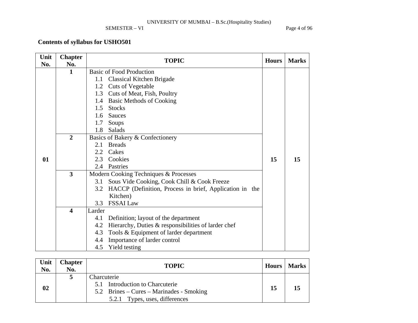SEMESTER – VI Page 4 of 96

## **Contents of syllabus for USHO501**

| Unit | <b>Chapter</b>          | <b>TOPIC</b>                                                   | <b>Hours</b> | <b>Marks</b> |
|------|-------------------------|----------------------------------------------------------------|--------------|--------------|
| No.  | No.                     |                                                                |              |              |
|      | 1                       | <b>Basic of Food Production</b>                                |              |              |
|      |                         | Classical Kitchen Brigade<br>$1.1\,$                           |              |              |
|      |                         | 1.2 Cuts of Vegetable                                          |              |              |
|      |                         | Cuts of Meat, Fish, Poultry<br>1.3                             |              |              |
|      |                         | <b>Basic Methods of Cooking</b><br>1.4                         |              |              |
|      |                         | 1.5<br><b>Stocks</b>                                           |              |              |
|      |                         | 1.6<br>Sauces                                                  |              |              |
|      |                         | 1.7<br>Soups                                                   |              |              |
|      |                         | Salads<br>1.8                                                  |              |              |
|      | $\overline{2}$          | Basics of Bakery & Confectionery                               |              |              |
|      |                         | <b>Breads</b><br>2.1                                           |              |              |
|      |                         | Cakes<br>2.2                                                   |              |              |
| 01   |                         | Cookies<br>2.3                                                 | 15           | 15           |
|      |                         | Pastries<br>2.4                                                |              |              |
|      | $\overline{\mathbf{3}}$ | Modern Cooking Techniques & Processes                          |              |              |
|      |                         | Sous Vide Cooking, Cook Chill & Cook Freeze<br>3.1             |              |              |
|      |                         | HACCP (Definition, Process in brief, Application in the<br>3.2 |              |              |
|      |                         | Kitchen)                                                       |              |              |
|      |                         | <b>FSSAI Law</b><br>3.3                                        |              |              |
|      | $\overline{\mathbf{4}}$ | Larder                                                         |              |              |
|      |                         | Definition; layout of the department<br>4.1                    |              |              |
|      |                         | Hierarchy, Duties & responsibilities of larder chef<br>4.2     |              |              |
|      |                         | Tools & Equipment of larder department<br>4.3                  |              |              |
|      |                         | Importance of larder control<br>4.4                            |              |              |
|      |                         | Yield testing<br>4.5                                           |              |              |

| Unit<br>No. | <b>Chapter</b><br>No. | <b>TOPIC</b>                                                                                                                    |    | Hours   Marks |
|-------------|-----------------------|---------------------------------------------------------------------------------------------------------------------------------|----|---------------|
| 02          |                       | Charcuterie<br>5.1 Introduction to Charcuterie<br>5.2 Brines – Cures – Marinades - Smoking<br>Types, uses, differences<br>5.2.1 | 15 |               |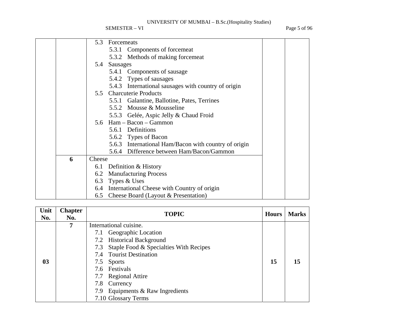SEMESTER – VI Page 5 of 96

|   | 5.3<br>Forcemeats                                    |
|---|------------------------------------------------------|
|   | 5.3.1 Components of forcemeat                        |
|   | 5.3.2 Methods of making forcemeat                    |
|   | Sausages<br>5.4                                      |
|   | 5.4.1 Components of sausage                          |
|   | 5.4.2 Types of sausages                              |
|   | 5.4.3 International sausages with country of origin  |
|   | 5.5 Charcuterie Products                             |
|   | 5.5.1 Galantine, Ballotine, Pates, Terrines          |
|   | 5.5.2 Mousse & Mousseline                            |
|   | 5.5.3 Gelée, Aspic Jelly & Chaud Froid               |
|   | 5.6 Ham - Bacon - Gammon                             |
|   | 5.6.1 Definitions                                    |
|   | 5.6.2 Types of Bacon                                 |
|   | 5.6.3 International Ham/Bacon with country of origin |
|   | 5.6.4 Difference between Ham/Bacon/Gammon            |
| 6 | Cheese                                               |
|   | Definition & History<br>6.1                          |
|   | 6.2 Manufacturing Process                            |
|   | 6.3 Types & Uses                                     |
|   | 6.4 International Cheese with Country of origin      |
|   | 6.5 Cheese Board (Layout & Presentation)             |

| Unit<br>No.    | <b>Chapter</b><br>No. | <b>TOPIC</b>                               | <b>Hours</b> | <b>Marks</b> |
|----------------|-----------------------|--------------------------------------------|--------------|--------------|
|                | 7                     |                                            |              |              |
|                |                       | 7.1 Geographic Location                    |              |              |
|                |                       | 7.2 Historical Background                  |              |              |
|                |                       | 7.3 Staple Food & Specialties With Recipes |              |              |
|                |                       | 7.4 Tourist Destination                    |              |              |
| 0 <sub>3</sub> |                       | 7.5 Sports                                 | 15           | 15           |
|                |                       | 7.6 Festivals                              |              |              |
|                |                       | 7.7 Regional Attire                        |              |              |
|                |                       | 7.8 Currency                               |              |              |
|                |                       | 7.9 Equipments & Raw Ingredients           |              |              |
|                |                       | 7.10 Glossary Terms                        |              |              |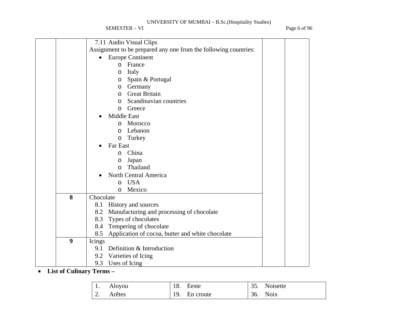SEMESTER – VI Page 6 of 96

|   | 7.11 Audio Visual Clips                                         |  |  |
|---|-----------------------------------------------------------------|--|--|
|   | Assignment to be prepared any one from the following countries: |  |  |
|   | <b>Europe Continent</b><br>$\bullet$                            |  |  |
|   | France<br>$\Omega$                                              |  |  |
|   | Italy<br>O                                                      |  |  |
|   | Spain & Portugal<br>O                                           |  |  |
|   | Germany<br>O                                                    |  |  |
|   | <b>Great Britain</b><br>O                                       |  |  |
|   | Scandinavian countries<br>$\Omega$                              |  |  |
|   | Greece<br>$\Omega$                                              |  |  |
|   | Middle East                                                     |  |  |
|   | Morocco<br>$\circ$                                              |  |  |
|   | Lebanon<br>$\circ$                                              |  |  |
|   | Turkey<br>$\circ$                                               |  |  |
|   | Far East                                                        |  |  |
|   | China<br>$\circ$                                                |  |  |
|   | Japan<br>O                                                      |  |  |
|   | Thailand<br>$\Omega$                                            |  |  |
|   | North Central America                                           |  |  |
|   | <b>USA</b><br>$\circ$                                           |  |  |
|   | Mexico<br>$\circ$                                               |  |  |
| 8 | Chocolate                                                       |  |  |
|   | 8.1 History and sources                                         |  |  |
|   | 8.2 Manufacturing and processing of chocolate                   |  |  |
|   | 8.3 Types of chocolates                                         |  |  |
|   | 8.4 Tempering of chocolate                                      |  |  |
|   | Application of cocoa, butter and white chocolate<br>8.5         |  |  |
| 9 | Icings                                                          |  |  |
|   | 9.1 Definition & Introduction                                   |  |  |
|   | 9.2 Varieties of Icing                                          |  |  |
|   | 9.3 Uses of Icing                                               |  |  |

• **List of Culinary Terms –** 

| $\pm 1$ .        | Aloyou | 18. Eeste     | 35. Noisette |
|------------------|--------|---------------|--------------|
| $\overline{2}$ . | Arêtes | 19. En croute | 36. Noix     |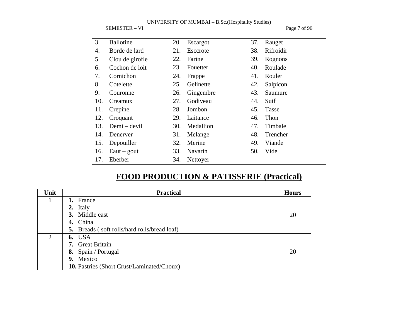SEMESTER – VI Page 7 of 96

| 3.  | <b>Ballotine</b> | 20. | Escargot  | 37. | Rauget       |
|-----|------------------|-----|-----------|-----|--------------|
| 4.  | Borde de lard    | 21. | Esccrote  | 38. | Rifroidir    |
| 5.  | Clou de girofle  | 22. | Farine    | 39. | Rognons      |
| 6.  | Cochon de loit   | 23. | Fouetter  | 40. | Roulade      |
| 7.  | Cornichon        | 24. | Frappe    | 41. | Rouler       |
| 8.  | Cotelette        | 25. | Gelinette | 42. | Salpicon     |
| 9.  | Couronne         | 26. | Gingembre | 43. | Saumure      |
| 10. | Creamux          | 27. | Godiveau  | 44. | Suif         |
| 11. | Crepine          | 28. | Jombon    | 45. | <b>Tasse</b> |
| 12. | Croquant         | 29. | Laitance  | 46. | Thon         |
| 13. | Demi – devil     | 30. | Medallion | 47. | Timbale      |
| 14. | Denerver         | 31. | Melange   | 48. | Trencher     |
| 15. | Depouiller       | 32. | Merine    | 49. | Viande       |
| 16. | $Eaut - gout$    | 33. | Navarin   | 50. | Vide         |
| 17. | Eberber          | 34. | Nettoyer  |     |              |

# **FOOD PRODUCTION & PATISSERIE (Practical)**

| Unit                        | <b>Practical</b>                                    | <b>Hours</b> |
|-----------------------------|-----------------------------------------------------|--------------|
|                             | 1. France                                           |              |
|                             | 2. Italy                                            |              |
|                             | 3. Middle east                                      | 20           |
|                             | 4. China                                            |              |
|                             | <b>5.</b> Breads (soft rolls/hard rolls/bread loaf) |              |
| $\mathcal{D}_{\mathcal{A}}$ | <b>6.</b> USA                                       |              |
|                             | 7. Great Britain                                    |              |
|                             | 8. Spain / Portugal                                 | 20           |
|                             | 9. Mexico                                           |              |
|                             | 10. Pastries (Short Crust/Laminated/Choux)          |              |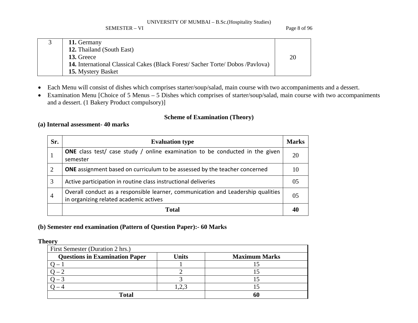SEMESTER – VI Page 8 of 96

| 11. Germany                                                                        |    |
|------------------------------------------------------------------------------------|----|
| 12. Thailand (South East)                                                          |    |
| 13. Greece                                                                         | 20 |
| <b>14.</b> International Classical Cakes (Black Forest/Sacher Torte/Dobos/Pavlova) |    |
| 15. Mystery Basket                                                                 |    |

- $\bullet$ Each Menu will consist of dishes which comprises starter/soup/salad, main course with two accompaniments and a dessert.
- $\bullet$  Examination Menu [Choice of 5 Menus – 5 Dishes which comprises of starter/soup/salad, main course with two accompaniments and a dessert. (1 Bakery Product compulsory)]

## **Scheme of Examination (Theory)**

## **(a) Internal assessment- 40 marks**

| Sr.            | <b>Evaluation type</b>                                                                                                     | <b>Marks</b>   |
|----------------|----------------------------------------------------------------------------------------------------------------------------|----------------|
|                | <b>ONE</b> class test/ case study / online examination to be conducted in the given<br>semester                            | 20             |
| $\overline{2}$ | <b>ONE</b> assignment based on curriculum to be assessed by the teacher concerned                                          | 10             |
| 3              | Active participation in routine class instructional deliveries                                                             | 05             |
| $\overline{4}$ | Overall conduct as a responsible learner, communication and Leadership qualities<br>in organizing related academic actives | 0 <sub>5</sub> |
|                | <b>Total</b>                                                                                                               |                |

## **(b) Semester end examination (Pattern of Question Paper):- 60 Marks**

## **Theory**

| First Semester (Duration 2 hrs.)      |       |                      |  |  |  |  |  |  |  |
|---------------------------------------|-------|----------------------|--|--|--|--|--|--|--|
| <b>Questions in Examination Paper</b> | Units | <b>Maximum Marks</b> |  |  |  |  |  |  |  |
|                                       |       |                      |  |  |  |  |  |  |  |
|                                       |       |                      |  |  |  |  |  |  |  |
|                                       |       |                      |  |  |  |  |  |  |  |
|                                       |       |                      |  |  |  |  |  |  |  |
| <b>Total</b>                          |       | 60                   |  |  |  |  |  |  |  |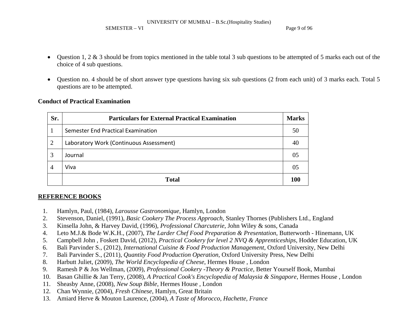#### SEMESTER – VI Page 9 of 96

- $\bullet$  Question 1, 2 & 3 should be from topics mentioned in the table total 3 sub questions to be attempted of 5 marks each out of the choice of 4 sub questions.
- • Question no. 4 should be of short answer type questions having six sub questions (2 from each unit) of 3 marks each. Total 5 questions are to be attempted.

## **Conduct of Practical Examination**

| Sr. | <b>Particulars for External Practical Examination</b><br><b>Marks</b> |     |  |  |  |  |  |  |  |
|-----|-----------------------------------------------------------------------|-----|--|--|--|--|--|--|--|
|     | Semester End Practical Examination                                    | 50  |  |  |  |  |  |  |  |
| 2   | Laboratory Work (Continuous Assessment)                               |     |  |  |  |  |  |  |  |
| 3   | Journal                                                               | 05  |  |  |  |  |  |  |  |
| 4   | Viva                                                                  | 05  |  |  |  |  |  |  |  |
|     | <b>Total</b>                                                          | 100 |  |  |  |  |  |  |  |

## **REFERENCE BOOKS**

- 1.Hamlyn, Paul, (1984), *Larousse Gastronomique*, Hamlyn, London
- 2.Stevenson, Daniel, (1991), *Basic Cookery The Process Approach*, Stanley Thornes (Publishers Ltd., England
- 3.Kinsella John, & Harvey David, (1996), *Professional Charcuterie*, John Wiley & sons, Canada
- 4.Leto M.J.& Bode W.K.H., (2007), *The Larder Chef Food Preparation & Presentation*, Butterworth - Hinemann, UK
- 5.Campbell John , Foskett David, (2012), *Practical Cookery for level 2 NVQ & Apprenticeships*, Hodder Education, UK
- 6.Bali Parvinder S., (2012), *International Cuisine & Food Production Management*, Oxford University, New Delhi
- 7.Bali Parvinder S., (2011), *Quantity Food Production Operation*, Oxford University Press, New Delhi
- 8.Harbutt Juliet, (2009), *The World Encyclopedia of Cheese*, Hermes House , London
- 9. Ramesh P & Jos Wellman, (2009), *Professional Cookery -Theory & Practice*, Better Yourself Book, Mumbai
- 10.Basan Ghillie & Jan Terry, (2008), *A Practical Cook's Encyclopedia of Malaysia & Singapore*, Hermes House , London
- 11. Sheasby Anne, (2008), *New Soup Bible*, Hermes House , London
- 12. Chan Wynnie, (2004), *Fresh Chinese*, Hamlyn, Great Britain
- 13. Amiard Herve & Mouton Laurence, (2004), *A Taste of Morocco, Hachette, France*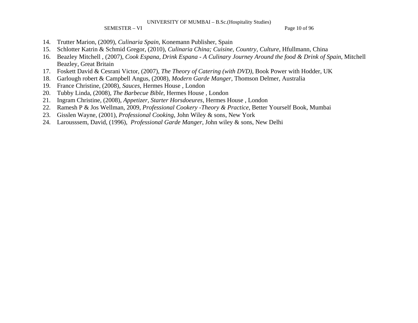SEMESTER – VI Page 10 of 96

- 14. Trutter Marion, (2009), *Culinaria Spain*, Konemann Publisher, Spain
- 15.Schlotter Katrin & Schmid Gregor, (2010), *Culinaria China; Cuisine, Country, Culture*, Hfullmann, China
- 16. Beazley Mitchell , (2007), *Cook Espana, Drink Espana A Culinary Journey Around the food & Drink of Spain*, Mitchell Beazley, Great Britain
- 17. Foskett David & Cesrani Victor, (2007), *The Theory of Catering (with DVD)*, Book Power with Hodder, UK
- 18.Garlough robert & Campbell Angus, (2008), *Modern Garde Manger*, Thomson Delmer, Australia
- 19. France Christine, (2008), *Sauces*, Hermes House , London
- 20.Tubby Linda, (2008), *The Barbecue Bible*, Hermes House , London
- 21.Ingram Christine, (2008), *Appetizer, Starter Horsdoeures*, Hermes House , London
- 22.Ramesh P & Jos Wellman, 2009, *Professional Cookery -Theory & Practice*, Better Yourself Book, Mumbai
- 23. Gisslen Wayne, (2001), *Professional Cooking*, John Wiley & sons, New York
- 24. Larousssem, David, (1996), *Professional Garde Manger*, John wiley & sons, New Delhi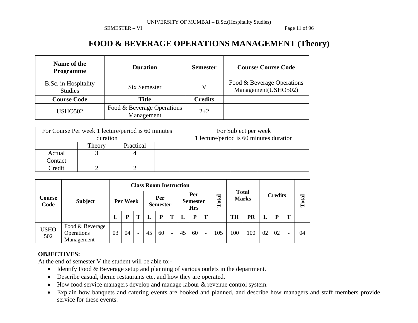SEMESTER – VI Page 11 of 96

# **FOOD & BEVERAGE OPERATIONS MANAGEMENT (Theory)**

| Name of the<br><b>Programme</b>        | <b>Duration</b>                          | <b>Semester</b> | <b>Course/Course Code</b>                         |
|----------------------------------------|------------------------------------------|-----------------|---------------------------------------------------|
| B.Sc. in Hospitality<br><b>Studies</b> | Six Semester                             | V               | Food & Beverage Operations<br>Management(USHO502) |
| <b>Course Code</b>                     | <b>Title</b>                             | <b>Credits</b>  |                                                   |
| <b>USHO502</b>                         | Food & Beverage Operations<br>Management | $2 + 2$         |                                                   |

|         | For Course Per week 1 lecture/period is 60 minutes |           | For Subject per week                    |  |  |  |  |
|---------|----------------------------------------------------|-----------|-----------------------------------------|--|--|--|--|
|         | duration                                           |           | 1 lecture/period is 60 minutes duration |  |  |  |  |
|         | Theory                                             | Practical |                                         |  |  |  |  |
| Actual  |                                                    |           |                                         |  |  |  |  |
| Contact |                                                    |           |                                         |  |  |  |  |
| Credit  |                                                    |           |                                         |  |  |  |  |

|                    | <b>Subject</b>                              | <b>Class Room Instruction</b> |    |                          |    |                                      |   |       |                              |                          |                |           |       |    |    |   |    |
|--------------------|---------------------------------------------|-------------------------------|----|--------------------------|----|--------------------------------------|---|-------|------------------------------|--------------------------|----------------|-----------|-------|----|----|---|----|
| Course<br>Code     |                                             | Per Week                      |    | Per<br><b>Semester</b>   |    | Per<br><b>Semester</b><br><b>Hrs</b> |   | Total | <b>Total</b><br><b>Marks</b> |                          | <b>Credits</b> |           | Total |    |    |   |    |
|                    |                                             | ⊥                             | D  | m                        |    | P                                    | Т |       | P                            | T                        |                | <b>TH</b> | PR    |    | P  | m |    |
| <b>USHO</b><br>502 | Food & Beverage<br>Operations<br>Management | 03                            | 04 | $\overline{\phantom{0}}$ | 45 | 60                                   | - | 45    | 60                           | $\overline{\phantom{0}}$ | .05            | 100       | 100   | 02 | 02 |   | 04 |

## **OBJECTIVES:**

At the end of semester V the student will be able to:-

- Identify Food & Beverage setup and planning of various outlets in the department.
- $\bullet$ Describe casual, theme restaurants etc. and how they are operated.
- $\bullet$ How food service managers develop and manage labour & revenue control system.
- $\bullet$  Explain how banquets and catering events are booked and planned, and describe how managers and staff members provide service for these events.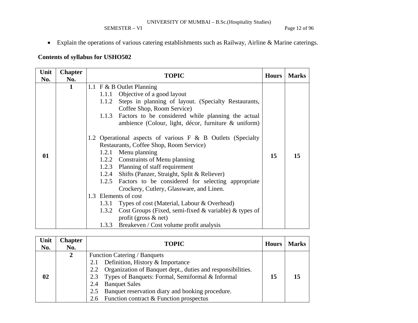## SEMESTER – VI Page 12 of 96

• Explain the operations of various catering establishments such as Railway, Airline & Marine caterings.

## **Contents of syllabus for USHO502**

| Unit      | <b>Chapter</b> | <b>TOPIC</b>                                                                                                                                                                                                                                                                                                                                                                                                                                                                                                                                                                                                                                                                                                                                                                                                                                         | <b>Hours</b> | <b>Marks</b> |
|-----------|----------------|------------------------------------------------------------------------------------------------------------------------------------------------------------------------------------------------------------------------------------------------------------------------------------------------------------------------------------------------------------------------------------------------------------------------------------------------------------------------------------------------------------------------------------------------------------------------------------------------------------------------------------------------------------------------------------------------------------------------------------------------------------------------------------------------------------------------------------------------------|--------------|--------------|
|           |                |                                                                                                                                                                                                                                                                                                                                                                                                                                                                                                                                                                                                                                                                                                                                                                                                                                                      |              |              |
| No.<br>01 | No.<br>1       | 1.1 F & B Outlet Planning<br>1.1.1 Objective of a good layout<br>Steps in planning of layout. (Specialty Restaurants,<br>1.1.2<br>Coffee Shop, Room Service)<br>1.1.3<br>Factors to be considered while planning the actual<br>ambience (Colour, light, décor, furniture & uniform)<br>1.2 Operational aspects of various F & B Outlets (Specialty<br>Restaurants, Coffee Shop, Room Service)<br>Menu planning<br>1.2.1<br>1.2.2 Constraints of Menu planning<br>1.2.3 Planning of staff requirement<br>1.2.4 Shifts (Panzer, Straight, Split & Reliever)<br>1.2.5 Factors to be considered for selecting appropriate<br>Crockery, Cutlery, Glassware, and Linen.<br>1.3 Elements of cost<br>Types of cost (Material, Labour & Overhead)<br>1.3.1<br>Cost Groups (Fixed, semi-fixed $\&$ variable) $\&$ types of<br>1.3.2<br>profit (gross $\&$ net) | 15           | 15           |
|           |                | Breakeven / Cost volume profit analysis<br>1.3.3                                                                                                                                                                                                                                                                                                                                                                                                                                                                                                                                                                                                                                                                                                                                                                                                     |              |              |

| Unit<br>No. | <b>Chapter</b><br>No. | <b>TOPIC</b>                                                                                                                                                                                                                                                                                                                                         | <b>Hours</b> | <b>Marks</b> |
|-------------|-----------------------|------------------------------------------------------------------------------------------------------------------------------------------------------------------------------------------------------------------------------------------------------------------------------------------------------------------------------------------------------|--------------|--------------|
| 02          | $2^{\circ}$           | Function Catering / Banquets<br>Definition, History & Importance<br>2.1<br>Organization of Banquet dept., duties and responsibilities.<br>2.2<br>Types of Banquets: Formal, Semiformal & Informal<br>2.3<br><b>Banquet Sales</b><br>2.4<br>Banquet reservation diary and booking procedure.<br>2.5<br>Function contract & Function prospectus<br>2.6 | 15           |              |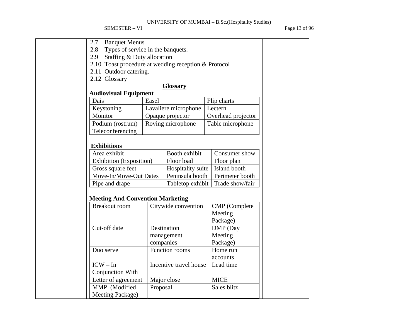SEMESTER – VI Page 13 of 96

| <b>Banquet Menus</b><br>2.7                          |          |                        |                      |  |  |  |  |  |
|------------------------------------------------------|----------|------------------------|----------------------|--|--|--|--|--|
| 2.8 Types of service in the banquets.                |          |                        |                      |  |  |  |  |  |
| Staffing & Duty allocation<br>2.9                    |          |                        |                      |  |  |  |  |  |
| 2.10 Toast procedure at wedding reception & Protocol |          |                        |                      |  |  |  |  |  |
| 2.11 Outdoor catering.                               |          |                        |                      |  |  |  |  |  |
| 2.12 Glossary                                        |          |                        |                      |  |  |  |  |  |
|                                                      |          | <b>Glossary</b>        |                      |  |  |  |  |  |
| <b>Audiovisual Equipment</b>                         |          |                        |                      |  |  |  |  |  |
| Dais                                                 | Easel    |                        | Flip charts          |  |  |  |  |  |
| Keystoning                                           |          | Lavaliere microphone   | Lectern              |  |  |  |  |  |
| Monitor                                              |          | Opaque projector       | Overhead projector   |  |  |  |  |  |
| Podium (rostrum)                                     |          | Roving microphone      | Table microphone     |  |  |  |  |  |
| Teleconferencing                                     |          |                        |                      |  |  |  |  |  |
| <b>Exhibitions</b>                                   |          |                        |                      |  |  |  |  |  |
| Area exhibit                                         |          | Booth exhibit          | Consumer show        |  |  |  |  |  |
| <b>Exhibition</b> (Exposition)                       |          | Floor load             | Floor plan           |  |  |  |  |  |
| Gross square feet                                    |          | Hospitality suite      | Island booth         |  |  |  |  |  |
| Move-In/Move-Out Dates                               |          | Peninsula booth        | Perimeter booth      |  |  |  |  |  |
| Pipe and drape                                       |          | Tabletop exhibit       | Trade show/fair      |  |  |  |  |  |
|                                                      |          |                        |                      |  |  |  |  |  |
| <b>Meeting And Convention Marketing</b>              |          |                        |                      |  |  |  |  |  |
| <b>Breakout room</b>                                 |          | Citywide convention    | <b>CMP</b> (Complete |  |  |  |  |  |
|                                                      |          |                        | Meeting              |  |  |  |  |  |
|                                                      |          |                        | Package)             |  |  |  |  |  |
| Cut-off date                                         |          | Destination            | DMP (Day             |  |  |  |  |  |
|                                                      |          | management             | Meeting              |  |  |  |  |  |
|                                                      |          | companies              | Package)             |  |  |  |  |  |
| Duo serve                                            |          | Function rooms         | Home run             |  |  |  |  |  |
|                                                      |          |                        | accounts             |  |  |  |  |  |
| $ICW - In$                                           |          | Incentive travel house | Lead time            |  |  |  |  |  |
| Conjunction With                                     |          |                        |                      |  |  |  |  |  |
| Letter of agreement                                  |          | Major close            | <b>MICE</b>          |  |  |  |  |  |
| MMP (Modified                                        | Proposal |                        | Sales blitz          |  |  |  |  |  |
| Meeting Package)                                     |          |                        |                      |  |  |  |  |  |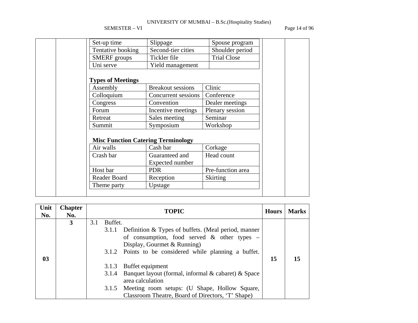SEMESTER – VI Page 14 of 96

| Set-up time              | Slippage                                              | Spouse program     |
|--------------------------|-------------------------------------------------------|--------------------|
| Tentative booking        | Second-tier cities                                    | Shoulder period    |
| <b>SMERF</b> groups      | Tickler file                                          | <b>Trial Close</b> |
| Uni serve                | Yield management                                      |                    |
| <b>Types of Meetings</b> |                                                       |                    |
| Assembly                 | <b>Breakout sessions</b>                              | Clinic             |
| Colloquium               | Concurrent sessions                                   | Conference         |
| Congress                 | Convention                                            | Dealer meetings    |
| Forum                    | Incentive meetings                                    | Plenary session    |
| Retreat                  | Sales meeting                                         | Seminar            |
| Summit                   | Symposium                                             | Workshop           |
| Air walls                | <b>Misc Function Catering Terminology</b><br>Cash bar | Corkage            |
| Crash bar                | Guaranteed and<br>Expected number                     | Head count         |
| Host bar                 | <b>PDR</b>                                            | Pre-function area  |
|                          |                                                       |                    |
| Reader Board             | Reception                                             | <b>Skirting</b>    |

| Unit<br>No.    | <b>Chapter</b><br>No. |     |         | <b>TOPIC</b>                                              | <b>Hours</b> | <b>Marks</b> |
|----------------|-----------------------|-----|---------|-----------------------------------------------------------|--------------|--------------|
|                | 3                     | 3.1 | Buffet. |                                                           |              |              |
|                |                       |     | 3.1.1   | Definition & Types of buffets. (Meal period, manner       |              |              |
|                |                       |     |         | of consumption, food served $\&$ other types –            |              |              |
|                |                       |     |         | Display, Gourmet & Running)                               |              |              |
|                |                       |     |         | 3.1.2 Points to be considered while planning a buffet.    |              |              |
| 0 <sub>3</sub> |                       |     |         |                                                           | 15           |              |
|                |                       |     | 3.1.3   | Buffet equipment                                          |              |              |
|                |                       |     | 3.1.4   | Banquet layout (formal, informal $\&$ cabaret) $\&$ Space |              |              |
|                |                       |     |         | area calculation                                          |              |              |
|                |                       |     | 3.1.5   | Meeting room setups: (U Shape, Hollow Square,             |              |              |
|                |                       |     |         | Classroom Theatre, Board of Directors, 'T' Shape)         |              |              |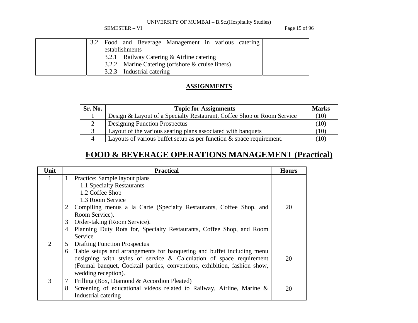SEMESTER – VI Page 15 of 96

|  | 3.2 |                |                           | Food and Beverage Management in various catering |  |  |  |
|--|-----|----------------|---------------------------|--------------------------------------------------|--|--|--|
|  |     | establishments |                           |                                                  |  |  |  |
|  |     |                |                           | 3.2.1 Railway Catering & Airline catering        |  |  |  |
|  |     |                |                           | 3.2.2 Marine Catering (offshore & cruise liners) |  |  |  |
|  |     |                | 3.2.3 Industrial catering |                                                  |  |  |  |

## **ASSIGNMENTS**

| Sr. No. | <b>Topic for Assignments</b>                                            | <b>Marks</b>      |
|---------|-------------------------------------------------------------------------|-------------------|
|         | Design & Layout of a Specialty Restaurant, Coffee Shop or Room Service  | (10)              |
|         | Designing Function Prospectus                                           | $\left(10\right)$ |
|         | Layout of the various seating plans associated with banquets            | $\left(10\right)$ |
| 4       | Layouts of various buffet setup as per function $\&$ space requirement. | $\left(10\right)$ |

# **FOOD & BEVERAGE OPERATIONS MANAGEMENT (Practical)**

| Unit                        | <b>Practical</b>                                                            | <b>Hours</b> |
|-----------------------------|-----------------------------------------------------------------------------|--------------|
| 1                           | Practice: Sample layout plans<br>$\mathbf{1}$                               |              |
|                             | 1.1 Specialty Restaurants                                                   |              |
|                             | 1.2 Coffee Shop                                                             |              |
|                             | 1.3 Room Service                                                            |              |
|                             | Compiling menus a la Carte (Specialty Restaurants, Coffee Shop, and<br>2    | 20           |
|                             | Room Service).                                                              |              |
|                             | 3<br>Order-taking (Room Service).                                           |              |
|                             | 4<br>Planning Duty Rota for, Specialty Restaurants, Coffee Shop, and Room   |              |
|                             | Service                                                                     |              |
| $\mathcal{D}_{\mathcal{L}}$ | 5<br><b>Drafting Function Prospectus</b>                                    |              |
|                             | Table setups and arrangements for banqueting and buffet including menu<br>6 |              |
|                             | designing with styles of service $\&$ Calculation of space requirement      | 20           |
|                             | (Formal banquet, Cocktail parties, conventions, exhibition, fashion show,   |              |
|                             | wedding reception).                                                         |              |
| 3                           | 7<br>Frilling (Box, Diamond & Accordion Pleated)                            |              |
|                             | 8<br>Screening of educational videos related to Railway, Airline, Marine &  | 20           |
|                             | Industrial catering                                                         |              |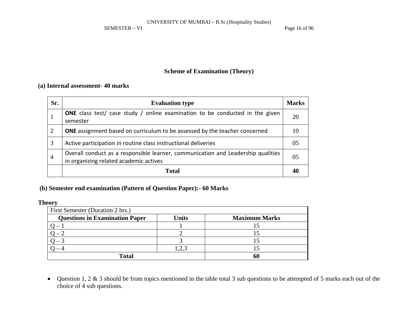SEMESTER – VI Page 16 of 96

## **Scheme of Examination (Theory)**

## **(a) Internal assessment- 40 marks**

| Sr.            | <b>Evaluation type</b>                                                                                                     | <b>Marks</b> |
|----------------|----------------------------------------------------------------------------------------------------------------------------|--------------|
|                | <b>ONE</b> class test/ case study / online examination to be conducted in the given<br>semester                            | 20           |
| 2              | <b>ONE</b> assignment based on curriculum to be assessed by the teacher concerned                                          | 10           |
| 3              | Active participation in routine class instructional deliveries                                                             | 05           |
| $\overline{4}$ | Overall conduct as a responsible learner, communication and Leadership qualities<br>in organizing related academic actives | 05           |
|                | <b>Total</b>                                                                                                               |              |

## **(b) Semester end examination (Pattern of Question Paper):- 60 Marks**

## **Theory**

| First Semester (Duration 2 hrs.)      |       |                      |  |  |  |  |  |  |  |
|---------------------------------------|-------|----------------------|--|--|--|--|--|--|--|
| <b>Questions in Examination Paper</b> | Units | <b>Maximum Marks</b> |  |  |  |  |  |  |  |
|                                       |       |                      |  |  |  |  |  |  |  |
|                                       |       |                      |  |  |  |  |  |  |  |
|                                       |       |                      |  |  |  |  |  |  |  |
|                                       | 2.3   |                      |  |  |  |  |  |  |  |
| <b>Total</b>                          | 61    |                      |  |  |  |  |  |  |  |

• Question 1, 2 & 3 should be from topics mentioned in the table total 3 sub questions to be attempted of 5 marks each out of the choice of 4 sub questions.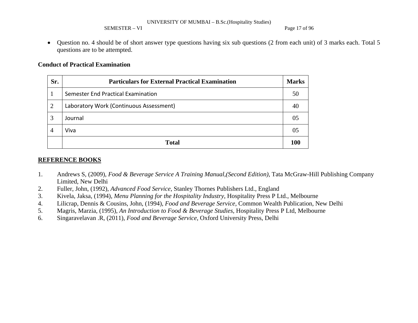SEMESTER – VI Page 17 of 96

• Question no. 4 should be of short answer type questions having six sub questions (2 from each unit) of 3 marks each. Total 5 questions are to be attempted.

### **Conduct of Practical Examination**

| Sr.            | <b>Particulars for External Practical Examination</b> |    |  |  |  |  |  |
|----------------|-------------------------------------------------------|----|--|--|--|--|--|
|                | Semester End Practical Examination                    | 50 |  |  |  |  |  |
| $\overline{2}$ | Laboratory Work (Continuous Assessment)               |    |  |  |  |  |  |
| 3              | Journal                                               |    |  |  |  |  |  |
| 4              | Viva                                                  |    |  |  |  |  |  |
|                | <b>Total</b>                                          |    |  |  |  |  |  |

## **REFERENCE BOOKS**

- 1. Andrews S, (2009)*, Food & Beverage Service A Training Manual,(Second Edition)*, Tata McGraw-Hill Publishing Company Limited, New Delhi
- 2.Fuller, John, (1992), *Advanced Food Service*, Stanley Thornes Publishers Ltd., England
- 3.Kivela, Jaksa, (1994), *Menu Planning for the Hospitality Industry*, Hospitality Press P Ltd., Melbourne
- 4.Lilicrap, Dennis & Cousins, John, (1994), *Food and Beverage Service,* Common Wealth Publication, New Delhi
- 5.Magris, Marzia, (1995), *An Introduction to Food & Beverage Studies*, Hospitality Press P Ltd, Melbourne
- 6.Singaravelavan .R, (2011), *Food and Beverage Service*, Oxford University Press, Delhi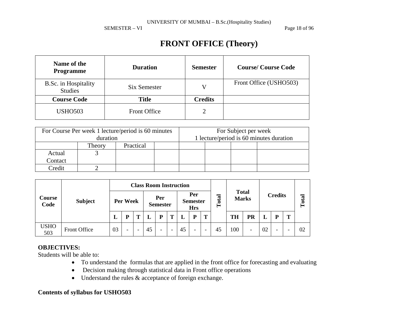SEMESTER – VI Page 18 of 96

# **FRONT OFFICE (Theory)**

| Name of the<br>Programme               | <b>Duration</b>     | <b>Semester</b> | <b>Course/Course Code</b> |
|----------------------------------------|---------------------|-----------------|---------------------------|
| B.Sc. in Hospitality<br><b>Studies</b> | Six Semester        | V               | Front Office (USHO503)    |
| <b>Course Code</b>                     | <b>Title</b>        | <b>Credits</b>  |                           |
| <b>USHO503</b>                         | <b>Front Office</b> | 2               |                           |

|                   | For Course Per week 1 lecture/period is 60 minutes<br>duration |  | For Subject per week<br>1 lecture/period is 60 minutes duration |  |  |  |  |
|-------------------|----------------------------------------------------------------|--|-----------------------------------------------------------------|--|--|--|--|
|                   | Practical<br>Theory                                            |  |                                                                 |  |  |  |  |
| Actual<br>Contact |                                                                |  |                                                                 |  |  |  |  |
| Credit            |                                                                |  |                                                                 |  |  |  |  |

| Course<br>Code     |                | <b>Class Room Instruction</b> |   |   |                        |                          |                                      |    |                          |                              |    |                |                          |       |                          |   |    |
|--------------------|----------------|-------------------------------|---|---|------------------------|--------------------------|--------------------------------------|----|--------------------------|------------------------------|----|----------------|--------------------------|-------|--------------------------|---|----|
|                    | <b>Subject</b> | Per Week                      |   |   | Per<br><b>Semester</b> |                          | Per<br><b>Semester</b><br><b>Hrs</b> |    | otal<br>⊨                | <b>Total</b><br><b>Marks</b> |    | <b>Credits</b> |                          | Total |                          |   |    |
|                    |                | L                             | D | m |                        | Þ                        | Т                                    |    | P                        | T                            |    | <b>TH</b>      | PR                       |       | P                        | m |    |
| <b>USHO</b><br>503 | Front Office   | 03                            | - |   | 45                     | $\overline{\phantom{0}}$ | -                                    | 45 | $\overline{\phantom{a}}$ | $\overline{\phantom{0}}$     | 45 | 100            | $\overline{\phantom{0}}$ | 02    | $\overline{\phantom{0}}$ |   | 02 |

## **OBJECTIVES:**

Students will be able to:

- To understand the formulas that are applied in the front office for forecasting and evaluating
- Decision making through statistical data in Front office operations
- Understand the rules  $\&$  acceptance of foreign exchange.

## **Contents of syllabus for USHO503**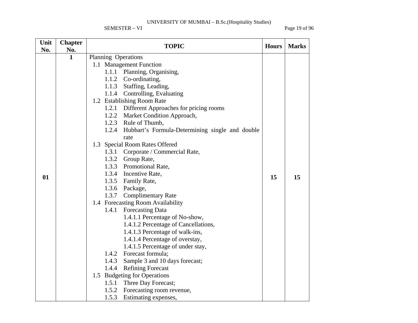SEMESTER – VI Page 19 of 96

| Unit | <b>Chapter</b> | <b>TOPIC</b>                                          | <b>Hours</b> | <b>Marks</b> |
|------|----------------|-------------------------------------------------------|--------------|--------------|
| No.  | No.            |                                                       |              |              |
|      | $\mathbf{1}$   | Planning Operations                                   |              |              |
|      |                | 1.1 Management Function                               |              |              |
|      |                | 1.1.1 Planning, Organising,                           |              |              |
|      |                | 1.1.2 Co-ordinating,                                  |              |              |
|      |                | Staffing, Leading,<br>1.1.3                           |              |              |
|      |                | Controlling, Evaluating<br>1.1.4                      |              |              |
|      |                | 1.2 Establishing Room Rate                            |              |              |
|      |                | Different Approaches for pricing rooms<br>1.2.1       |              |              |
|      |                | 1.2.2 Market Condition Approach,                      |              |              |
|      |                | 1.2.3 Rule of Thumb,                                  |              |              |
|      |                | 1.2.4 Hubbart's Formula-Determining single and double |              |              |
|      |                | rate                                                  |              |              |
|      |                | 1.3 Special Room Rates Offered                        |              |              |
|      |                | 1.3.1 Corporate / Commercial Rate,                    |              |              |
|      |                | 1.3.2<br>Group Rate,                                  |              |              |
|      |                | 1.3.3 Promotional Rate,                               |              |              |
| 01   |                | 1.3.4 Incentive Rate,                                 | 15           | 15           |
|      |                | 1.3.5 Family Rate,                                    |              |              |
|      |                | 1.3.6 Package,                                        |              |              |
|      |                | 1.3.7 Complimentary Rate                              |              |              |
|      |                | 1.4 Forecasting Room Availability                     |              |              |
|      |                | 1.4.1 Forecasting Data                                |              |              |
|      |                | 1.4.1.1 Percentage of No-show,                        |              |              |
|      |                | 1.4.1.2 Percentage of Cancellations,                  |              |              |
|      |                | 1.4.1.3 Percentage of walk-ins,                       |              |              |
|      |                | 1.4.1.4 Percentage of overstay,                       |              |              |
|      |                | 1.4.1.5 Percentage of under stay,                     |              |              |
|      |                | Forecast formula;<br>1.4.2                            |              |              |
|      |                | 1.4.3<br>Sample 3 and 10 days forecast;               |              |              |
|      |                | <b>Refining Forecast</b><br>1.4.4                     |              |              |
|      |                | 1.5 Budgeting for Operations                          |              |              |
|      |                | 1.5.1 Three Day Forecast;                             |              |              |
|      |                | 1.5.2 Forecasting room revenue,                       |              |              |
|      |                | 1.5.3<br>Estimating expenses,                         |              |              |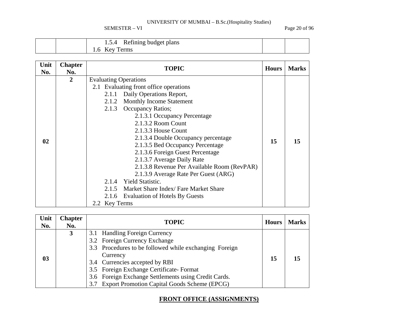SEMESTER – VI Page 20 of 96

| $\sim$<br>Refining budget plans<br>1.5.4 |  |
|------------------------------------------|--|
| erms<br>l.b                              |  |

| Unit<br>No. | <b>Chapter</b><br>No. | <b>TOPIC</b>                                  | <b>Hours</b> | <b>Marks</b> |  |  |  |
|-------------|-----------------------|-----------------------------------------------|--------------|--------------|--|--|--|
|             | $\overline{2}$        | <b>Evaluating Operations</b>                  |              |              |  |  |  |
|             |                       | 2.1 Evaluating front office operations        |              |              |  |  |  |
|             |                       | Daily Operations Report,<br>2.1.1             |              |              |  |  |  |
|             |                       | 2.1.2 Monthly Income Statement                |              |              |  |  |  |
|             |                       | <b>Occupancy Ratios;</b><br>2.1.3             |              |              |  |  |  |
|             |                       | 2.1.3.1 Occupancy Percentage                  |              |              |  |  |  |
|             |                       | 2.1.3.2 Room Count                            |              |              |  |  |  |
|             |                       | 2.1.3.3 House Count                           |              |              |  |  |  |
| 02          |                       | 2.1.3.4 Double Occupancy percentage           | 15           | 15           |  |  |  |
|             |                       | 2.1.3.5 Bed Occupancy Percentage              |              |              |  |  |  |
|             |                       | 2.1.3.6 Foreign Guest Percentage              |              |              |  |  |  |
|             |                       | 2.1.3.7 Average Daily Rate                    |              |              |  |  |  |
|             |                       | 2.1.3.8 Revenue Per Available Room (RevPAR)   |              |              |  |  |  |
|             |                       | 2.1.3.9 Average Rate Per Guest (ARG)          |              |              |  |  |  |
|             |                       | 2.1.4 Yield Statistic.                        |              |              |  |  |  |
|             |                       | Market Share Index/Fare Market Share<br>2.1.5 |              |              |  |  |  |
|             |                       | 2.1.6 Evaluation of Hotels By Guests          |              |              |  |  |  |
|             |                       | 2.2 Key Terms                                 |              |              |  |  |  |

| Unit<br>No. | <b>Chapter</b><br>No. | <b>TOPIC</b>                                                                                                                                                                                                      | <b>Hours</b> | <b>Marks</b> |
|-------------|-----------------------|-------------------------------------------------------------------------------------------------------------------------------------------------------------------------------------------------------------------|--------------|--------------|
| 03          | 3                     | 3.1 Handling Foreign Currency<br>3.2 Foreign Currency Exchange<br>3.3 Procedures to be followed while exchanging Foreign<br>Currency<br>3.4 Currencies accepted by RBI<br>3.5 Foreign Exchange Certificate-Format | 15           |              |
|             |                       | 3.6 Foreign Exchange Settlements using Credit Cards.<br>3.7 Export Promotion Capital Goods Scheme (EPCG)                                                                                                          |              |              |

## **FRONT OFFICE (ASSIGNMENTS)**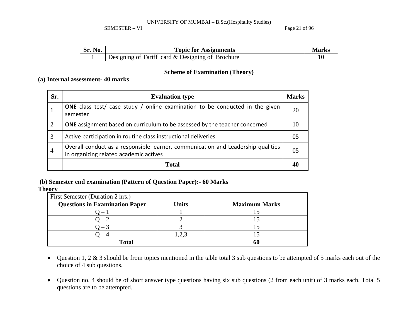SEMESTER – VI Page 21 of 96

| - | <b>Topic for Assignments</b>                     |  |  |  |  |  |
|---|--------------------------------------------------|--|--|--|--|--|
|   | Designing of Tariff card & Designing of Brochure |  |  |  |  |  |

## **Scheme of Examination (Theory)**

## **(a) Internal assessment- 40 marks**

| Sr.            | <b>Evaluation type</b>                                                                                                     | <b>Marks</b>   |
|----------------|----------------------------------------------------------------------------------------------------------------------------|----------------|
| -1             | <b>ONE</b> class test/ case study / online examination to be conducted in the given<br>semester                            | 20             |
| $\overline{2}$ | <b>ONE</b> assignment based on curriculum to be assessed by the teacher concerned                                          | 10             |
| 3              | Active participation in routine class instructional deliveries                                                             | 05             |
| $\overline{4}$ | Overall conduct as a responsible learner, communication and Leadership qualities<br>in organizing related academic actives | 0 <sub>5</sub> |
|                | <b>Total</b>                                                                                                               |                |

## **(b) Semester end examination (Pattern of Question Paper):- 60 Marks**

**Theory** 

| First Semester (Duration 2 hrs.)      |              |                      |  |  |  |  |  |  |
|---------------------------------------|--------------|----------------------|--|--|--|--|--|--|
| <b>Questions in Examination Paper</b> | <b>Units</b> | <b>Maximum Marks</b> |  |  |  |  |  |  |
|                                       |              |                      |  |  |  |  |  |  |
|                                       |              |                      |  |  |  |  |  |  |
|                                       |              |                      |  |  |  |  |  |  |
|                                       |              |                      |  |  |  |  |  |  |
| <b>Total</b>                          |              |                      |  |  |  |  |  |  |

- Question 1, 2 & 3 should be from topics mentioned in the table total 3 sub questions to be attempted of 5 marks each out of the choice of 4 sub questions.
- Question no. 4 should be of short answer type questions having six sub questions (2 from each unit) of 3 marks each. Total 5 questions are to be attempted.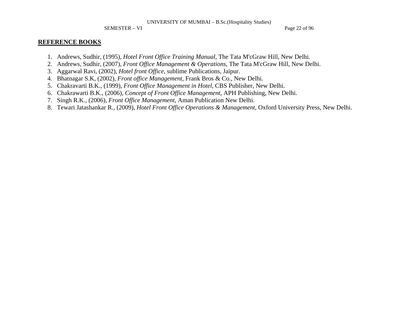SEMESTER – VI Page 22 of 96

#### **REFERENCE BOOKS**

- 1. Andrews, Sudhir, (1995), *Hotel Front Office Training Manual*, The Tata M'cGraw Hill, New Delhi.
- 2. Andrews, Sudhir, (2007), *Front Office Management & Operations*, The Tata M'cGraw Hill, New Delhi.
- 3. Aggarwal Ravi, (2002), *Hotel front Office*, sublime Publications, Jaipur.
- 4. Bhatnagar S.K, (2002), *Front office Management*, Frank Bros & Co., New Delhi.
- 5. Chakravarti B.K., (1999), *Front Office Management in Hotel*, CBS Publisher, New Delhi.
- 6. Chakrawarti B.K., (2006), *Concept of Front Office Management*, APH Publishing, New Delhi.
- 7. Singh R.K., (2006), *Front Office Management*, Aman Publication New Delhi.
- 8. Tewari Jatashankar R., (2009), *Hotel Front Office Operations & Management*, Oxford University Press, New Delhi.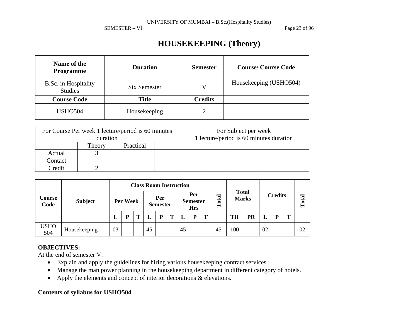SEMESTER – VI Page 23 of 96

# **HOUSEKEEPING (Theory)**

| Name of the<br><b>Programme</b>        | <b>Duration</b> | <b>Semester</b> | <b>Course/Course Code</b> |
|----------------------------------------|-----------------|-----------------|---------------------------|
| B.Sc. in Hospitality<br><b>Studies</b> | Six Semester    | V               | Housekeeping (USHO504)    |
| <b>Course Code</b>                     | Title           | <b>Credits</b>  |                           |
| <b>USHO504</b>                         | Housekeeping    | 2               |                           |

|         | For Course Per week 1 lecture/period is 60 minutes |           | For Subject per week                    |  |  |  |  |
|---------|----------------------------------------------------|-----------|-----------------------------------------|--|--|--|--|
|         | duration                                           |           | 1 lecture/period is 60 minutes duration |  |  |  |  |
|         | Theory                                             | Practical |                                         |  |  |  |  |
| Actual  |                                                    |           |                                         |  |  |  |  |
| Contact |                                                    |           |                                         |  |  |  |  |
| Credit  |                                                    |           |                                         |  |  |  |  |

|                    |                | <b>Class Room Instruction</b> |                          |  |                        |                          |                                      |    |                          |                              |    |                |                          |       |                          |   |    |
|--------------------|----------------|-------------------------------|--------------------------|--|------------------------|--------------------------|--------------------------------------|----|--------------------------|------------------------------|----|----------------|--------------------------|-------|--------------------------|---|----|
| Course<br>Code     | <b>Subject</b> | Per Week                      |                          |  | Per<br><b>Semester</b> |                          | Per<br><b>Semester</b><br><b>Hrs</b> |    | otal<br>⊢                | <b>Total</b><br><b>Marks</b> |    | <b>Credits</b> |                          | Total |                          |   |    |
|                    |                | ப                             | D                        |  |                        | D                        | т                                    |    | P                        | T                            |    | <b>TH</b>      | PR                       | L     | P                        | m |    |
| <b>USHO</b><br>504 | Housekeeping   | 03                            | $\overline{\phantom{0}}$ |  | 45                     | $\overline{\phantom{0}}$ | -                                    | 45 | $\overline{\phantom{0}}$ | $\overline{\phantom{0}}$     | 45 | 100            | $\overline{\phantom{0}}$ | 02    | $\overline{\phantom{0}}$ |   | 02 |

## **OBJECTIVES:**

At the end of semester V:

- Explain and apply the guidelines for hiring various housekeeping contract services.
- Manage the man power planning in the housekeeping department in different category of hotels.
- Apply the elements and concept of interior decorations & elevations.

## **Contents of syllabus for USHO504**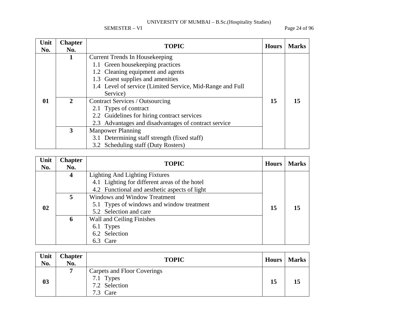SEMESTER – VI Page 24 of 96

| Unit<br>No. | <b>Chapter</b><br>No. | <b>TOPIC</b>                                              | <b>Hours</b> | <b>Marks</b> |
|-------------|-----------------------|-----------------------------------------------------------|--------------|--------------|
|             |                       | <b>Current Trends In Housekeeping</b>                     |              |              |
|             |                       | 1.1 Green housekeeping practices                          |              |              |
|             |                       | 1.2 Cleaning equipment and agents                         |              |              |
|             |                       | 1.3 Guest supplies and amenities                          |              |              |
|             |                       | 1.4 Level of service (Limited Service, Mid-Range and Full |              |              |
|             |                       | Service)                                                  |              |              |
| 01          | 2                     | <b>Contract Services / Outsourcing</b>                    | 15           | 15           |
|             |                       | 2.1 Types of contract                                     |              |              |
|             |                       | 2.2 Guidelines for hiring contract services               |              |              |
|             |                       | 2.3 Advantages and disadvantages of contract service      |              |              |
|             | 3                     | <b>Manpower Planning</b>                                  |              |              |
|             |                       | 3.1 Determining staff strength (fixed staff)              |              |              |
|             |                       | 3.2 Scheduling staff (Duty Rosters)                       |              |              |

| Unit<br>No. | <b>Chapter</b><br>No. | <b>TOPIC</b>                                                                                                                            | <b>Hours</b> | <b>Marks</b> |
|-------------|-----------------------|-----------------------------------------------------------------------------------------------------------------------------------------|--------------|--------------|
|             | $\boldsymbol{4}$      | <b>Lighting And Lighting Fixtures</b><br>4.1 Lighting for different areas of the hotel<br>4.2 Functional and aesthetic aspects of light | 15           | 15           |
| 02          | 5                     | <b>Windows and Window Treatment</b><br>5.1 Types of windows and window treatment<br>5.2 Selection and care                              |              |              |
|             | 6                     | Wall and Ceiling Finishes<br>6.1 Types<br>6.2 Selection<br>6.3 Care                                                                     |              |              |

| Unit<br>No. | <b>Chapter</b><br>No. | <b>TOPIC</b>                                                          | Hours | <b>Marks</b> |
|-------------|-----------------------|-----------------------------------------------------------------------|-------|--------------|
| 03          | -                     | Carpets and Floor Coverings<br>7.1 Types<br>7.2 Selection<br>7.3 Care | 15    | 15           |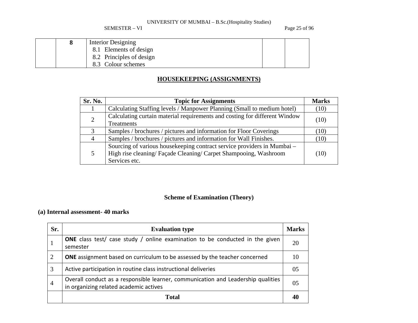SEMESTER – VI Page 25 of 96

|  | Interior Designing       |  |
|--|--------------------------|--|
|  | 8.1 Elements of design   |  |
|  | 8.2 Principles of design |  |
|  | 8.3 Colour schemes       |  |

## **HOUSEKEEPING (ASSIGNMENTS)**

| Sr. No. | <b>Topic for Assignments</b>                                                                                                                                 | <b>Marks</b> |
|---------|--------------------------------------------------------------------------------------------------------------------------------------------------------------|--------------|
|         | Calculating Staffing levels / Manpower Planning (Small to medium hotel)                                                                                      | (10)         |
| 2       | Calculating curtain material requirements and costing for different Window<br>Treatments                                                                     | (10)         |
|         | Samples / brochures / pictures and information for Floor Coverings                                                                                           | (10)         |
| 4       | Samples / brochures / pictures and information for Wall Finishes.                                                                                            | (10)         |
| 5       | Sourcing of various housekeeping contract service providers in Mumbai –<br>High rise cleaning/ Façade Cleaning/ Carpet Shampooing, Washroom<br>Services etc. | (10)         |

## **Scheme of Examination (Theory)**

## **(a) Internal assessment- 40 marks**

| Sr.            | <b>Evaluation type</b>                                                                                                     | <b>Marks</b> |
|----------------|----------------------------------------------------------------------------------------------------------------------------|--------------|
|                | <b>ONE</b> class test/ case study / online examination to be conducted in the given<br>semester                            | 20           |
| 2              | <b>ONE</b> assignment based on curriculum to be assessed by the teacher concerned                                          | 10           |
| 3              | Active participation in routine class instructional deliveries                                                             | 05           |
| $\overline{4}$ | Overall conduct as a responsible learner, communication and Leadership qualities<br>in organizing related academic actives | 05           |
|                | <b>Total</b>                                                                                                               | 40           |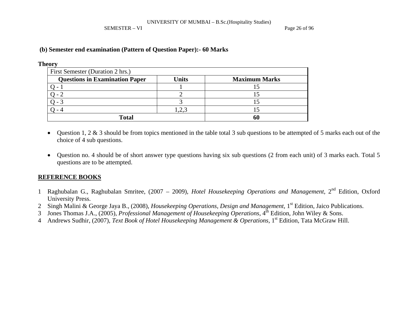SEMESTER – VI Page 26 of 96

## **(b) Semester end examination (Pattern of Question Paper):- 60 Marks**

### **Theory**

| First Semester (Duration 2 hrs.)      |       |                      |
|---------------------------------------|-------|----------------------|
| <b>Questions in Examination Paper</b> | Units | <b>Maximum Marks</b> |
|                                       |       |                      |
|                                       |       |                      |
|                                       |       |                      |
|                                       | ⊸• ک∙ |                      |
| <b>Total</b>                          |       | 60                   |

- $\bullet$  Question 1, 2 & 3 should be from topics mentioned in the table total 3 sub questions to be attempted of 5 marks each out of the choice of 4 sub questions.
- $\bullet$  Question no. 4 should be of short answer type questions having six sub questions (2 from each unit) of 3 marks each. Total 5 questions are to be attempted.

## **REFERENCE BOOKS**

- 1 Raghubalan G., Raghubalan Smritee, (2007 2009), *Hotel Housekeeping Operations and Management,* 2nd Edition, Oxford University Press.
- 2 Singh Malini & George Jaya B., (2008), *Housekeeping Operations, Design and Management*, 1<sup>st</sup> Edition, Jaico Publications.
- 3 Jones Thomas J.A., (2005), *Professional Management of Housekeeping Operations*, 4<sup>th</sup> Edition, John Wiley & Sons.
- 4 Andrews Sudhir, (2007), *Text Book of Hotel Housekeeping Management & Operations*, 1<sup>st</sup> Edition, Tata McGraw Hill.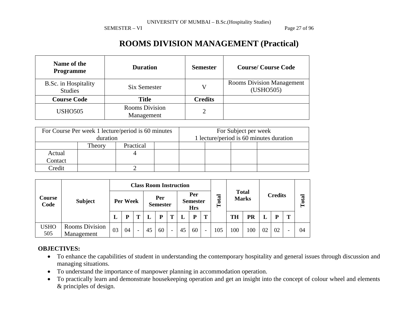SEMESTER – VI Page 27 of 96

# **ROOMS DIVISION MANAGEMENT (Practical)**

| Name of the<br><b>Programme</b>        | <b>Duration</b>                     | <b>Semester</b> | <b>Course/Course Code</b>                     |
|----------------------------------------|-------------------------------------|-----------------|-----------------------------------------------|
| B.Sc. in Hospitality<br><b>Studies</b> | Six Semester                        | V               | <b>Rooms Division Management</b><br>(USHO505) |
| <b>Course Code</b>                     | <b>Title</b>                        | <b>Credits</b>  |                                               |
| <b>USHO505</b>                         | <b>Rooms Division</b><br>Management | 2               |                                               |

|         |          | For Course Per week 1 lecture/period is 60 minutes | For Subject per week                    |  |  |  |  |  |  |
|---------|----------|----------------------------------------------------|-----------------------------------------|--|--|--|--|--|--|
|         | duration |                                                    | 1 lecture/period is 60 minutes duration |  |  |  |  |  |  |
|         | Theory   | Practical                                          |                                         |  |  |  |  |  |  |
| Actual  |          |                                                    |                                         |  |  |  |  |  |  |
| Contact |          |                                                    |                                         |  |  |  |  |  |  |
| Credit  |          |                                                    |                                         |  |  |  |  |  |  |

| Course<br>Code     |                              |    |          |   | <b>Class Room Instruction</b> |                        |                          |    |                                      |                          |       |              |              |    |                |   |       |
|--------------------|------------------------------|----|----------|---|-------------------------------|------------------------|--------------------------|----|--------------------------------------|--------------------------|-------|--------------|--------------|----|----------------|---|-------|
|                    | <b>Subject</b>               |    | Per Week |   |                               | Per<br><b>Semester</b> |                          |    | Per<br><b>Semester</b><br><b>Hrs</b> |                          | Total | <b>Total</b> | <b>Marks</b> |    | <b>Credits</b> |   | Total |
|                    |                              | L  | D        | m |                               | Þ                      | т                        |    | P                                    | T                        |       | <b>TH</b>    | PR           | L  | P              | т |       |
| <b>USHO</b><br>505 | Rooms Division<br>Management | 03 | 04       | - | 45                            | 60                     | $\overline{\phantom{0}}$ | 45 | 60                                   | $\overline{\phantom{a}}$ | 105   | 100          | 100          | 02 | 02             |   | 04    |

## **OBJECTIVES:**

- To enhance the capabilities of student in understanding the contemporary hospitality and general issues through discussion and managing situations.
- To understand the importance of manpower planning in accommodation operation.
- $\bullet$  To practically learn and demonstrate housekeeping operation and get an insight into the concept of colour wheel and elements & principles of design.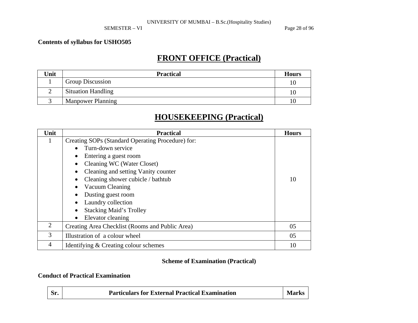### SEMESTER – VI Page 28 of 96

## **Contents of syllabus for USHO505**

# **FRONT OFFICE (Practical)**

| Unit | <b>Practical</b>          | <b>Hours</b> |
|------|---------------------------|--------------|
|      | <b>Group Discussion</b>   |              |
|      | <b>Situation Handling</b> | 10           |
|      | <b>Manpower Planning</b>  |              |

## **HOUSEKEEPING (Practical)**

| Unit | <b>Practical</b>                                  | <b>Hours</b> |  |  |  |  |  |  |  |
|------|---------------------------------------------------|--------------|--|--|--|--|--|--|--|
| 1    | Creating SOPs (Standard Operating Procedure) for: |              |  |  |  |  |  |  |  |
|      | Turn-down service                                 |              |  |  |  |  |  |  |  |
|      | Entering a guest room                             |              |  |  |  |  |  |  |  |
|      | Cleaning WC (Water Closet)                        |              |  |  |  |  |  |  |  |
|      | Cleaning and setting Vanity counter               |              |  |  |  |  |  |  |  |
|      | Cleaning shower cubicle / bathtub                 |              |  |  |  |  |  |  |  |
|      | Vacuum Cleaning                                   |              |  |  |  |  |  |  |  |
|      | Dusting guest room                                |              |  |  |  |  |  |  |  |
|      | Laundry collection                                |              |  |  |  |  |  |  |  |
|      | <b>Stacking Maid's Trolley</b>                    |              |  |  |  |  |  |  |  |
|      | Elevator cleaning                                 |              |  |  |  |  |  |  |  |
| 2    | Creating Area Checklist (Rooms and Public Area)   | 05           |  |  |  |  |  |  |  |
| 3    | Illustration of a colour wheel                    |              |  |  |  |  |  |  |  |
| 4    | Identifying & Creating colour schemes             | 10           |  |  |  |  |  |  |  |

## **Scheme of Examination (Practical)**

## **Conduct of Practical Examination**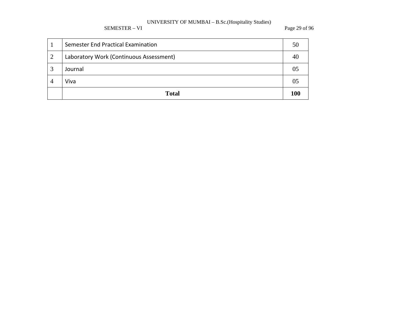SEMESTER – VI Page 29 of 96

|                | <b>Total</b>                            | 100 |
|----------------|-----------------------------------------|-----|
| 4              | Viva                                    |     |
| 3              | Journal                                 |     |
| $\overline{2}$ | Laboratory Work (Continuous Assessment) |     |
|                | Semester End Practical Examination      | 50  |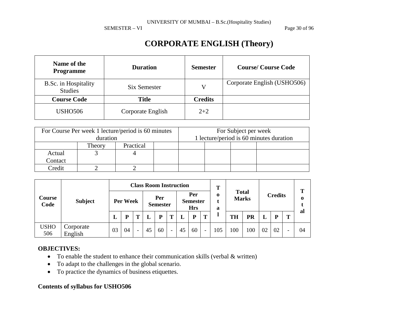SEMESTER – VI Page 30 of 96

# **CORPORATE ENGLISH (Theory)**

| Name of the<br><b>Programme</b>        | <b>Duration</b>   | <b>Semester</b> | <b>Course/Course Code</b>   |
|----------------------------------------|-------------------|-----------------|-----------------------------|
| B.Sc. in Hospitality<br><b>Studies</b> | Six Semester      | V               | Corporate English (USHO506) |
| <b>Course Code</b>                     | <b>Title</b>      | <b>Credits</b>  |                             |
| USHO <sub>506</sub>                    | Corporate English | $2 + 2$         |                             |

|         | For Course Per week 1 lecture/period is 60 minutes |           | For Subject per week                    |  |  |  |  |  |  |
|---------|----------------------------------------------------|-----------|-----------------------------------------|--|--|--|--|--|--|
|         | duration                                           |           | 1 lecture/period is 60 minutes duration |  |  |  |  |  |  |
|         | Theory                                             | Practical |                                         |  |  |  |  |  |  |
| Actual  |                                                    |           |                                         |  |  |  |  |  |  |
| Contact |                                                    |           |                                         |  |  |  |  |  |  |
| Credit  |                                                    |           |                                         |  |  |  |  |  |  |

| Course<br>Code     | <b>Subject</b>       |    |          |                          |    | <b>Class Room Instruction</b> |                          |    |                                      | m                        |                  |              |              |    |                | Т |          |
|--------------------|----------------------|----|----------|--------------------------|----|-------------------------------|--------------------------|----|--------------------------------------|--------------------------|------------------|--------------|--------------|----|----------------|---|----------|
|                    |                      |    | Per Week |                          |    | Per<br><b>Semester</b>        |                          |    | Per<br><b>Semester</b><br><b>Hrs</b> |                          | $\mathbf 0$<br>a | <b>Total</b> | <b>Marks</b> |    | <b>Credits</b> |   | $\bf{0}$ |
|                    |                      | L  |          |                          | L  | P                             | Т                        |    | P                                    | T                        |                  | <b>TH</b>    | PR           |    | P              | m | al       |
| <b>USHO</b><br>506 | Corporate<br>English | 03 | 04       | $\overline{\phantom{0}}$ | 45 | 60                            | $\overline{\phantom{0}}$ | 45 | 60                                   | $\overline{\phantom{a}}$ | 105              | 100          | 100          | 02 | 02             |   | 04       |

## **OBJECTIVES:**

- To enable the student to enhance their communication skills (verbal  $\&$  written)
- •To adapt to the challenges in the global scenario.
- To practice the dynamics of business etiquettes.

## **Contents of syllabus for USHO506**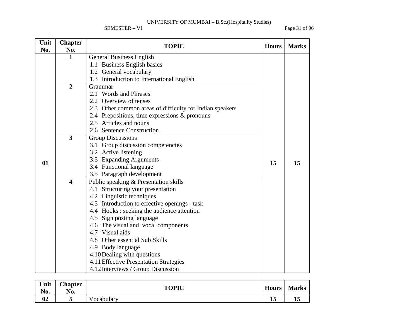SEMESTER – VI Page 31 of 96

| Unit<br>No. | <b>Chapter</b><br>No.   | <b>TOPIC</b>                                             | <b>Hours</b> | <b>Marks</b> |
|-------------|-------------------------|----------------------------------------------------------|--------------|--------------|
|             | $\mathbf{1}$            | <b>General Business English</b>                          |              |              |
|             |                         | 1.1 Business English basics                              |              |              |
|             |                         | 1.2 General vocabulary                                   |              |              |
|             |                         | 1.3 Introduction to International English                |              |              |
|             | $\overline{2}$          | Grammar                                                  |              |              |
|             |                         | 2.1 Words and Phrases                                    |              |              |
|             |                         | 2.2 Overview of tenses                                   |              |              |
|             |                         | 2.3 Other common areas of difficulty for Indian speakers |              |              |
|             |                         | 2.4 Prepositions, time expressions & pronouns            |              |              |
|             |                         | 2.5 Articles and nouns                                   |              |              |
|             |                         | 2.6 Sentence Construction                                |              |              |
|             | 3                       | <b>Group Discussions</b>                                 |              |              |
|             |                         | 3.1 Group discussion competencies                        |              |              |
|             |                         | 3.2 Active listening                                     |              |              |
| 01          |                         | 3.3 Expanding Arguments                                  | 15           | 15           |
|             |                         | 3.4 Functional language                                  |              |              |
|             |                         | 3.5 Paragraph development                                |              |              |
|             | $\overline{\mathbf{4}}$ | Public speaking & Presentation skills                    |              |              |
|             |                         | 4.1 Structuring your presentation                        |              |              |
|             |                         | 4.2 Linguistic techniques                                |              |              |
|             |                         | 4.3 Introduction to effective openings - task            |              |              |
|             |                         | 4.4 Hooks: seeking the audience attention                |              |              |
|             |                         | 4.5 Sign posting language                                |              |              |
|             |                         | 4.6 The visual and vocal components                      |              |              |
|             |                         | 4.7 Visual aids                                          |              |              |
|             |                         | 4.8 Other essential Sub Skills                           |              |              |
|             |                         | 4.9 Body language                                        |              |              |
|             |                         | 4.10 Dealing with questions                              |              |              |
|             |                         | 4.11 Effective Presentation Strategies                   |              |              |
|             |                         | 4.12 Interviews / Group Discussion                       |              |              |

| Unit<br>No. | <b>Chapter</b><br>No. | <b>TOPIC</b> | <b>Hours</b> | <b>Marks</b> |
|-------------|-----------------------|--------------|--------------|--------------|
| 02          | ັ                     | √ocabularv   | ∸            | ∸            |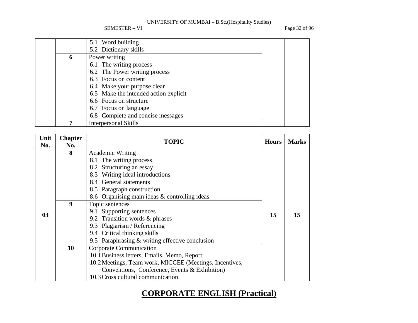SEMESTER – VI Page 32 of 96

|   | 5.1 Word building                     |  |
|---|---------------------------------------|--|
|   | 5.2 Dictionary skills                 |  |
| 6 | Power writing                         |  |
|   | 6.1 The writing process               |  |
|   | 6.2 The Power writing process         |  |
|   | 6.3 Focus on content                  |  |
|   | 6.4 Make your purpose clear           |  |
|   | 6.5 Make the intended action explicit |  |
|   | 6.6 Focus on structure                |  |
|   | 6.7 Focus on language                 |  |
|   | 6.8 Complete and concise messages     |  |
|   | <b>Interpersonal Skills</b>           |  |

| Unit<br>No.    | <b>Chapter</b><br>No.         | <b>TOPIC</b>                                            | <b>Hours</b> | <b>Marks</b> |
|----------------|-------------------------------|---------------------------------------------------------|--------------|--------------|
|                | 8                             | <b>Academic Writing</b>                                 |              |              |
|                |                               | 8.1 The writing process                                 |              |              |
|                |                               | 8.2 Structuring an essay                                |              |              |
|                |                               | 8.3 Writing ideal introductions                         |              |              |
|                |                               | 8.4 General statements                                  |              |              |
|                |                               | 8.5 Paragraph construction                              |              |              |
|                |                               | 8.6 Organising main ideas & controlling ideas           |              |              |
|                | 9                             | Topic sentences                                         |              |              |
| 0 <sub>3</sub> |                               | 9.1 Supporting sentences                                | 15           | 15           |
|                |                               | 9.2 Transition words & phrases                          |              |              |
|                |                               | 9.3 Plagiarism / Referencing                            |              |              |
|                |                               | 9.4 Critical thinking skills                            |              |              |
|                |                               | 9.5 Paraphrasing $&$ writing effective conclusion       |              |              |
|                | Corporate Communication<br>10 |                                                         |              |              |
|                |                               | 10.1 Business letters, Emails, Memo, Report             |              |              |
|                |                               | 10.2 Meetings, Team work, MICCEE (Meetings, Incentives, |              |              |
|                |                               | Conventions, Conference, Events & Exhibition)           |              |              |
|                |                               | 10.3 Cross cultural communication                       |              |              |

# **CORPORATE ENGLISH (Practical)**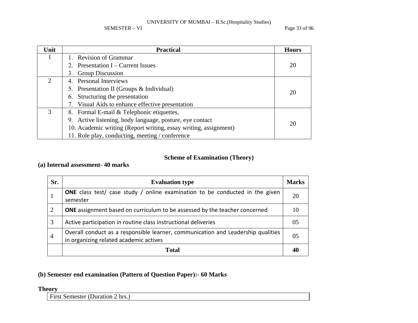SEMESTER – VI Page 33 of 96

| Unit | <b>Practical</b>                                                 | <b>Hours</b> |
|------|------------------------------------------------------------------|--------------|
|      | 1. Revision of Grammar                                           |              |
|      | 2. Presentation $I$ – Current Issues                             | 20           |
|      | 3. Group Discussion                                              |              |
|      | 4. Personal Interviews                                           |              |
|      | 5. Presentation II (Groups & Individual)                         | 20           |
|      | 6. Structuring the presentation                                  |              |
|      | 7. Visual Aids to enhance effective presentation                 |              |
| 3    | 8. Formal E-mail & Telephonic etiquettes,                        |              |
|      | 9. Active listening, body language, posture, eye contact         | 20           |
|      | 10. Academic writing (Report writing, essay writing, assignment) |              |
|      | 11. Role play, conducting, meeting / conference                  |              |

## **Scheme of Examination (Theory)**

## **(a) Internal assessment- 40 marks**

| Sr.            | <b>Evaluation type</b>                                                                                                     | <b>Marks</b>   |
|----------------|----------------------------------------------------------------------------------------------------------------------------|----------------|
|                | <b>ONE</b> class test/ case study / online examination to be conducted in the given<br>semester                            | 20             |
| 2              | <b>ONE</b> assignment based on curriculum to be assessed by the teacher concerned                                          | 10             |
| 3              | Active participation in routine class instructional deliveries                                                             | 0 <sub>5</sub> |
| $\overline{4}$ | Overall conduct as a responsible learner, communication and Leadership qualities<br>in organizing related academic actives | 05             |
|                | <b>Total</b>                                                                                                               |                |

## **(b) Semester end examination (Pattern of Question Paper):- 60 Marks**

## **Theory**

First Semester (Duration 2 hrs.)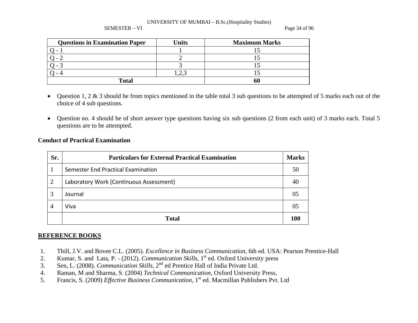#### SEMESTER – VI Page 34 of 96

| <b>Questions in Examination Paper</b> | Units | <b>Maximum Marks</b> |
|---------------------------------------|-------|----------------------|
|                                       |       |                      |
|                                       |       |                      |
|                                       |       |                      |
|                                       | ے وگ  |                      |
| <b>Total</b>                          |       |                      |

- • Question 1, 2 & 3 should be from topics mentioned in the table total 3 sub questions to be attempted of 5 marks each out of the choice of 4 sub questions.
- Question no. 4 should be of short answer type questions having six sub questions (2 from each unit) of 3 marks each. Total 5 questions are to be attempted.

## **Conduct of Practical Examination**

| Sr.            | <b>Particulars for External Practical Examination</b> | <b>Marks</b> |
|----------------|-------------------------------------------------------|--------------|
|                | Semester End Practical Examination                    | 50           |
| $\overline{2}$ | Laboratory Work (Continuous Assessment)               | 40           |
| 3              | Journal                                               | 05           |
| $\overline{4}$ | Viva                                                  | 05           |
|                | <b>Total</b>                                          | 100          |

## **REFERENCE BOOKS**

- 1.Thill, J.V. and Bovee C.L. (2005). *Excellence in Business Communication,* 6th ed. USA: Pearson Prentice-Hall
- 2.Kumar, S. and Lata, P. - (2012). *Communication Skills*, 1<sup>st</sup> ed. Oxford University press
- 3.Sen, L. (2008). *Communication Skills*, 2<sup>nd</sup> ed Prentice Hall of India Private Ltd.
- 4.Raman, M and Sharma, S. (2004) *Technical Communication,* Oxford University Press,
- 5.Francis, S. (2009) *Effective Business Communication*, 1<sup>st</sup> ed. Macmillan Publishers Pvt. Ltd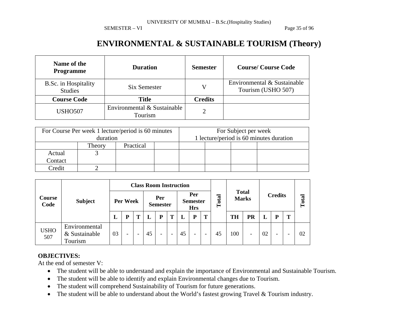SEMESTER – VI Page 35 of 96

## **ENVIRONMENTAL & SUSTAINABLE TOURISM (Theory)**

| Name of the<br><b>Programme</b>        | <b>Duration</b>                        | <b>Semester</b> | <b>Course/Course Code</b>                         |  |  |  |
|----------------------------------------|----------------------------------------|-----------------|---------------------------------------------------|--|--|--|
| B.Sc. in Hospitality<br><b>Studies</b> | Six Semester                           | V               | Environmental & Sustainable<br>Tourism (USHO 507) |  |  |  |
| <b>Course Code</b>                     | <b>Title</b>                           | <b>Credits</b>  |                                                   |  |  |  |
| <b>USHO507</b>                         | Environmental & Sustainable<br>Tourism | າ               |                                                   |  |  |  |

|          | For Course Per week 1 lecture/period is 60 minutes |  | For Subject per week |  |                                         |  |  |  |
|----------|----------------------------------------------------|--|----------------------|--|-----------------------------------------|--|--|--|
| duration |                                                    |  |                      |  | 1 lecture/period is 60 minutes duration |  |  |  |
|          | Practical<br>Theory                                |  |                      |  |                                         |  |  |  |
| Actual   |                                                    |  |                      |  |                                         |  |  |  |
| Contact  |                                                    |  |                      |  |                                         |  |  |  |
| Credit   |                                                    |  |                      |  |                                         |  |  |  |

|                       |                                           | <b>Class Room Instruction</b> |   |  |                        |   |                                      |    |                          |                              |    |                |                          |       |                          |   |    |
|-----------------------|-------------------------------------------|-------------------------------|---|--|------------------------|---|--------------------------------------|----|--------------------------|------------------------------|----|----------------|--------------------------|-------|--------------------------|---|----|
| <b>Course</b><br>Code | <b>Subject</b>                            | Per Week                      |   |  | Per<br><b>Semester</b> |   | Per<br><b>Semester</b><br><b>Hrs</b> |    | Total                    | <b>Total</b><br><b>Marks</b> |    | <b>Credits</b> |                          | Total |                          |   |    |
|                       |                                           | ப                             | D |  |                        | Þ | т                                    |    | P                        | Т                            |    | <b>TH</b>      | PR                       | L     | P                        | T |    |
| <b>USHO</b><br>507    | Environmental<br>& Sustainable<br>Tourism | 03                            | - |  | 45                     | - | -                                    | 45 | $\overline{\phantom{0}}$ | $\overline{\phantom{0}}$     | 45 | 100            | $\overline{\phantom{0}}$ | 02    | $\overline{\phantom{0}}$ |   | 02 |

## **OBJECTIVES:**

At the end of semester V:

- The student will be able to understand and explain the importance of Environmental and Sustainable Tourism.
- $\bullet$ The student will be able to identify and explain Environmental changes due to Tourism.
- •The student will comprehend Sustainability of Tourism for future generations.
- $\bullet$ The student will be able to understand about the World's fastest growing Travel & Tourism industry.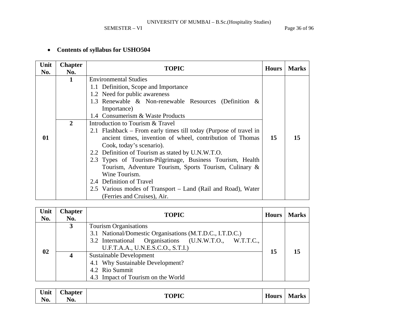SEMESTER – VI Page 36 of 96

#### • **Contents of syllabus for USHO504**

| Unit<br>No. | <b>Chapter</b><br>No.    | <b>TOPIC</b>                                                                  | <b>Hours</b> | <b>Marks</b> |  |  |  |  |  |  |
|-------------|--------------------------|-------------------------------------------------------------------------------|--------------|--------------|--|--|--|--|--|--|
|             | 1                        | <b>Environmental Studies</b>                                                  |              |              |  |  |  |  |  |  |
|             |                          | 1.1 Definition, Scope and Importance                                          |              |              |  |  |  |  |  |  |
|             |                          | 1.2 Need for public awareness                                                 |              |              |  |  |  |  |  |  |
|             |                          | 1.3 Renewable & Non-renewable Resources (Definition &                         |              |              |  |  |  |  |  |  |
|             |                          | Importance)                                                                   |              |              |  |  |  |  |  |  |
|             |                          | 1.4 Consumerism & Waste Products                                              |              |              |  |  |  |  |  |  |
|             | 2                        | Introduction to Tourism & Travel                                              |              |              |  |  |  |  |  |  |
|             |                          | 2.1 Flashback – From early times till today (Purpose of travel in             |              |              |  |  |  |  |  |  |
| 01          |                          | ancient times, invention of wheel, contribution of Thomas                     |              |              |  |  |  |  |  |  |
|             |                          | Cook, today's scenario).<br>2.2 Definition of Tourism as stated by U.N.W.T.O. |              |              |  |  |  |  |  |  |
|             |                          |                                                                               |              |              |  |  |  |  |  |  |
|             |                          | 2.3 Types of Tourism-Pilgrimage, Business Tourism, Health                     |              |              |  |  |  |  |  |  |
|             |                          | Tourism, Adventure Tourism, Sports Tourism, Culinary &                        |              |              |  |  |  |  |  |  |
|             |                          |                                                                               |              |              |  |  |  |  |  |  |
|             | 2.4 Definition of Travel |                                                                               |              |              |  |  |  |  |  |  |
|             |                          | 2.5 Various modes of Transport – Land (Rail and Road), Water                  |              |              |  |  |  |  |  |  |
|             |                          | (Ferries and Cruises), Air.                                                   |              |              |  |  |  |  |  |  |

| Unit<br>No. | <b>Chapter</b><br>No. | <b>TOPIC</b>                                                                                                                                             | Hours | <b>Marks</b> |
|-------------|-----------------------|----------------------------------------------------------------------------------------------------------------------------------------------------------|-------|--------------|
| 02          | $\mathbf{3}$          | Tourism Organisations<br>3.1 National/Domestic Organisations (M.T.D.C., I.T.D.C.)<br>3.2 International Organisations (U.N.W.T.O., W.T.T.C.,              | 15    |              |
|             |                       | U.F.T.A.A., U.N.E.S.C.O., S.T.I.)<br>Sustainable Development<br>4.1 Why Sustainable Development?<br>4.2 Rio Summit<br>4.3 Impact of Tourism on the World |       |              |

| $\mathbf{r}$<br>$\bullet$<br>Unit | ~1<br><b>Chapter</b> | <b>TOPIC</b> | $\mathbf{v}$<br><b>Hours</b> | <b>Marks</b> |
|-----------------------------------|----------------------|--------------|------------------------------|--------------|
| - -<br>No.                        | No.                  |              |                              |              |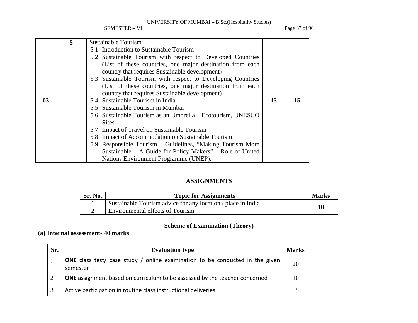SEMESTER – VI Page 37 of 96

|                | 5 | <b>Sustainable Tourism</b>                                     |    |    |
|----------------|---|----------------------------------------------------------------|----|----|
|                |   | 5.1 Introduction to Sustainable Tourism                        |    |    |
|                |   | 5.2 Sustainable Tourism with respect to Developed Countries    |    |    |
|                |   | (List of these countries, one major destination from each      |    |    |
|                |   | country that requires Sustainable development)                 |    |    |
|                |   | 5.3 Sustainable Tourism with respect to Developing Countries   |    |    |
|                |   | (List of these countries, one major destination from each      |    |    |
|                |   | country that requires Sustainable development)                 |    |    |
| 0 <sub>3</sub> |   | 5.4 Sustainable Tourism in India                               | 15 | 15 |
|                |   | 5.5 Sustainable Tourism in Mumbai                              |    |    |
|                |   | 5.6 Sustainable Tourism as an Umbrella – Ecotourism, UNESCO    |    |    |
|                |   | Sites.                                                         |    |    |
|                |   | 5.7 Impact of Travel on Sustainable Tourism                    |    |    |
|                |   | 5.8 Impact of Accommodation on Sustainable Tourism             |    |    |
|                |   | 5.9 Responsible Tourism – Guidelines, "Making Tourism More     |    |    |
|                |   | Sustainable $- A$ Guide for Policy Makers" $- R$ ole of United |    |    |
|                |   | Nations Environment Programme (UNEP).                          |    |    |

### **ASSIGNMENTS**

| Sr. No. | <b>Topic for Assignments</b>                                 | <b>Marks</b> |
|---------|--------------------------------------------------------------|--------------|
|         | Sustainable Tourism advice for any location / place in India |              |
|         | Environmental effects of Tourism                             |              |

### **Scheme of Examination (Theory)**

### **(a) Internal assessment- 40 marks**

| Sr. | <b>Evaluation type</b>                                                                          | <b>Marks</b> |
|-----|-------------------------------------------------------------------------------------------------|--------------|
|     | <b>ONE</b> class test/ case study / online examination to be conducted in the given<br>semester | 20           |
|     | <b>ONE</b> assignment based on curriculum to be assessed by the teacher concerned               | 10           |
|     | Active participation in routine class instructional deliveries                                  |              |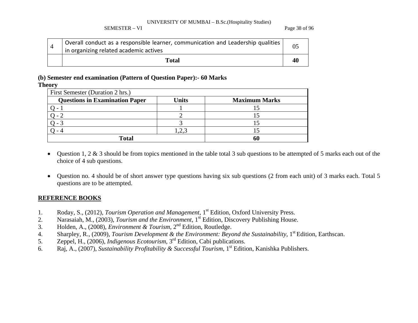#### SEMESTER – VI Page 38 of 96

| Overall conduct as a responsible learner, communication and Leadership qualities<br>in organizing related academic actives |     |
|----------------------------------------------------------------------------------------------------------------------------|-----|
| Total                                                                                                                      | -46 |

### **(b) Semester end examination (Pattern of Question Paper):- 60 Marks**

**Theory** 

| First Semester (Duration 2 hrs.)      |       |                      |  |  |  |  |  |  |  |
|---------------------------------------|-------|----------------------|--|--|--|--|--|--|--|
| <b>Questions in Examination Paper</b> | Units | <b>Maximum Marks</b> |  |  |  |  |  |  |  |
|                                       |       |                      |  |  |  |  |  |  |  |
|                                       |       |                      |  |  |  |  |  |  |  |
|                                       |       |                      |  |  |  |  |  |  |  |
|                                       |       |                      |  |  |  |  |  |  |  |
| <b>Total</b>                          |       | 60                   |  |  |  |  |  |  |  |

- $\bullet$  Question 1, 2 & 3 should be from topics mentioned in the table total 3 sub questions to be attempted of 5 marks each out of the choice of 4 sub questions.
- $\bullet$  Question no. 4 should be of short answer type questions having six sub questions (2 from each unit) of 3 marks each. Total 5 questions are to be attempted.

- 1.Roday, S., (2012), *Tourism Operation and Management*, 1<sup>st</sup> Edition, Oxford University Press.
- 2.Narasaiah, M., (2003), *Tourism and the Environment*, <sup>1</sup>st Edition, Discovery Publishing House.
- 3.Holden, A., (2008), *Environment & Tourism*, 2<sup>nd</sup> Edition, Routledge.
- 4.Sharpley, R., (2009), *Tourism Development & the Environment: Beyond the Sustainability*, 1<sup>st</sup> Edition, Earthscan.
- 5.Zeppel, H., (2006), *Indigenous Ecotourism*, <sup>3</sup>rd Edition, Cabi publications.
- 6.Raj, A., (2007), *Sustainability Profitability & Successful Tourism*, <sup>1</sup>st Edition, Kanishka Publishers.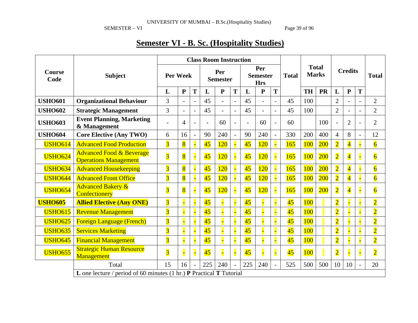SEMESTER – VI Page 39 of 96

# **Semester VI - B. Sc. (Hospitality Studies)**

|                       |                                                                                                    |                         |                |                        |                 | <b>Class Room Instruction</b> |                                      |                 |            |                          |                              |            |                |                |                         |              |                |  |
|-----------------------|----------------------------------------------------------------------------------------------------|-------------------------|----------------|------------------------|-----------------|-------------------------------|--------------------------------------|-----------------|------------|--------------------------|------------------------------|------------|----------------|----------------|-------------------------|--------------|----------------|--|
| <b>Course</b><br>Code | <b>Subject</b>                                                                                     | Per Week                |                | Per<br><b>Semester</b> |                 |                               | Per<br><b>Semester</b><br><b>Hrs</b> |                 |            | <b>Total</b>             | <b>Total</b><br><b>Marks</b> |            | <b>Credits</b> |                |                         | <b>Total</b> |                |  |
|                       |                                                                                                    | L                       | $\mathbf{P}$   | T                      | L               | ${\bf P}$                     | T                                    | L               | ${\bf P}$  | T                        |                              | <b>TH</b>  | <b>PR</b>      | L              | ${\bf P}$               | T            |                |  |
| <b>USHO601</b>        | <b>Organizational Behaviour</b>                                                                    | 3                       |                |                        | 45              | $\blacksquare$                | $\overline{a}$                       | 45              |            | $\overline{a}$           | 45                           | 100        |                | $\overline{2}$ |                         |              | $\overline{2}$ |  |
| <b>USHO602</b>        | <b>Strategic Management</b>                                                                        | 3                       |                |                        | 45              | $\overline{a}$                |                                      | 45              |            |                          | 45                           | 100        |                | $\overline{2}$ |                         |              | $\overline{2}$ |  |
| <b>USHO603</b>        | <b>Event Planning, Marketing</b><br>& Management                                                   |                         | 4              |                        |                 | 60                            |                                      | $\overline{a}$  | 60         | $\overline{\phantom{a}}$ | 60                           |            | 100            | $\overline{a}$ | $\overline{2}$          |              | $\overline{2}$ |  |
| <b>USHO604</b>        | <b>Core Elective (Any TWO)</b>                                                                     | 6                       | 16             | $\overline{a}$         | 90              | 240                           | $\overline{a}$                       | 90              | 240        |                          | 330                          | 200        | 400            | $\overline{4}$ | 8                       |              | 12             |  |
| <b>USHO614</b>        | <b>Advanced Food Production</b>                                                                    | $\overline{3}$          | $\overline{8}$ |                        | 45              | <b>120</b>                    |                                      | $\overline{45}$ | <b>120</b> |                          | 165                          | <b>100</b> | 200            | $\overline{2}$ | $\overline{\mathbf{4}}$ |              | $\overline{6}$ |  |
| <b>USHO624</b>        | <b>Advanced Food &amp; Beverage</b><br><b>Operations Management</b>                                | $\overline{3}$          | $\overline{8}$ |                        | 45              | 120                           |                                      | $\overline{45}$ | <b>120</b> | F                        | 165                          | <b>100</b> | 200            | $\overline{2}$ | $\overline{\mathbf{4}}$ |              | $\overline{6}$ |  |
| <b>USHO634</b>        | <b>Advanced Housekeeping</b>                                                                       | $\overline{3}$          | $\overline{8}$ |                        | 45              | 120                           |                                      | $\overline{45}$ | 120        | F                        | 165                          | <b>100</b> | 200            | $\overline{2}$ | $\overline{\mathbf{4}}$ |              | $\overline{6}$ |  |
| <b>USHO644</b>        | <b>Advanced Front Office</b>                                                                       | $\overline{3}$          | 8              |                        | 45              | 120                           |                                      | 45              | 120        |                          | 165                          | 100        | 200            | $\overline{2}$ | $\overline{\mathbf{4}}$ |              | $\overline{6}$ |  |
| <b>USHO654</b>        | <b>Advanced Bakery &amp;</b><br>Confectionery                                                      | $\overline{3}$          | $\overline{8}$ |                        | $\overline{45}$ | 120                           |                                      | $\overline{45}$ | <b>120</b> | F                        | 165                          | 100        | 200            | $\overline{2}$ | $\overline{\mathbf{4}}$ |              | $\overline{6}$ |  |
| <b>USHO605</b>        | <b>Allied Elective (Any ONE)</b>                                                                   | $\overline{\mathbf{3}}$ |                |                        | 45              |                               |                                      | $\overline{45}$ |            |                          | $\overline{45}$              | 100        |                | $\overline{2}$ |                         |              | $\overline{2}$ |  |
| <b>USHO615</b>        | <b>Revenue Management</b>                                                                          | $\overline{3}$          |                |                        | 45              |                               |                                      | $\overline{45}$ |            |                          | 45                           | 100        |                | $\overline{2}$ |                         |              | $\overline{2}$ |  |
| <b>USHO625</b>        | <b>Foreign Language (French)</b>                                                                   | $\overline{3}$          |                |                        | 45              |                               |                                      | $\overline{45}$ |            | F                        | $\overline{45}$              | 100        |                | $\overline{2}$ |                         |              | $\overline{2}$ |  |
| <b>USHO635</b>        | <b>Services Marketing</b>                                                                          | $\overline{3}$          |                |                        | 45              |                               |                                      | $\overline{45}$ |            |                          | $\overline{45}$              | 100        |                | $\overline{2}$ |                         |              | $\overline{2}$ |  |
| <b>USHO645</b>        | <b>Financial Management</b>                                                                        | $\overline{3}$          |                |                        | 45              |                               |                                      | 45              |            |                          | $\overline{45}$              | 100        |                | $\overline{2}$ |                         |              | $\overline{2}$ |  |
| <b>USHO655</b>        | <b>Strategic Human Resource</b><br><b>Management</b>                                               | $\overline{3}$          |                |                        | 45              |                               |                                      | $\overline{45}$ |            | F                        | $\overline{45}$              | <b>100</b> |                | $\overline{2}$ |                         |              | $\overline{2}$ |  |
|                       | Total                                                                                              | 15                      | 16             |                        | 225             | 240                           |                                      | 225             | 240        | $\overline{a}$           | 525                          | 500        | 500            | 10             | 10                      |              | 20             |  |
|                       | <b>L</b> one lecture / period of 60 minutes $(1 \text{ hr.})$ <b>P</b> Practical <b>T</b> Tutorial |                         |                |                        |                 |                               |                                      |                 |            |                          |                              |            |                |                |                         |              |                |  |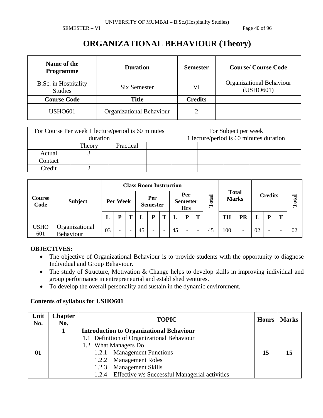SEMESTER – VI Page 40 of 96

### **ORGANIZATIONAL BEHAVIOUR (Theory)**

| Name of the<br><b>Programme</b>        | <b>Duration</b>                 | <b>Semester</b> | <b>Course/Course Code</b>             |
|----------------------------------------|---------------------------------|-----------------|---------------------------------------|
| B.Sc. in Hospitality<br><b>Studies</b> | Six Semester                    | VI              | Organizational Behaviour<br>(USHO601) |
| <b>Course Code</b>                     | <b>Title</b>                    | <b>Credits</b>  |                                       |
| <b>USHO601</b>                         | <b>Organizational Behaviour</b> |                 |                                       |

|         | For Course Per week 1 lecture/period is 60 minutes<br>duration |           |  | For Subject per week | 1 lecture/period is 60 minutes duration |  |
|---------|----------------------------------------------------------------|-----------|--|----------------------|-----------------------------------------|--|
|         | Theory                                                         | Practical |  |                      |                                         |  |
| Actual  |                                                                |           |  |                      |                                         |  |
| Contact |                                                                |           |  |                      |                                         |  |
| Credit  |                                                                |           |  |                      |                                         |  |

| Course<br>Code     |                             |    |                          | <b>Class Room Instruction</b> |                          |   |    |                                      |                          |       | <b>Total</b><br><b>Marks</b> |                          |    |                     |  |    |
|--------------------|-----------------------------|----|--------------------------|-------------------------------|--------------------------|---|----|--------------------------------------|--------------------------|-------|------------------------------|--------------------------|----|---------------------|--|----|
|                    | <b>Subject</b>              |    | Per Week                 |                               | Per<br><b>Semester</b>   |   |    | Per<br><b>Semester</b><br><b>Hrs</b> |                          | Total |                              |                          |    | <b>Credits</b><br>m |  |    |
|                    |                             |    |                          |                               | P                        | т |    | P                                    | Т                        |       | <b>TH</b>                    | PR                       | L  |                     |  |    |
| <b>USHO</b><br>601 | Organizational<br>Behaviour | 03 | $\overline{\phantom{a}}$ | 45                            | $\overline{\phantom{0}}$ | - | 45 | $\qquad \qquad -$                    | $\overline{\phantom{0}}$ | 45    | 100                          | $\overline{\phantom{0}}$ | 02 |                     |  | 02 |

### **OBJECTIVES:**

- The objective of Organizational Behaviour is to provide students with the opportunity to diagnose Individual and Group Behaviour.
- The study of Structure, Motivation & Change helps to develop skills in improving individual and group performance in entrepreneurial and established ventures.
- To develop the overall personality and sustain in the dynamic environment.

| Unit<br>No. | <b>Chapter</b><br>No. | <b>TOPIC</b>                                         | <b>Hours</b> | <b>Marks</b> |
|-------------|-----------------------|------------------------------------------------------|--------------|--------------|
|             |                       | <b>Introduction to Organizational Behaviour</b>      |              |              |
|             |                       | 1.1 Definition of Organizational Behaviour           |              |              |
|             |                       | 1.2 What Managers Do                                 |              |              |
| 01          |                       | 1.2.1 Management Functions                           | 15           | 15           |
|             |                       | 1.2.2 Management Roles                               |              |              |
|             |                       | 1.2.3 Management Skills                              |              |              |
|             |                       | 1.2.4 Effective v/s Successful Managerial activities |              |              |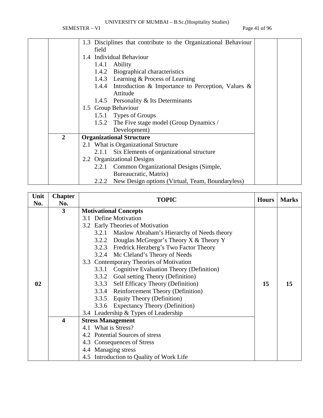SEMESTER – VI Page 41 of 96

|                | 1.3 Disciplines that contribute to the Organizational Behaviour |  |
|----------------|-----------------------------------------------------------------|--|
|                | field                                                           |  |
|                | 1.4 Individual Behaviour                                        |  |
|                | 1.4.1<br>Ability                                                |  |
|                | 1.4.2 Biographical characteristics                              |  |
|                | 1.4.3 Learning & Process of Learning                            |  |
|                | 1.4.4 Introduction & Importance to Perception, Values $\&$      |  |
|                | Attitude                                                        |  |
|                | 1.4.5 Personality & Its Determinants                            |  |
|                | 1.5 Group Behaviour                                             |  |
|                | 1.5.1 Types of Groups                                           |  |
|                | 1.5.2 The Five stage model (Group Dynamics /                    |  |
|                | Development)                                                    |  |
| $\overline{2}$ | <b>Organizational Structure</b>                                 |  |
|                | 2.1 What is Organizational Structure                            |  |
|                | Six Elements of organizational structure<br>2.1.1               |  |
|                | 2.2 Organizational Designs                                      |  |
|                | Common Organizational Designs (Simple,<br>2.2.1                 |  |
|                | Bureaucratic, Matrix)                                           |  |
|                | New Design options (Virtual, Team, Boundaryless)<br>2.2.2       |  |

| Unit | <b>Chapter</b>   | <b>TOPIC</b>                                      | <b>Hours</b> | <b>Marks</b> |
|------|------------------|---------------------------------------------------|--------------|--------------|
| No.  | No.              |                                                   |              |              |
|      | 3                | <b>Motivational Concepts</b>                      |              |              |
|      |                  | 3.1 Define Motivation                             |              |              |
|      |                  | 3.2 Early Theories of Motivation                  |              |              |
|      |                  | 3.2.1 Maslow Abraham's Hierarchy of Needs theory  |              |              |
|      |                  | Douglas McGregor's Theory $X &$ Theory Y<br>3.2.2 |              |              |
|      |                  | 3.2.3 Fredrick Herzberg's Two Factor Theory       |              |              |
|      |                  | 3.2.4 Mc Cleland's Theory of Needs                |              |              |
|      |                  | 3.3 Contemporary Theories of Motivation           |              |              |
|      |                  | Cognitive Evaluation Theory (Definition)<br>3.3.1 |              |              |
|      |                  | 3.3.2 Goal setting Theory (Definition)            |              |              |
| 02   |                  | 3.3.3 Self Efficacy Theory (Definition)           | 15           | 15           |
|      |                  | 3.3.4 Reinforcement Theory (Definition)           |              |              |
|      |                  | 3.3.5 Equity Theory (Definition)                  |              |              |
|      |                  | 3.3.6 Expectancy Theory (Definition)              |              |              |
|      |                  | 3.4 Leadership & Types of Leadership              |              |              |
|      | $\boldsymbol{4}$ | <b>Stress Management</b>                          |              |              |
|      |                  | 4.1 What is Stress?                               |              |              |
|      |                  | 4.2 Potential Sources of stress                   |              |              |
|      |                  | 4.3 Consequences of Stress                        |              |              |
|      |                  | 4.4 Managing stress                               |              |              |
|      |                  | 4.5 Introduction to Quality of Work Life          |              |              |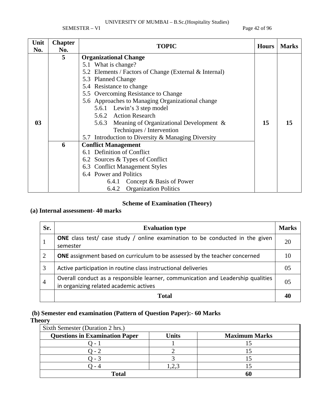SEMESTER – VI Page 42 of 96

| Unit<br>No.    | <b>Chapter</b><br>No. | <b>TOPIC</b>                                           | <b>Hours</b> | <b>Marks</b> |
|----------------|-----------------------|--------------------------------------------------------|--------------|--------------|
|                | 5                     | <b>Organizational Change</b>                           |              |              |
|                |                       | 5.1 What is change?                                    |              |              |
|                |                       | 5.2 Elements / Factors of Change (External & Internal) |              |              |
|                |                       | 5.3 Planned Change                                     |              |              |
|                |                       | 5.4 Resistance to change                               |              |              |
|                |                       | 5.5 Overcoming Resistance to Change                    |              |              |
|                |                       | 5.6 Approaches to Managing Organizational change       |              |              |
|                |                       | 5.6.1 Lewin's 3 step model                             |              |              |
|                |                       | 5.6.2 Action Research                                  |              |              |
| 0 <sub>3</sub> |                       | 5.6.3 Meaning of Organizational Development &          | 15           | 15           |
|                |                       | Techniques / Intervention                              |              |              |
|                |                       | 5.7 Introduction to Diversity & Managing Diversity     |              |              |
|                | 6                     | <b>Conflict Management</b>                             |              |              |
|                |                       | 6.1 Definition of Conflict                             |              |              |
|                |                       |                                                        |              |              |
|                |                       | 6.3 Conflict Management Styles                         |              |              |
|                |                       | 6.4 Power and Politics                                 |              |              |
|                |                       | 6.4.1 Concept & Basis of Power                         |              |              |
|                |                       | <b>Organization Politics</b><br>6.4.2                  |              |              |

### **Scheme of Examination (Theory)**

### **(a) Internal assessment- 40 marks**

| Sr.            | <b>Evaluation type</b>                                                                                                     | <b>Marks</b>   |
|----------------|----------------------------------------------------------------------------------------------------------------------------|----------------|
|                | <b>ONE</b> class test/ case study / online examination to be conducted in the given<br>semester                            | 20             |
| 2              | <b>ONE</b> assignment based on curriculum to be assessed by the teacher concerned                                          | 10             |
| 3              | Active participation in routine class instructional deliveries                                                             | 0 <sub>5</sub> |
| $\overline{4}$ | Overall conduct as a responsible learner, communication and Leadership qualities<br>in organizing related academic actives | 0 <sub>5</sub> |
|                | Total                                                                                                                      |                |

### **(b) Semester end examination (Pattern of Question Paper):- 60 Marks**

### **Theory**

| Sixth Semester (Duration 2 hrs.)      |       |                      |  |  |  |  |  |
|---------------------------------------|-------|----------------------|--|--|--|--|--|
| <b>Questions in Examination Paper</b> | Units | <b>Maximum Marks</b> |  |  |  |  |  |
|                                       |       |                      |  |  |  |  |  |
|                                       |       |                      |  |  |  |  |  |
|                                       |       |                      |  |  |  |  |  |
|                                       |       |                      |  |  |  |  |  |
| Total                                 |       |                      |  |  |  |  |  |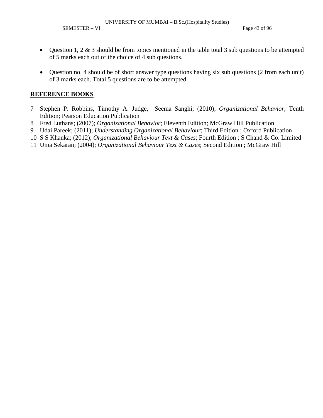SEMESTER – VI Page 43 of 96

- Question 1, 2  $\&$  3 should be from topics mentioned in the table total 3 sub questions to be attempted of 5 marks each out of the choice of 4 sub questions.
- Question no. 4 should be of short answer type questions having six sub questions (2 from each unit) of 3 marks each. Total 5 questions are to be attempted.

- 7 Stephen P. Robbins, Timothy A. Judge, Seema Sanghi; (2010); *Organizational Behavior*; Tenth Edition; Pearson Education Publication
- 8 Fred Luthans; (2007); *Organizational Behavior*; Eleventh Edition; McGraw Hill Publication
- 9 Udai Pareek; (2011); *Understanding Organizational Behaviour*; Third Edition ; Oxford Publication
- 10 S S Khanka; (2012); *Organizational Behaviour Text & Cases*; Fourth Edition ; S Chand & Co. Limited
- 11 Uma Sekaran; (2004); *Organizational Behaviour Text & Cases*; Second Edition ; McGraw Hill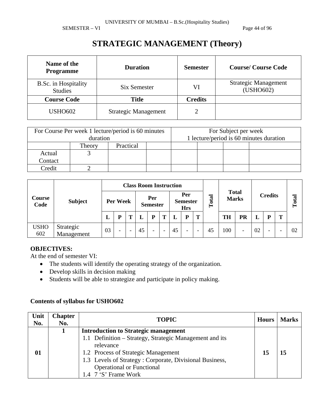SEMESTER – VI Page 44 of 96

# **STRATEGIC MANAGEMENT (Theory)**

| Name of the<br><b>Programme</b>        | <b>Duration</b>             | <b>Semester</b> | <b>Course/Course Code</b>                |
|----------------------------------------|-----------------------------|-----------------|------------------------------------------|
| B.Sc. in Hospitality<br><b>Studies</b> | Six Semester                | VI              | <b>Strategic Management</b><br>(USHO602) |
| <b>Course Code</b>                     | <b>Title</b>                | <b>Credits</b>  |                                          |
| <b>USHO602</b>                         | <b>Strategic Management</b> |                 |                                          |

| For Course Per week 1 lecture/period is 60 minutes<br>duration |        |           |  |  | For Subject per week<br>1 lecture/period is 60 minutes duration |  |  |
|----------------------------------------------------------------|--------|-----------|--|--|-----------------------------------------------------------------|--|--|
|                                                                | Theory | Practical |  |  |                                                                 |  |  |
| Actual                                                         |        |           |  |  |                                                                 |  |  |
| Contact                                                        |        |           |  |  |                                                                 |  |  |
| Credit                                                         |        |           |  |  |                                                                 |  |  |

|                       |                         | <b>Class Room Instruction</b> |                          |                        |    |                                      |                          |           |                              |                          |                |           |           |    |   |   |    |
|-----------------------|-------------------------|-------------------------------|--------------------------|------------------------|----|--------------------------------------|--------------------------|-----------|------------------------------|--------------------------|----------------|-----------|-----------|----|---|---|----|
| <b>Course</b><br>Code | <b>Subject</b>          | Per Week                      |                          | Per<br><b>Semester</b> |    | Per<br><b>Semester</b><br><b>Hrs</b> |                          | otal<br>⊨ | <b>Total</b><br><b>Marks</b> |                          | <b>Credits</b> |           | otal      |    |   |   |    |
|                       |                         | L                             | D                        |                        |    | P                                    | Т                        |           | P                            | Т                        |                | <b>TH</b> | <b>PR</b> |    | P | m |    |
| <b>USHO</b><br>602    | Strategic<br>Management | 03                            | $\overline{\phantom{a}}$ |                        | 45 | $\overline{\phantom{0}}$             | $\overline{\phantom{0}}$ | 45        | $\overline{\phantom{0}}$     | $\overline{\phantom{a}}$ | 45             | 100       | ۰         | 02 | - |   | 02 |

### **OBJECTIVES:**

At the end of semester VI:

- The students will identify the operating strategy of the organization.
- Develop skills in decision making
- Students will be able to strategize and participate in policy making.

| Unit<br>No. | <b>Chapter</b><br>No. | <b>TOPIC</b>                                            | <b>Hours</b> | <b>Marks</b> |
|-------------|-----------------------|---------------------------------------------------------|--------------|--------------|
|             |                       | <b>Introduction to Strategic management</b>             |              |              |
|             |                       | 1.1 Definition – Strategy, Strategic Management and its |              |              |
|             |                       | relevance                                               |              |              |
| 01          |                       | 1.2 Process of Strategic Management                     | 15           | 15           |
|             |                       | 1.3 Levels of Strategy: Corporate, Divisional Business, |              |              |
|             |                       | <b>Operational or Functional</b>                        |              |              |
|             |                       | 1.4 7 'S' Frame Work                                    |              |              |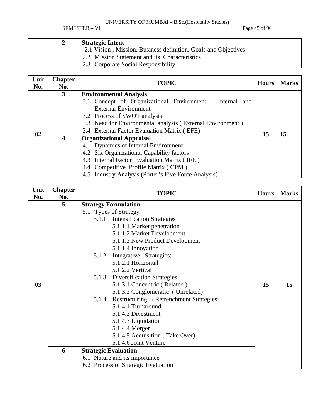SEMESTER – VI Page 45 of 96

|  | <b>Strategic Intent</b>                                        |  |
|--|----------------------------------------------------------------|--|
|  | 2.1 Vision, Mission, Business definition, Goals and Objectives |  |
|  | 2.2 Mission Statement and its Characteristics                  |  |
|  | 2.3 Corporate Social Responsibility                            |  |

| Unit<br>No. | <b>Chapter</b><br>No. | <b>TOPIC</b>                                               | <b>Hours</b> | <b>Marks</b> |  |  |  |  |
|-------------|-----------------------|------------------------------------------------------------|--------------|--------------|--|--|--|--|
|             | 3                     | <b>Environmental Analysis</b>                              |              |              |  |  |  |  |
|             |                       | 3.1 Concept of Organizational Environment : Internal and   |              |              |  |  |  |  |
|             |                       | <b>External Environment</b>                                |              |              |  |  |  |  |
|             |                       | 3.2 Process of SWOT analysis                               |              |              |  |  |  |  |
|             |                       | 3.3 Need for Environmental analysis (External Environment) |              |              |  |  |  |  |
| 02          |                       |                                                            | 15           |              |  |  |  |  |
|             | 4                     | <b>Organizational Appraisal</b>                            | 15           |              |  |  |  |  |
|             |                       | 4.1 Dynamics of Internal Environment                       |              |              |  |  |  |  |
|             |                       | 4.2 Six Organizational Capability factors                  |              |              |  |  |  |  |
|             |                       | 4.3 Internal Factor Evaluation Matrix (IFE)                |              |              |  |  |  |  |
|             |                       | 4.4 Competitive Profile Matrix (CPM)                       |              |              |  |  |  |  |
|             |                       | 4.5 Industry Analysis (Porter's Five Force Analysis)       |              |              |  |  |  |  |

| Unit<br>No. | <b>Chapter</b> | <b>TOPIC</b>                                   | <b>Hours</b> | <b>Marks</b> |
|-------------|----------------|------------------------------------------------|--------------|--------------|
|             | No.            |                                                |              |              |
|             | 5              | <b>Strategy Formulation</b>                    |              |              |
|             |                | 5.1 Types of Strategy                          |              |              |
|             |                | 5.1.1 Intensification Strategies :             |              |              |
|             |                | 5.1.1.1 Market penetration                     |              |              |
|             |                | 5.1.1.2 Market Development                     |              |              |
|             |                | 5.1.1.3 New Product Development                |              |              |
|             |                | 5.1.1.4 Innovation                             |              |              |
|             |                | 5.1.2 Integrative Strategies:                  |              |              |
|             |                | 5.1.2.1 Horizontal                             |              |              |
|             |                | 5.1.2.2 Vertical                               |              |              |
|             |                | 5.1.3 Diversification Strategies               |              |              |
| 03          |                | 5.1.3.1 Concentric (Related)                   | 15           | 15           |
|             |                | 5.1.3.2 Conglomeratic (Unrelated)              |              |              |
|             |                | 5.1.4 Restructuring / Retrenchment Strategies: |              |              |
|             |                | 5.1.4.1 Turnaround                             |              |              |
|             |                | 5.1.4.2 Divestment                             |              |              |
|             |                | 5.1.4.3 Liquidation                            |              |              |
|             |                | 5.1.4.4 Merger                                 |              |              |
|             |                | 5.1.4.5 Acquisition (Take Over)                |              |              |
|             |                | 5.1.4.6 Joint Venture                          |              |              |
|             | 6              | <b>Strategic Evaluation</b>                    |              |              |
|             |                | 6.1 Nature and its importance                  |              |              |
|             |                | 6.2 Process of Strategic Evaluation            |              |              |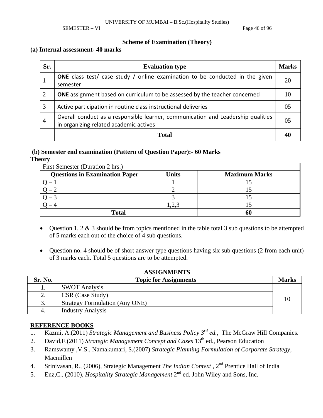SEMESTER – VI Page 46 of 96

### **Scheme of Examination (Theory)**

### **(a) Internal assessment- 40 marks**

| Sr.            | <b>Evaluation type</b>                                                                                                     | <b>Marks</b> |
|----------------|----------------------------------------------------------------------------------------------------------------------------|--------------|
| 1              | <b>ONE</b> class test/ case study / online examination to be conducted in the given<br>semester                            | 20           |
| 2              | <b>ONE</b> assignment based on curriculum to be assessed by the teacher concerned                                          | 10           |
| 3              | Active participation in routine class instructional deliveries                                                             | 05           |
| $\overline{4}$ | Overall conduct as a responsible learner, communication and Leadership qualities<br>in organizing related academic actives | 05           |
|                | Total                                                                                                                      |              |

### **(b) Semester end examination (Pattern of Question Paper):- 60 Marks**

**Theory** 

| First Semester (Duration 2 hrs.)      |       |                      |  |  |  |  |
|---------------------------------------|-------|----------------------|--|--|--|--|
| <b>Questions in Examination Paper</b> | Units | <b>Maximum Marks</b> |  |  |  |  |
|                                       |       |                      |  |  |  |  |
|                                       |       |                      |  |  |  |  |
|                                       |       |                      |  |  |  |  |
|                                       |       |                      |  |  |  |  |
| <b>Total</b>                          |       |                      |  |  |  |  |

- Question 1, 2 & 3 should be from topics mentioned in the table total 3 sub questions to be attempted of 5 marks each out of the choice of 4 sub questions.
- Question no. 4 should be of short answer type questions having six sub questions (2 from each unit) of 3 marks each. Total 5 questions are to be attempted.

| Sr. No. | <b>Topic for Assignments</b>          | <b>Marks</b> |
|---------|---------------------------------------|--------------|
| ı.      | <b>SWOT Analysis</b>                  |              |
| ۷.      | CSR (Case Study)                      |              |
|         | <b>Strategy Formulation (Any ONE)</b> |              |
| 4.      | <b>Industry Analysis</b>              |              |

### **ASSIGNMENTS**

- 1. Kazmi, A.(2011) *Strategic Management and Business Policy 3rd ed.,* The McGraw Hill Companies.
- 2. David, F.(2011) *Strategic Management Concept and Cases* 13<sup>th</sup> ed., Pearson Education
- 3. Ramswamy ,V.S., Namakumari, S.(2007) *Strategic Planning Formulation of Corporate Strategy,*  Macmillen
- 4. Srinivasan, R., (2006), Strategic Management *The Indian Context* , 2nd Prentice Hall of India
- 5. Enz,C., (2010), *Hospitality Strategic Management* 2nd ed. John Wiley and Sons, Inc.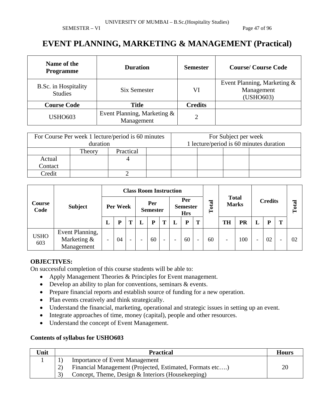SEMESTER – VI Page 47 of 96

### **EVENT PLANNING, MARKETING & MANAGEMENT (Practical)**

| Name of the<br><b>Programme</b>        | <b>Duration</b>                           | <b>Semester</b> | <b>Course/Course Code</b>                              |
|----------------------------------------|-------------------------------------------|-----------------|--------------------------------------------------------|
| B.Sc. in Hospitality<br><b>Studies</b> | Six Semester                              | VI              | Event Planning, Marketing &<br>Management<br>(USHO603) |
| <b>Course Code</b>                     | <b>Title</b>                              | <b>Credits</b>  |                                                        |
| <b>USHO603</b>                         | Event Planning, Marketing &<br>Management | $\overline{2}$  |                                                        |

|         |          | For Course Per week 1 lecture/period is 60 minutes | For Subject per week                    |  |  |  |  |  |
|---------|----------|----------------------------------------------------|-----------------------------------------|--|--|--|--|--|
|         | duration |                                                    | 1 lecture/period is 60 minutes duration |  |  |  |  |  |
|         | Theory   | Practical                                          |                                         |  |  |  |  |  |
| Actual  |          |                                                    |                                         |  |  |  |  |  |
| Contact |          |                                                    |                                         |  |  |  |  |  |
| Credit  |          |                                                    |                                         |  |  |  |  |  |

| <b>Course</b><br>Code |                                              |          | <b>Class Room Instruction</b> |                          |                          |    |                          |                                      |    |                          |                              |                          |                |   |        |   |    |
|-----------------------|----------------------------------------------|----------|-------------------------------|--------------------------|--------------------------|----|--------------------------|--------------------------------------|----|--------------------------|------------------------------|--------------------------|----------------|---|--------|---|----|
|                       | <b>Subject</b>                               | Per Week |                               |                          | Per<br><b>Semester</b>   |    |                          | Per<br><b>Semester</b><br><b>Hrs</b> |    | Total                    | <b>Total</b><br><b>Marks</b> |                          | <b>Credits</b> |   | ನ<br>ë |   |    |
|                       |                                              | L        | D                             |                          |                          | P  | Т                        |                                      | P  | T                        |                              | <b>TH</b>                | <b>PR</b>      | L | D      | T |    |
| <b>USHO</b><br>603    | Event Planning,<br>Marketing &<br>Management | -        | 04                            | $\overline{\phantom{0}}$ | $\overline{\phantom{a}}$ | 60 | $\overline{\phantom{0}}$ | $\overline{\phantom{0}}$             | 60 | $\overline{\phantom{a}}$ | 60                           | $\overline{\phantom{0}}$ | 100            | ۰ | 02     |   | 02 |

### **OBJECTIVES:**

On successful completion of this course students will be able to:

- Apply Management Theories & Principles for Event management.
- Develop an ability to plan for conventions, seminars & events.
- Prepare financial reports and establish source of funding for a new operation.
- Plan events creatively and think strategically.
- Understand the financial, marketing, operational and strategic issues in setting up an event.
- Integrate approaches of time, money (capital), people and other resources.
- Understand the concept of Event Management.

| Unit | <b>Practical</b>                                         | <b>Hours</b> |
|------|----------------------------------------------------------|--------------|
|      | <b>Importance of Event Management</b>                    |              |
|      | Financial Management (Projected, Estimated, Formats etc) | 20           |
|      | Concept, Theme, Design & Interiors (Housekeeping)        |              |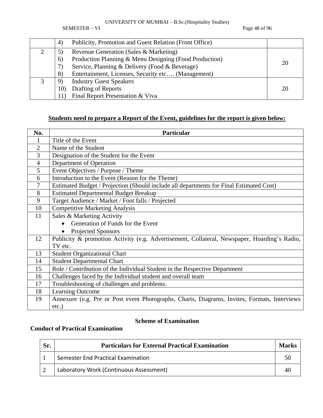SEMESTER – VI Page 48 of 96

| 4)  | Publicity, Promotion and Guest Relation (Front Office) |    |
|-----|--------------------------------------------------------|----|
| 5)  | Revenue Generation (Sales & Marketing)                 |    |
| 6)  | Production Planning & Menu Designing (Food Production) | 20 |
| 7)  | Service, Planning & Delivery (Food & Beverage)         |    |
| 8)  | Entertainment, Licenses, Security etc (Management)     |    |
| 9   | <b>Industry Guest Speakers</b>                         |    |
| 10) | Drafting of Reports                                    | 20 |
|     | Final Report Presentation & Viva                       |    |

### **Students need to prepare a Report of the Event, guidelines for the report is given below:**

| No.            | <b>Particular</b>                                                                            |
|----------------|----------------------------------------------------------------------------------------------|
| $\mathbf{1}$   | Title of the Event                                                                           |
| $\overline{2}$ | Name of the Student                                                                          |
| 3              | Designation of the Student for the Event                                                     |
| $\overline{4}$ | Department of Operation                                                                      |
| 5              | Event Objectives / Purpose / Theme                                                           |
| 6              | Introduction to the Event (Reason for the Theme)                                             |
| 7              | Estimated Budget / Projection (Should include all departments for Final Estimated Cost)      |
| 8              | <b>Estimated Departmental Budget Breakup</b>                                                 |
| 9              | Target Audience / Market / Foot falls / Projected                                            |
| 10             | <b>Competitive Marketing Analysis</b>                                                        |
| 11             | Sales & Marketing Activity                                                                   |
|                | Generation of Funds for the Event                                                            |
|                | Projected Sponsors                                                                           |
| 12             | Publicity & promotion Activity (e.g. Advertisement, Collateral, Newspaper, Hoarding's Radio, |
|                | TV etc.                                                                                      |
| 13             | <b>Student Organizational Chart</b>                                                          |
| 14             | <b>Student Departmental Chart</b>                                                            |
| 15             | Role / Contribution of the Individual Student in the Respective Department                   |
| 16             | Challenges faced by the Individual student and overall team                                  |
| 17             | Troubleshooting of challenges and problems.                                                  |
| 18             | <b>Learning Outcome</b>                                                                      |
| 19             | Annexure (e.g. Pre or Post event Photographs, Charts, Diagrams, Invites, Formats, Interviews |
|                | $etc.$ )                                                                                     |

### **Scheme of Examination**

### **Conduct of Practical Examination**

| Sr. | <b>Particulars for External Practical Examination</b> | <b>Marks</b> |
|-----|-------------------------------------------------------|--------------|
|     | Semester End Practical Examination                    |              |
|     | Laboratory Work (Continuous Assessment)               | 40           |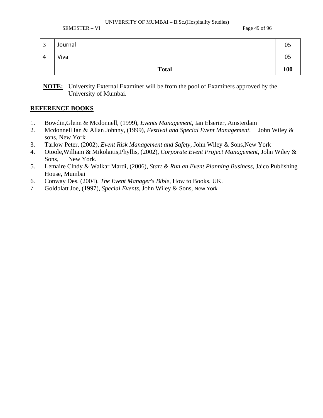SEMESTER – VI Page 49 of 96

| $\mathbf{c}$<br>◡ | Journal      | 0 <sup>5</sup> |
|-------------------|--------------|----------------|
| $\Delta$<br>┱     | Viva         | 05             |
|                   | <b>Total</b> | <b>100</b>     |

**NOTE:** University External Examiner will be from the pool of Examiners approved by the University of Mumbai.

- 1. Bowdin,Glenn & Mcdonnell, (1999), *Events Management*, Ian Elserier, Amsterdam
- 2. Mcdonnell Ian & Allan Johnny, (1999), *Festival and Special Event Management*, John Wiley & sons, New York
- 3. Tarlow Peter, (2002), *Event Risk Management and Safety*, John Wiley & Sons,New York
- 4. Otoole,William & Mikolaitis,Phyllis, (2002), *Corporate Event Project Management*, John Wiley & Sons, New York.
- 5. Lemaire Clndy & Walkar Mardi, (2006), *Start & Run an Event Planning Business*, Jaico Publishing House, Mumbai
- 6. Conway Des, (2004), *The Event Manager's Bible*, How to Books, UK.
- 7. Goldblatt Joe, (1997), *Special Events*, John Wiley & Sons, New York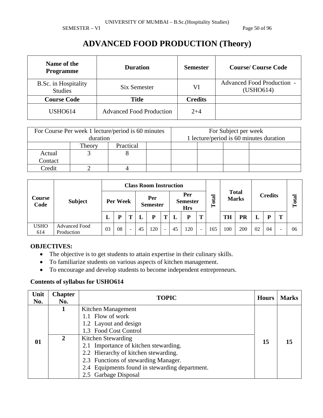SEMESTER – VI Page 50 of 96

# **ADVANCED FOOD PRODUCTION (Theory)**

| Name of the<br><b>Programme</b>        | <b>Duration</b>                 | <b>Semester</b> | <b>Course/Course Code</b>                      |
|----------------------------------------|---------------------------------|-----------------|------------------------------------------------|
| B.Sc. in Hospitality<br><b>Studies</b> | Six Semester                    | VI              | <b>Advanced Food Production -</b><br>(USHO614) |
| <b>Course Code</b>                     | <b>Title</b>                    | <b>Credits</b>  |                                                |
| <b>USHO614</b>                         | <b>Advanced Food Production</b> | $2 + 4$         |                                                |

|         | duration | For Course Per week 1 lecture/period is 60 minutes |  | For Subject per week | 1 lecture/period is 60 minutes duration |  |
|---------|----------|----------------------------------------------------|--|----------------------|-----------------------------------------|--|
|         | Theory   | Practical                                          |  |                      |                                         |  |
| Actual  |          |                                                    |  |                      |                                         |  |
| Contact |          |                                                    |  |                      |                                         |  |
| Credit  |          |                                                    |  |                      |                                         |  |

| Course<br>Code     | <b>Subject</b>                     |          | <b>Class Room Instruction</b> |                          |                        |     |                          |                                      |     |                          |           |                              |     |                |    |       |    |
|--------------------|------------------------------------|----------|-------------------------------|--------------------------|------------------------|-----|--------------------------|--------------------------------------|-----|--------------------------|-----------|------------------------------|-----|----------------|----|-------|----|
|                    |                                    | Per Week |                               |                          | Per<br><b>Semester</b> |     |                          | Per<br><b>Semester</b><br><b>Hrs</b> |     |                          | otal<br>Ĥ | <b>Total</b><br><b>Marks</b> |     | <b>Credits</b> |    | Total |    |
|                    |                                    | L        |                               |                          |                        | P   | m                        |                                      | P   | T                        |           | <b>TH</b>                    | PR  |                | D  | т     |    |
| <b>USHO</b><br>614 | <b>Advanced Food</b><br>Production | 03       | 08                            | $\overline{\phantom{0}}$ | 45                     | 120 | $\overline{\phantom{a}}$ | 45                                   | 120 | $\overline{\phantom{0}}$ | 165       | 100                          | 200 | 02             | 04 |       | 06 |

### **OBJECTIVES:**

- The objective is to get students to attain expertise in their culinary skills.
- To familiarize students on various aspects of kitchen management.
- To encourage and develop students to become independent entrepreneurs.

| Unit<br>No. | <b>Chapter</b><br>No. | <b>TOPIC</b>                                   | <b>Hours</b> | <b>Marks</b> |
|-------------|-----------------------|------------------------------------------------|--------------|--------------|
|             |                       | Kitchen Management                             |              |              |
|             |                       | 1.1 Flow of work                               |              |              |
|             |                       | 1.2 Layout and design                          |              |              |
|             |                       | 1.3 Food Cost Control                          |              | 15           |
| 01          | $\mathbf{2}$          | Kitchen Stewarding                             | 15           |              |
|             |                       | 2.1 Importance of kitchen stewarding.          |              |              |
|             |                       | 2.2 Hierarchy of kitchen stewarding.           |              |              |
|             |                       | 2.3 Functions of stewarding Manager.           |              |              |
|             |                       | 2.4 Equipments found in stewarding department. |              |              |
|             |                       | 2.5 Garbage Disposal                           |              |              |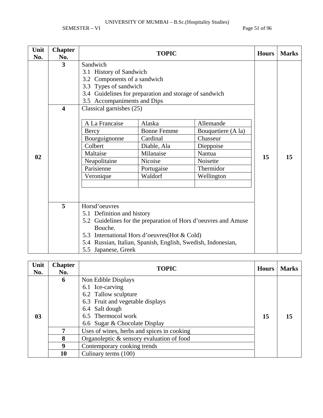SEMESTER – VI Page 51 of 96

| Unit | <b>Chapter</b>          |                              | <b>Hours</b>                                                 | <b>Marks</b>                                                   |    |    |
|------|-------------------------|------------------------------|--------------------------------------------------------------|----------------------------------------------------------------|----|----|
| No.  | No.                     |                              |                                                              |                                                                |    |    |
|      | 3                       | Sandwich                     |                                                              |                                                                |    |    |
|      |                         | 3.1 History of Sandwich      |                                                              |                                                                |    |    |
|      |                         | 3.2 Components of a sandwich |                                                              |                                                                |    |    |
|      |                         | 3.3 Types of sandwich        |                                                              |                                                                |    |    |
|      |                         |                              | 3.4 Guidelines for preparation and storage of sandwich       |                                                                |    |    |
|      |                         | 3.5 Accompaniments and Dips  |                                                              |                                                                |    |    |
|      | $\overline{\mathbf{4}}$ | Classical garnishes (25)     |                                                              |                                                                |    |    |
|      |                         | A La Francaise               | Alaska                                                       | Allemande                                                      |    |    |
|      |                         | Bercy                        | <b>Bonne Femme</b>                                           | Bouquetiere (A la)                                             |    |    |
|      |                         | Bourguignonne                | Cardinal                                                     | Chasseur                                                       |    |    |
|      |                         | Colbert                      | Diable, Ala                                                  | Dieppoise                                                      |    |    |
| 02   |                         | Maltaise                     | Milanaise                                                    | Nantua                                                         | 15 | 15 |
|      |                         | Neapolitaine                 | Nicoise                                                      | Noisette                                                       |    |    |
|      |                         | Parisienne                   | Portugaise                                                   | Thermidor                                                      |    |    |
|      |                         | Veronique                    | Waldorf                                                      | Wellington                                                     |    |    |
|      |                         |                              |                                                              |                                                                |    |    |
|      |                         |                              |                                                              |                                                                |    |    |
|      | 5 <sup>5</sup>          | Horsd'oeuvres                |                                                              |                                                                |    |    |
|      |                         | 5.1 Definition and history   |                                                              |                                                                |    |    |
|      |                         |                              |                                                              | 5.2 Guidelines for the preparation of Hors d'oeuvres and Amuse |    |    |
|      |                         | Bouche.                      |                                                              |                                                                |    |    |
|      |                         |                              | 5.3 International Hors d'oeuvres (Hot & Cold)                |                                                                |    |    |
|      |                         |                              | 5.4 Russian, Italian, Spanish, English, Swedish, Indonesian, |                                                                |    |    |
|      |                         | 5.5 Japanese, Greek          |                                                              |                                                                |    |    |

| Unit<br>No.    | <b>Chapter</b><br>No. | <b>TOPIC</b>                               | <b>Hours</b> | <b>Marks</b> |
|----------------|-----------------------|--------------------------------------------|--------------|--------------|
|                | 6                     | Non Edible Displays                        |              |              |
|                |                       | 6.1 Ice-carving                            |              |              |
|                |                       | 6.2 Tallow sculpture                       |              |              |
|                |                       | 6.3 Fruit and vegetable displays           |              |              |
|                |                       | 6.4 Salt dough                             |              |              |
| 0 <sub>3</sub> |                       | 6.5 Thermocol work                         | 15           | 15           |
|                |                       | 6.6 Sugar & Chocolate Display              |              |              |
|                |                       | Uses of wines, herbs and spices in cooking |              |              |
|                | 8                     | Organoleptic & sensory evaluation of food  |              |              |
|                | 9                     | Contemporary cooking trends                |              |              |
|                | 10                    | Culinary terms (100)                       |              |              |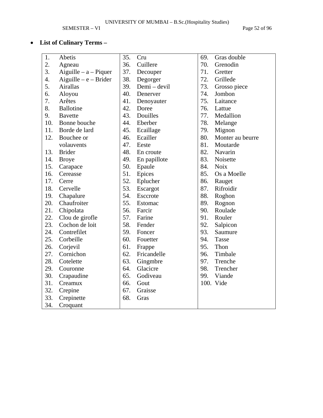SEMESTER – VI Page 52 of 96

### • **List of Culinary Terms –**

| 1.               | Abetis                  | 35. | Cru          | 69. | Gras double      |
|------------------|-------------------------|-----|--------------|-----|------------------|
| 2.               | Agneau                  | 36. | Cuillere     | 70. | Grenodin         |
| 3.               | Aiguille $- a -$ Piquer | 37. | Decouper     | 71. | Gretter          |
| $\overline{4}$ . | Aiguille $-e$ – Brider  | 38. | Degorger     | 72. | Grillede         |
| 5.               | Airallas                | 39. | Demi - devil | 73. | Grosso piece     |
| 6.               | Aloyou                  | 40. | Denerver     | 74. | Jombon           |
| 7.               | Arêtes                  | 41. | Denoyauter   | 75. | Laitance         |
| 8.               | <b>Ballotine</b>        | 42. | Doree        | 76. | Lattue           |
| 9.               | <b>Bavette</b>          | 43. | Douilles     | 77. | Medallion        |
| 10.              | Bonne bouche            | 44. | Eberber      | 78. | Melange          |
| 11.              | Borde de lard           | 45. | Ecaillage    | 79. | Mignon           |
| 12.              | Bouchee or              | 46. | Ecailler     | 80. | Monter au beurre |
|                  | volauvents              | 47. | Eeste        | 81. | Moutarde         |
| 13.              | <b>Brider</b>           | 48. | En croute    | 82. | Navarin          |
| 14.              | <b>Broye</b>            | 49. | En papillote | 83. | Noisette         |
| 15.              | Carapace                | 50. | Epaule       | 84. | <b>Noix</b>      |
| 16.              | Cereasse                | 51. | Epices       | 85. | Os a Moelle      |
| 17.              | Cerre                   | 52. | Eplucher     | 86. | Rauget           |
| 18.              | Cervelle                | 53. | Escargot     | 87. | Rifroidir        |
| 19.              | Chapalure               | 54. | Esccrote     | 88. | Roghon           |
| 20.              | Chaufroiter             | 55. | Estomac      | 89. | Rognon           |
| 21.              | Chipolata               | 56. | Farcir       | 90. | Roulade          |
| 22.              | Clou de girofle         | 57. | Farine       | 91. | Rouler           |
| 23.              | Cochon de loit          | 58. | Fender       | 92. | Salpicon         |
| 24.              | Contrefilet             | 59. | Foncer       | 93. | Saumure          |
| 25.              | Corbeille               | 60. | Fouetter     | 94. | Tasse            |
| 26.              | Corjevil                | 61. | Frappe       | 95. | Thon             |
| 27.              | Cornichon               | 62. | Fricandelle  | 96. | Timbale          |
| 28.              | Cotelette               | 63. | Gingmbre     | 97. | Trenche          |
| 29.              | Couronne                | 64. | Glacicre     | 98. | Trencher         |
| 30.              | Crapaudine              | 65. | Godiveau     | 99. | Viande           |
| 31.              | Creamux                 | 66. | Gout         |     | 100. Vide        |
| 32.              | Crepine                 | 67. | Graisse      |     |                  |
| 33.              | Crepinette              | 68. | Gras         |     |                  |
| 34.              | Croquant                |     |              |     |                  |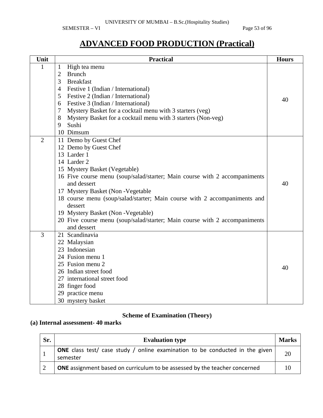SEMESTER – VI Page 53 of 96

# **ADVANCED FOOD PRODUCTION (Practical)**

| Unit           | <b>Practical</b>                                                           | <b>Hours</b> |
|----------------|----------------------------------------------------------------------------|--------------|
| $\mathbf{1}$   | High tea menu<br>$\mathbf{1}$                                              |              |
|                | <b>Brunch</b><br>$\overline{2}$                                            |              |
|                | 3<br><b>Breakfast</b>                                                      |              |
|                | $\overline{4}$<br>Festive 1 (Indian / International)                       |              |
|                | 5<br>Festive 2 (Indian / International)                                    | 40           |
|                | Festive 3 (Indian / International)<br>6                                    |              |
|                | Mystery Basket for a cocktail menu with 3 starters (veg)<br>$\tau$         |              |
|                | 8<br>Mystery Basket for a cocktail menu with 3 starters (Non-veg)          |              |
|                | Sushi<br>9                                                                 |              |
|                | 10 Dimsum                                                                  |              |
| $\overline{2}$ | 11 Demo by Guest Chef                                                      |              |
|                | 12 Demo by Guest Chef                                                      |              |
|                | 13 Larder 1                                                                |              |
|                | 14 Larder 2                                                                |              |
|                | 15 Mystery Basket (Vegetable)                                              |              |
|                | 16 Five course menu (soup/salad/starter; Main course with 2 accompaniments |              |
|                | and dessert                                                                | 40           |
|                | 17 Mystery Basket (Non-Vegetable                                           |              |
|                | 18 course menu (soup/salad/starter; Main course with 2 accompaniments and  |              |
|                | dessert                                                                    |              |
|                | 19 Mystery Basket (Non - Vegetable)                                        |              |
|                | 20 Five course menu (soup/salad/starter; Main course with 2 accompaniments |              |
|                | and dessert                                                                |              |
| 3              | 21 Scandinavia                                                             |              |
|                | 22 Malaysian                                                               |              |
|                | 23 Indonesian<br>24 Fusion menu 1                                          |              |
|                |                                                                            |              |
|                | 25 Fusion menu 2<br>26 Indian street food                                  | 40           |
|                | 27 international street food                                               |              |
|                |                                                                            |              |
|                | 28 finger food<br>29 practice menu                                         |              |
|                |                                                                            |              |
|                | 30 mystery basket                                                          |              |

### **Scheme of Examination (Theory)**

### **(a) Internal assessment- 40 marks**

| Sr. | <b>Evaluation type</b>                                                                   | <b>Marks</b> |
|-----|------------------------------------------------------------------------------------------|--------------|
|     | ONE class test/ case study / online examination to be conducted in the given<br>semester | 20           |
|     | <b>ONE</b> assignment based on curriculum to be assessed by the teacher concerned        | 10           |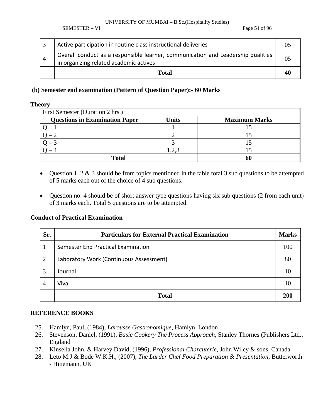SEMESTER – VI Page 54 of 96

| Active participation in routine class instructional deliveries                                                             |  |
|----------------------------------------------------------------------------------------------------------------------------|--|
| Overall conduct as a responsible learner, communication and Leadership qualities<br>in organizing related academic actives |  |
| Total                                                                                                                      |  |

### **(b) Semester end examination (Pattern of Question Paper):- 60 Marks**

#### **Theory**

| First Semester (Duration 2 hrs.)      |              |                      |  |  |  |  |  |  |
|---------------------------------------|--------------|----------------------|--|--|--|--|--|--|
| <b>Questions in Examination Paper</b> | <b>Units</b> | <b>Maximum Marks</b> |  |  |  |  |  |  |
|                                       |              |                      |  |  |  |  |  |  |
|                                       |              |                      |  |  |  |  |  |  |
|                                       |              |                      |  |  |  |  |  |  |
|                                       |              |                      |  |  |  |  |  |  |
| <b>Total</b>                          |              |                      |  |  |  |  |  |  |

- Question 1, 2 & 3 should be from topics mentioned in the table total 3 sub questions to be attempted of 5 marks each out of the choice of 4 sub questions.
- Question no. 4 should be of short answer type questions having six sub questions (2 from each unit) of 3 marks each. Total 5 questions are to be attempted.

### **Conduct of Practical Examination**

| Sr.            | <b>Particulars for External Practical Examination</b> | <b>Marks</b> |
|----------------|-------------------------------------------------------|--------------|
|                | Semester End Practical Examination                    | 100          |
| $\overline{2}$ | Laboratory Work (Continuous Assessment)               | 80           |
| 3              | Journal                                               |              |
| 4              | Viva                                                  |              |
|                | <b>Total</b>                                          | 20           |

- 25. Hamlyn, Paul, (1984), *Larousse Gastronomique*, Hamlyn, London
- 26. Stevenson, Daniel, (1991), *Basic Cookery The Process Approach*, Stanley Thornes (Publishers Ltd., England
- 27. Kinsella John, & Harvey David, (1996), *Professional Charcuterie*, John Wiley & sons, Canada
- 28. Leto M.J.& Bode W.K.H., (2007), *The Larder Chef Food Preparation & Presentation*, Butterworth - Hinemann, UK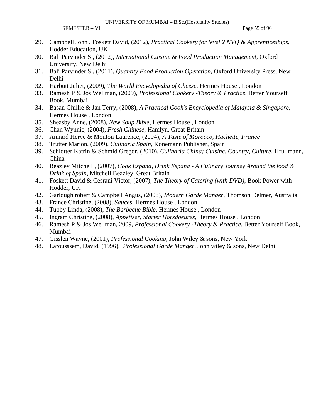SEMESTER – VI Page 55 of 96

- 29. Campbell John , Foskett David, (2012), *Practical Cookery for level 2 NVQ & Apprenticeships*, Hodder Education, UK
- 30. Bali Parvinder S., (2012), *International Cuisine & Food Production Management*, Oxford University, New Delhi
- 31. Bali Parvinder S., (2011), *Quantity Food Production Operation*, Oxford University Press, New Delhi
- 32. Harbutt Juliet, (2009), *The World Encyclopedia of Cheese*, Hermes House , London
- 33. Ramesh P & Jos Wellman, (2009), *Professional Cookery -Theory & Practice*, Better Yourself Book, Mumbai
- 34. Basan Ghillie & Jan Terry, (2008), *A Practical Cook's Encyclopedia of Malaysia & Singapore*, Hermes House , London
- 35. Sheasby Anne, (2008), *New Soup Bible*, Hermes House , London
- 36. Chan Wynnie, (2004), *Fresh Chinese*, Hamlyn, Great Britain
- 37. Amiard Herve & Mouton Laurence, (2004), *A Taste of Morocco, Hachette, France*
- 38. Trutter Marion, (2009), *Culinaria Spain*, Konemann Publisher, Spain
- 39. Schlotter Katrin & Schmid Gregor, (2010), *Culinaria China; Cuisine, Country, Culture*, Hfullmann, China
- 40. Beazley Mitchell , (2007), *Cook Espana, Drink Espana A Culinary Journey Around the food & Drink of Spain*, Mitchell Beazley, Great Britain
- 41. Foskett David & Cesrani Victor, (2007), *The Theory of Catering (with DVD)*, Book Power with Hodder, UK
- 42. Garlough robert & Campbell Angus, (2008), *Modern Garde Manger*, Thomson Delmer, Australia
- 43. France Christine, (2008), *Sauces*, Hermes House , London
- 44. Tubby Linda, (2008), *The Barbecue Bible*, Hermes House , London
- 45. Ingram Christine, (2008), *Appetizer, Starter Horsdoeures*, Hermes House , London
- 46. Ramesh P & Jos Wellman, 2009, *Professional Cookery -Theory & Practice*, Better Yourself Book, Mumbai
- 47. Gisslen Wayne, (2001), *Professional Cooking*, John Wiley & sons, New York
- 48. Larousssem, David, (1996), *Professional Garde Manger*, John wiley & sons, New Delhi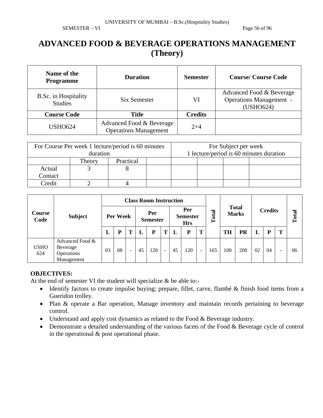### **ADVANCED FOOD & BEVERAGE OPERATIONS MANAGEMENT (Theory)**

| Name of the<br><b>Programme</b>        | <b>Duration</b>                                          | <b>Semester</b> | <b>Course/Course Code</b>                                               |  |  |  |
|----------------------------------------|----------------------------------------------------------|-----------------|-------------------------------------------------------------------------|--|--|--|
| B.Sc. in Hospitality<br><b>Studies</b> | Six Semester                                             | VI              | Advanced Food & Beverage<br><b>Operations Management -</b><br>(USHO624) |  |  |  |
| <b>Course Code</b>                     | <b>Title</b>                                             | <b>Credits</b>  |                                                                         |  |  |  |
| <b>USHO624</b>                         | Advanced Food & Beverage<br><b>Operations Management</b> | $2 + 4$         |                                                                         |  |  |  |

|         | For Course Per week 1 lecture/period is 60 minutes |           | For Subject per week                    |  |  |  |  |
|---------|----------------------------------------------------|-----------|-----------------------------------------|--|--|--|--|
|         | duration                                           |           | 1 lecture/period is 60 minutes duration |  |  |  |  |
|         | Theory                                             | Practical |                                         |  |  |  |  |
| Actual  |                                                    |           |                                         |  |  |  |  |
| Contact |                                                    |           |                                         |  |  |  |  |
| Credit  |                                                    |           |                                         |  |  |  |  |

|                    |                                                         |          | <b>Class Room Instruction</b> |                          |                        |     |                                      |    |       |                              |     |                |     |       |    |   |    |
|--------------------|---------------------------------------------------------|----------|-------------------------------|--------------------------|------------------------|-----|--------------------------------------|----|-------|------------------------------|-----|----------------|-----|-------|----|---|----|
| Course<br>Code     | <b>Subject</b>                                          | Per Week |                               |                          | Per<br><b>Semester</b> |     | Per<br><b>Semester</b><br><b>Hrs</b> |    | Total | <b>Total</b><br><b>Marks</b> |     | <b>Credits</b> |     | Total |    |   |    |
|                    |                                                         | ┺        | D                             | т                        |                        | P   | т                                    |    | P     | T                            |     | <b>TH</b>      | PR  | L     | D  | Т |    |
| <b>USHO</b><br>624 | Advanced Food &<br>Beverage<br>Operations<br>Management | 03       | 08                            | $\overline{\phantom{a}}$ | 45                     | 120 | $\overline{\phantom{a}}$             | 45 | 120   | $\overline{\phantom{a}}$     | 165 | 100            | 200 | 02    | 04 | - | 06 |

### **OBJECTIVES:**

At the end of semester VI the student will specialize & be able to:-

- Identify factors to create impulse buying; prepare, fillet, carve, flambé & finish food items from a Gueridon trolley.
- Plan & operate a Bar operation, Manage inventory and maintain records pertaining to beverage control.
- Understand and apply cost dynamics as related to the Food & Beverage industry.
- Demonstrate a detailed understanding of the various facets of the Food & Beverage cycle of control in the operational & post operational phase.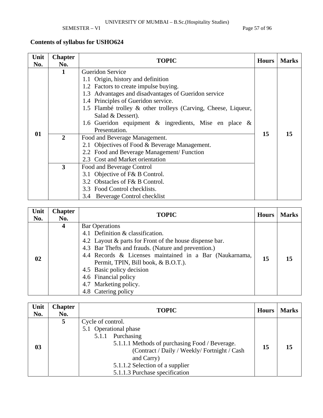SEMESTER – VI Page 57 of 96

| Unit<br>No. | <b>Chapter</b><br>No. | <b>TOPIC</b>                                                   | <b>Hours</b> | <b>Marks</b> |
|-------------|-----------------------|----------------------------------------------------------------|--------------|--------------|
|             |                       | <b>Gueridon Service</b>                                        |              |              |
|             |                       | 1.1 Origin, history and definition                             |              |              |
|             |                       | 1.2 Factors to create impulse buying.                          |              |              |
|             |                       | 1.3 Advantages and disadvantages of Gueridon service           |              |              |
|             |                       | 1.4 Principles of Gueridon service.                            |              |              |
|             |                       | 1.5 Flambé trolley & other trolleys (Carving, Cheese, Liqueur, |              |              |
|             |                       | Salad & Dessert).                                              |              |              |
|             |                       | 1.6 Gueridon equipment $\&$ ingredients, Mise en place $\&$    |              |              |
| 01          |                       | Presentation.                                                  | 15           | 15           |
|             | $\overline{2}$        | Food and Beverage Management.                                  |              |              |
|             |                       | 2.1 Objectives of Food & Beverage Management.                  |              |              |
|             |                       | 2.2 Food and Beverage Management/ Function                     |              |              |
|             |                       | 2.3 Cost and Market orientation                                |              |              |
|             | $\mathbf{3}$          | Food and Beverage Control                                      |              |              |
|             |                       | 3.1 Objective of F& B Control.                                 |              |              |
|             |                       | 3.2 Obstacles of F& B Control.                                 |              |              |
|             |                       | 3.3 Food Control checklists.                                   |              |              |
|             |                       | 3.4 Beverage Control checklist                                 |              |              |

| Unit<br>No. | <b>Chapter</b><br>No. | <b>TOPIC</b>                                                                                                                                                                                                                                                                                                                                                                       | <b>Hours</b> | <b>Marks</b> |
|-------------|-----------------------|------------------------------------------------------------------------------------------------------------------------------------------------------------------------------------------------------------------------------------------------------------------------------------------------------------------------------------------------------------------------------------|--------------|--------------|
| 02          | 4                     | <b>Bar Operations</b><br>4.1 Definition & classification.<br>4.2 Layout & parts for Front of the house dispense bar.<br>4.3 Bar Thefts and frauds. (Nature and prevention.)<br>4.4 Records & Licenses maintained in a Bar (Naukarnama,<br>Permit, TPIN, Bill book, & B.O.T.).<br>4.5 Basic policy decision<br>4.6 Financial policy<br>4.7 Marketing policy.<br>4.8 Catering policy | 15           | 15           |

| Unit<br>No. | <b>Chapter</b><br>No. | <b>TOPIC</b>                                                                                                                                                                                                                                          | <b>Hours</b> | <b>Marks</b> |
|-------------|-----------------------|-------------------------------------------------------------------------------------------------------------------------------------------------------------------------------------------------------------------------------------------------------|--------------|--------------|
| 03          | 5                     | Cycle of control.<br>5.1 Operational phase<br>Purchasing<br>5.1.1<br>5.1.1.1 Methods of purchasing Food / Beverage.<br>(Contract / Daily / Weekly/Fortnight / Cash<br>and Carry)<br>5.1.1.2 Selection of a supplier<br>5.1.1.3 Purchase specification | 15           | 15           |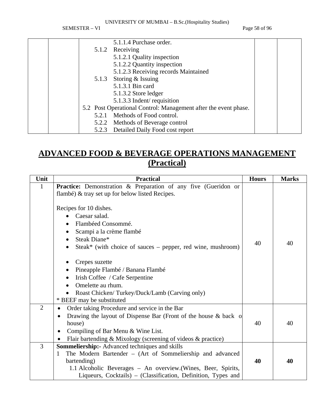SEMESTER – VI Page 58 of 96

|  |       | 5.1.1.4 Purchase order.                                         |  |
|--|-------|-----------------------------------------------------------------|--|
|  |       | 5.1.2 Receiving                                                 |  |
|  |       | 5.1.2.1 Quality inspection                                      |  |
|  |       | 5.1.2.2 Quantity inspection                                     |  |
|  |       | 5.1.2.3 Receiving records Maintained                            |  |
|  |       | 5.1.3 Storing & Issuing                                         |  |
|  |       | 5.1.3.1 Bin card                                                |  |
|  |       | 5.1.3.2 Store ledger                                            |  |
|  |       | 5.1.3.3 Indent/ requisition                                     |  |
|  |       | 5.2 Post Operational Control: Management after the event phase. |  |
|  | 5.2.1 | Methods of Food control.                                        |  |
|  |       | 5.2.2 Methods of Beverage control                               |  |
|  | 5.2.3 | Detailed Daily Food cost report                                 |  |

# **ADVANCED FOOD & BEVERAGE OPERATIONS MANAGEMENT (Practical)**

| Unit           | <b>Practical</b>                                                                                                                                                                                                                                                        | <b>Hours</b> | <b>Marks</b> |
|----------------|-------------------------------------------------------------------------------------------------------------------------------------------------------------------------------------------------------------------------------------------------------------------------|--------------|--------------|
| $\mathbf{1}$   | <b>Practice:</b> Demonstration & Preparation of any five (Gueridon or<br>flambé) & tray set up for below listed Recipes.                                                                                                                                                |              |              |
|                | Recipes for 10 dishes.<br>Caesar salad.<br>Flambéed Consommé.<br>Scampi a la crème flambé<br>Steak Diane*<br>$\bullet$<br>Steak* (with choice of sauces – pepper, red wine, mushroom)                                                                                   | 40           | 40           |
|                | Crepes suzette<br>Pineapple Flambé / Banana Flambé<br>٠<br>Irish Coffee / Cafe Serpentine<br>٠<br>Omelette au rhum.<br>$\bullet$<br>Roast Chicken/Turkey/Duck/Lamb (Carving only)<br>* BEEF may be substituted                                                          |              |              |
| $\overline{2}$ | Order taking Procedure and service in the Bar<br>Drawing the layout of Dispense Bar (Front of the house & back of<br>$\bullet$<br>house)<br>Compiling of Bar Menu & Wine List.<br>Flair bartending & Mixology (screening of videos & practice)                          | 40           | 40           |
| $\overline{3}$ | <b>Sommeliership:</b> Advanced techniques and skills<br>The Modern Bartender - (Art of Sommeliership and advanced<br>1<br>bartending)<br>1.1 Alcoholic Beverages – An overview. (Wines, Beer, Spirits,<br>Liqueurs, Cocktails) – (Classification, Definition, Types and | 40           | 40           |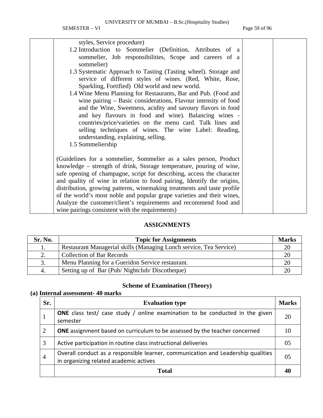| styles, Service procedure)                                              |  |
|-------------------------------------------------------------------------|--|
| 1.2 Introduction to Sommelier (Definition, Attributes of a              |  |
| sommelier, Job responsibilities, Scope and careers of a                 |  |
| sommelier)                                                              |  |
| 1.3 Systematic Approach to Tasting (Tasting wheel). Storage and         |  |
| service of different styles of wines. (Red, White, Rose,                |  |
| Sparkling, Fortified) Old world and new world.                          |  |
| 1.4 Wine Menu Planning for Restaurants, Bar and Pub. (Food and          |  |
| wine pairing $-$ Basic considerations, Flavour intensity of food        |  |
| and the Wine, Sweetness, acidity and savoury flavors in food            |  |
| and key flavours in food and wine). Balancing wines -                   |  |
| countries/price/varieties on the menu card. Talk lines and              |  |
| selling techniques of wines. The wine Label: Reading,                   |  |
| understanding, explaining, selling.                                     |  |
| 1.5 Sommeliership                                                       |  |
|                                                                         |  |
| (Guidelines for a sommelier, Sommelier as a sales person, Product       |  |
| knowledge – strength of drink, Storage temperature, pouring of wine,    |  |
| safe opening of champagne, script for describing, access the character  |  |
| and quality of wine in relation to food pairing, Identify the origins,  |  |
| distribution, growing patterns, winemaking treatments and taste profile |  |
| of the world's most noble and popular grape varieties and their wines,  |  |
| Analyze the customer/client's requirements and recommend food and       |  |
| wine pairings consistent with the requirements)                         |  |

### **ASSIGNMENTS**

| Sr. No. | <b>Topic for Assignments</b>                                       |    |  |  |
|---------|--------------------------------------------------------------------|----|--|--|
| 1.      | Restaurant Managerial skills (Managing Lunch service, Tea Service) | 20 |  |  |
|         | <b>Collection of Bar Records</b>                                   | 2( |  |  |
|         | Menu Planning for a Gueridon Service restaurant.                   |    |  |  |
| 4.      | Setting up of Bar (Pub/Nightclub/Discotheque)                      |    |  |  |

### **Scheme of Examination (Theory)**

### **(a) Internal assessment- 40 marks**

| Sr.            | <b>Evaluation type</b>                                                                                                     | <b>Marks</b>   |
|----------------|----------------------------------------------------------------------------------------------------------------------------|----------------|
|                | <b>ONE</b> class test/ case study / online examination to be conducted in the given<br>semester                            | 20             |
| 2              | <b>ONE</b> assignment based on curriculum to be assessed by the teacher concerned                                          | 10             |
| 3              | Active participation in routine class instructional deliveries                                                             | 0 <sub>5</sub> |
| $\overline{4}$ | Overall conduct as a responsible learner, communication and Leadership qualities<br>in organizing related academic actives | 0.5            |
|                | Total                                                                                                                      |                |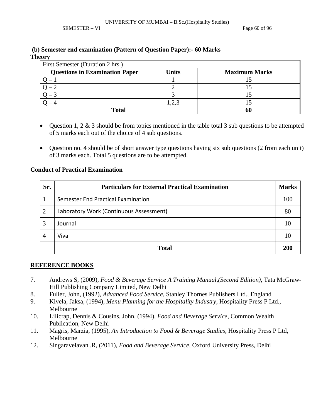SEMESTER – VI Page 60 of 96

### **(b) Semester end examination (Pattern of Question Paper):- 60 Marks**

**Theory** 

| First Semester (Duration 2 hrs.)                                              |       |  |  |  |  |  |  |
|-------------------------------------------------------------------------------|-------|--|--|--|--|--|--|
| <b>Questions in Examination Paper</b><br><b>Units</b><br><b>Maximum Marks</b> |       |  |  |  |  |  |  |
|                                                                               |       |  |  |  |  |  |  |
|                                                                               |       |  |  |  |  |  |  |
|                                                                               |       |  |  |  |  |  |  |
|                                                                               | 1,2,3 |  |  |  |  |  |  |
| <b>Total</b>                                                                  | 60    |  |  |  |  |  |  |

- Question 1, 2  $\&$  3 should be from topics mentioned in the table total 3 sub questions to be attempted of 5 marks each out of the choice of 4 sub questions.
- Question no. 4 should be of short answer type questions having six sub questions (2 from each unit) of 3 marks each. Total 5 questions are to be attempted.

### **Conduct of Practical Examination**

| Sr.            | <b>Particulars for External Practical Examination</b> |     |  |
|----------------|-------------------------------------------------------|-----|--|
|                | Semester End Practical Examination                    | 100 |  |
| 2              | Laboratory Work (Continuous Assessment)               | 80  |  |
| 3              | Journal                                               | 10  |  |
| $\overline{4}$ | Viva                                                  |     |  |
|                | <b>Total</b>                                          | 20  |  |

- 7. Andrews S, (2009)*, Food & Beverage Service A Training Manual,(Second Edition)*, Tata McGraw-Hill Publishing Company Limited, New Delhi
- 8. Fuller, John, (1992), *Advanced Food Service*, Stanley Thornes Publishers Ltd., England
- 9. Kivela, Jaksa, (1994), *Menu Planning for the Hospitality Industry*, Hospitality Press P Ltd., Melbourne
- 10. Lilicrap, Dennis & Cousins, John, (1994), *Food and Beverage Service,* Common Wealth Publication, New Delhi
- 11. Magris, Marzia, (1995), *An Introduction to Food & Beverage Studies*, Hospitality Press P Ltd, Melbourne
- 12. Singaravelavan .R, (2011), *Food and Beverage Service*, Oxford University Press, Delhi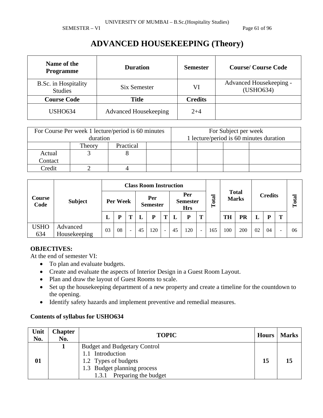SEMESTER – VI Page 61 of 96

# **ADVANCED HOUSEKEEPING (Theory)**

| Name of the<br><b>Programme</b>        | <b>Duration</b>              | <b>Semester</b> | <b>Course/Course Code</b>            |
|----------------------------------------|------------------------------|-----------------|--------------------------------------|
| B.Sc. in Hospitality<br><b>Studies</b> | Six Semester                 | VI              | Advanced Housekeeping -<br>(USHO634) |
| <b>Course Code</b>                     | <b>Title</b>                 | <b>Credits</b>  |                                      |
| <b>USHO634</b>                         | <b>Advanced Housekeeping</b> | $2 + 4$         |                                      |

| For Course Per week 1 lecture/period is 60 minutes<br>duration |        |           |  |  | For Subject per week | 1 lecture/period is 60 minutes duration |
|----------------------------------------------------------------|--------|-----------|--|--|----------------------|-----------------------------------------|
|                                                                | Theory | Practical |  |  |                      |                                         |
| Actual                                                         |        |           |  |  |                      |                                         |
| Contact                                                        |        |           |  |  |                      |                                         |
| Credit                                                         |        |           |  |  |                      |                                         |

| Course<br>Code     |                          |          | <b>Class Room Instruction</b> |                          |    |                                      |                          |           |                              |   |                |           |     |       |    |   |    |
|--------------------|--------------------------|----------|-------------------------------|--------------------------|----|--------------------------------------|--------------------------|-----------|------------------------------|---|----------------|-----------|-----|-------|----|---|----|
|                    | <b>Subject</b>           | Per Week |                               | Per<br><b>Semester</b>   |    | Per<br><b>Semester</b><br><b>Hrs</b> |                          | otal<br>Ĥ | <b>Total</b><br><b>Marks</b> |   | <b>Credits</b> |           |     | Total |    |   |    |
|                    |                          | L        | D                             |                          |    | P                                    | m                        |           | P                            | Т |                | <b>TH</b> | PR  |       | D  | m |    |
| <b>USHO</b><br>634 | Advanced<br>Housekeeping | 03       | 08                            | $\overline{\phantom{a}}$ | 45 | 120                                  | $\overline{\phantom{a}}$ | 45        | 120                          | ٠ | 165            | 100       | 200 | 02    | 04 |   | 06 |

### **OBJECTIVES:**

At the end of semester VI:

- To plan and evaluate budgets.
- Create and evaluate the aspects of Interior Design in a Guest Room Layout.
- Plan and draw the layout of Guest Rooms to scale.
- Set up the housekeeping department of a new property and create a timeline for the countdown to the opening.
- Identify safety hazards and implement preventive and remedial measures.

| Unit<br>No. | <b>Chapter</b><br>No. | <b>TOPIC</b>                        | <b>Hours</b> | <b>Marks</b> |
|-------------|-----------------------|-------------------------------------|--------------|--------------|
|             |                       | <b>Budget and Budgetary Control</b> |              |              |
|             |                       | 1.1 Introduction                    |              |              |
| 01          |                       | 1.2 Types of budgets                | 15           | 15           |
|             |                       | 1.3 Budget planning process         |              |              |
|             |                       | Preparing the budget<br>1.3.1       |              |              |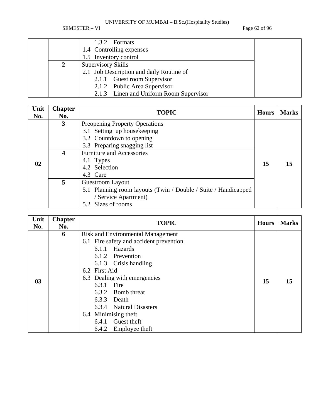SEMESTER – VI Page 62 of 96

|                          | 1.3.2 Formats                            |  |  |
|--------------------------|------------------------------------------|--|--|
| 1.4 Controlling expenses |                                          |  |  |
|                          | 1.5 Inventory control                    |  |  |
| Supervisory Skills       |                                          |  |  |
|                          | 2.1 Job Description and daily Routine of |  |  |
|                          | 2.1.1 Guest room Supervisor              |  |  |
|                          | 2.1.2 Public Area Supervisor             |  |  |
|                          | 2.1.3 Linen and Uniform Room Supervisor  |  |  |

| Unit<br>No. | <b>Chapter</b><br>No. | <b>TOPIC</b>                                                                                                                                                 | <b>Hours</b> | <b>Marks</b> |
|-------------|-----------------------|--------------------------------------------------------------------------------------------------------------------------------------------------------------|--------------|--------------|
|             | $\mathbf{3}$<br>4     | Preopening Property Operations<br>3.1 Setting up housekeeping<br>3.2 Countdown to opening<br>3.3 Preparing snagging list<br><b>Furniture and Accessories</b> |              |              |
| 02          |                       | 4.1 Types<br>4.2 Selection<br>4.3 Care                                                                                                                       | 15           | 15           |
|             | 5                     | Guestroom Layout<br>5.1 Planning room layouts (Twin / Double / Suite / Handicapped<br>/ Service Apartment)<br>5.2 Sizes of rooms                             |              |              |

| Unit<br>No.    | <b>Chapter</b><br>No. | <b>TOPIC</b>                                                                                                                                                                                                                                                                                                                          | <b>Hours</b> | <b>Marks</b> |
|----------------|-----------------------|---------------------------------------------------------------------------------------------------------------------------------------------------------------------------------------------------------------------------------------------------------------------------------------------------------------------------------------|--------------|--------------|
| 0 <sub>3</sub> | 6                     | <b>Risk and Environmental Management</b><br>6.1 Fire safety and accident prevention<br>Hazards<br>6.1.1<br>6.1.2 Prevention<br>6.1.3 Crisis handling<br>6.2 First Aid<br>6.3 Dealing with emergencies<br>Fire<br>6.3.1<br>6.3.2 Bomb threat<br>6.3.3 Death<br>6.3.4 Natural Disasters<br>6.4 Minimising theft<br>Guest theft<br>6.4.1 | 15           | 15           |
|                |                       | Employee theft<br>6.4.2                                                                                                                                                                                                                                                                                                               |              |              |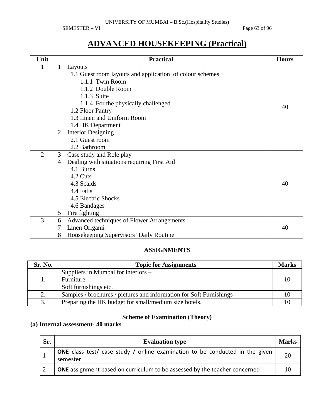SEMESTER – VI Page 63 of 96

| Unit           |                                             | <b>Practical</b>                                         | <b>Hours</b> |  |  |
|----------------|---------------------------------------------|----------------------------------------------------------|--------------|--|--|
| 1              | $\mathbf{1}$                                | Layouts                                                  |              |  |  |
|                |                                             | 1.1 Guest room layouts and application of colour schemes |              |  |  |
|                | 1.1.1 Twin Room                             |                                                          |              |  |  |
|                | 1.1.2 Double Room                           |                                                          |              |  |  |
|                | 1.1.3 Suite                                 |                                                          |              |  |  |
|                |                                             | 1.1.4 For the physically challenged                      | 40           |  |  |
|                |                                             | 1.2 Floor Pantry                                         |              |  |  |
|                |                                             | 1.3 Linen and Uniform Room                               |              |  |  |
|                |                                             | 1.4 HK Department                                        |              |  |  |
|                | <b>Interior Designing</b><br>$\overline{2}$ |                                                          |              |  |  |
|                |                                             | 2.1 Guest room                                           |              |  |  |
|                |                                             | 2.2 Bathroom                                             |              |  |  |
| $\overline{2}$ | 3                                           | Case study and Role play                                 |              |  |  |
|                | $\overline{4}$                              | Dealing with situations requiring First Aid              |              |  |  |
|                |                                             | 4.1 Burns                                                |              |  |  |
|                |                                             | 4.2 Cuts                                                 |              |  |  |
|                |                                             | 4.3 Scalds                                               | 40           |  |  |
|                |                                             | 4.4 Falls                                                |              |  |  |
|                |                                             | 4.5 Electric Shocks                                      |              |  |  |
|                |                                             | 4.6 Bandages                                             |              |  |  |
|                | 5                                           | Fire fighting                                            |              |  |  |
| 3              | 6                                           | Advanced techniques of Flower Arrangements               |              |  |  |
|                | 7                                           | Linen Origami                                            | 40           |  |  |
|                | 8                                           | Housekeeping Supervisors' Daily Routine                  |              |  |  |

# **ADVANCED HOUSEKEEPING (Practical)**

### **ASSIGNMENTS**

| Sr. No. | <b>Topic for Assignments</b>                                        | <b>Marks</b> |
|---------|---------------------------------------------------------------------|--------------|
|         | Suppliers in Mumbai for interiors –                                 |              |
|         | Furniture                                                           | 10           |
|         | Soft furnishings etc.                                               |              |
| 2.      | Samples / brochures / pictures and information for Soft Furnishings |              |
| 3.      | Preparing the HK budget for small/medium size hotels.               |              |

### **Scheme of Examination (Theory)**

### **(a) Internal assessment- 40 marks**

| Sr. | <b>Evaluation type</b>                                                                          |  |  |  |  |
|-----|-------------------------------------------------------------------------------------------------|--|--|--|--|
|     | <b>ONE</b> class test/ case study / online examination to be conducted in the given<br>semester |  |  |  |  |
|     | <b>ONE</b> assignment based on curriculum to be assessed by the teacher concerned               |  |  |  |  |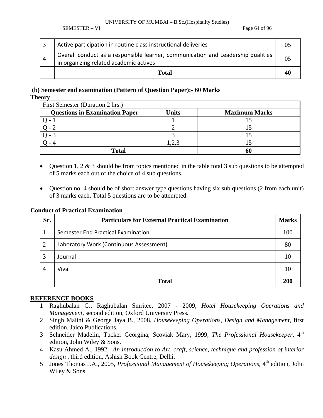SEMESTER – VI Page 64 of 96

|                | Active participation in routine class instructional deliveries                                                             |  |
|----------------|----------------------------------------------------------------------------------------------------------------------------|--|
| $\overline{4}$ | Overall conduct as a responsible learner, communication and Leadership qualities<br>in organizing related academic actives |  |
|                | Total                                                                                                                      |  |

### **(b) Semester end examination (Pattern of Question Paper):- 60 Marks**

#### **Theory**

| First Semester (Duration 2 hrs.)      |       |                      |  |  |  |
|---------------------------------------|-------|----------------------|--|--|--|
| <b>Questions in Examination Paper</b> | Units | <b>Maximum Marks</b> |  |  |  |
|                                       |       |                      |  |  |  |
|                                       |       |                      |  |  |  |
|                                       |       |                      |  |  |  |
|                                       | 2,    |                      |  |  |  |
| <b>Total</b>                          |       | 60                   |  |  |  |

- Question 1, 2  $\&$  3 should be from topics mentioned in the table total 3 sub questions to be attempted of 5 marks each out of the choice of 4 sub questions.
- Question no. 4 should be of short answer type questions having six sub questions (2 from each unit) of 3 marks each. Total 5 questions are to be attempted.

### **Conduct of Practical Examination**

| Sr.            | <b>Particulars for External Practical Examination</b> |     |  |
|----------------|-------------------------------------------------------|-----|--|
|                | Semester End Practical Examination                    |     |  |
| $\overline{2}$ | Laboratory Work (Continuous Assessment)               |     |  |
| 3              | Journal                                               | 10  |  |
| 4              | Viva                                                  |     |  |
|                | <b>Total</b>                                          | 200 |  |

- 1 Raghubalan G., Raghubalan Smritee, 2007 2009, *Hotel Housekeeping Operations and Management,* second edition, Oxford University Press.
- 2 Singh Malini & George Jaya B., 2008, *Housekeeping Operations, Design and Management*, first edition, Jaico Publications.
- 3 Schneider Madelin, Tucker Georgina, Scoviak Mary, 1999, *The Professional Housekeeper,* 4th edition, John Wiley & Sons.
- 4 Kasu Ahmed A., 1992, *An introduction to Art, craft, science, technique and profession of interior design* , third edition, Ashish Book Centre, Delhi.
- 5 Jones Thomas J.A., 2005, *Professional Management of Housekeeping Operations*, 4<sup>th</sup> edition, John Wiley & Sons.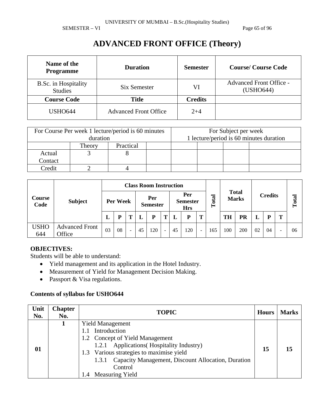SEMESTER – VI Page 65 of 96

# **ADVANCED FRONT OFFICE (Theory)**

| Name of the<br><b>Programme</b>        | <b>Duration</b>              | <b>Semester</b> | <b>Course/Course Code</b>                   |  |  |
|----------------------------------------|------------------------------|-----------------|---------------------------------------------|--|--|
| B.Sc. in Hospitality<br><b>Studies</b> | Six Semester                 | VI              | <b>Advanced Front Office -</b><br>(USHO644) |  |  |
| <b>Course Code</b>                     | <b>Title</b>                 | <b>Credits</b>  |                                             |  |  |
| <b>USHO644</b>                         | <b>Advanced Front Office</b> | $2 + 4$         |                                             |  |  |

|         | duration | For Course Per week 1 lecture/period is 60 minutes | For Subject per week<br>1 lecture/period is 60 minutes duration |  |  |  |  |
|---------|----------|----------------------------------------------------|-----------------------------------------------------------------|--|--|--|--|
|         | Theory   | Practical                                          |                                                                 |  |  |  |  |
| Actual  |          |                                                    |                                                                 |  |  |  |  |
| Contact |          |                                                    |                                                                 |  |  |  |  |
| Credit  |          |                                                    |                                                                 |  |  |  |  |

|                    |                                 | <b>Class Room Instruction</b> |    |                          |    |                                      |                          |           |                              |   |                |           |       |    |    |   |    |
|--------------------|---------------------------------|-------------------------------|----|--------------------------|----|--------------------------------------|--------------------------|-----------|------------------------------|---|----------------|-----------|-------|----|----|---|----|
| Course<br>Code     | <b>Subject</b>                  | Per Week                      |    | Per<br><b>Semester</b>   |    | Per<br><b>Semester</b><br><b>Hrs</b> |                          | otal<br>Ĥ | <b>Total</b><br><b>Marks</b> |   | <b>Credits</b> |           | Total |    |    |   |    |
|                    |                                 | L                             | D  |                          |    | P                                    | m                        |           | P                            | Т |                | <b>TH</b> | PR    |    | P  | m |    |
| <b>USHO</b><br>644 | <b>Advanced Front</b><br>Office | 03                            | 08 | $\overline{\phantom{a}}$ | 45 | 120                                  | $\overline{\phantom{a}}$ | 45        | 120                          | ٠ | 165            | 100       | 200   | 02 | 04 |   | 06 |

### **OBJECTIVES:**

Students will be able to understand:

- Yield management and its application in the Hotel Industry.
- Measurement of Yield for Management Decision Making.
- Passport & Visa regulations.

| <b>Yield Management</b>                                                                                                                                                                                                                                         | Unit<br>No. |
|-----------------------------------------------------------------------------------------------------------------------------------------------------------------------------------------------------------------------------------------------------------------|-------------|
| Introduction<br>1.2 Concept of Yield Management<br><b>Applications</b> (Hospitality Industry)<br>1.2.1<br>01<br>15<br>1.3 Various strategies to maximise yield<br>Capacity Management, Discount Allocation, Duration<br>1.3.1<br>Control<br>1.4 Measuring Yield |             |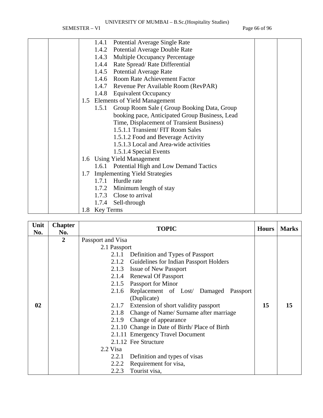SEMESTER – VI Page 66 of 96

| Potential Average Single Rate<br>1.4.1              |
|-----------------------------------------------------|
| <b>Potential Average Double Rate</b><br>1.4.2       |
| Multiple Occupancy Percentage<br>1.4.3              |
| 1.4.4 Rate Spread/Rate Differential                 |
| 1.4.5 Potential Average Rate                        |
| 1.4.6 Room Rate Achievement Factor                  |
| 1.4.7 Revenue Per Available Room (RevPAR)           |
| 1.4.8 Equivalent Occupancy                          |
| <b>Elements of Yield Management</b><br>1.5          |
| Group Room Sale (Group Booking Data, Group<br>1.5.1 |
| booking pace, Anticipated Group Business, Lead      |
| Time, Displacement of Transient Business)           |
| 1.5.1.1 Transient/ FIT Room Sales                   |
| 1.5.1.2 Food and Beverage Activity                  |
| 1.5.1.3 Local and Area-wide activities              |
| 1.5.1.4 Special Events                              |
| 1.6 Using Yield Management                          |
| 1.6.1 Potential High and Low Demand Tactics         |
| 1.7 Implementing Yield Strategies                   |
| Hurdle rate<br>1.7.1                                |
| 1.7.2 Minimum length of stay                        |
| 1.7.3 Close to arrival                              |
| 1.7.4<br>Sell-through                               |
| 1.8 Key Terms                                       |

| Unit<br>No. | <b>Chapter</b><br>No. | <b>TOPIC</b>                                    | <b>Hours</b> | <b>Marks</b> |
|-------------|-----------------------|-------------------------------------------------|--------------|--------------|
|             | $\overline{2}$        | Passport and Visa                               |              |              |
|             |                       | 2.1 Passport                                    |              |              |
|             |                       | Definition and Types of Passport<br>2.1.1       |              |              |
|             |                       | Guidelines for Indian Passport Holders<br>2.1.2 |              |              |
|             |                       | 2.1.3 Issue of New Passport                     |              |              |
|             |                       | 2.1.4 Renewal Of Passport                       |              |              |
|             |                       | 2.1.5 Passport for Minor                        |              |              |
|             |                       | Replacement of Lost/ Damaged Passport<br>2.1.6  |              |              |
|             |                       | (Duplicate)                                     |              |              |
| 02          |                       | Extension of short validity passport<br>2.1.7   | 15           | 15           |
|             |                       | Change of Name/ Surname after marriage<br>2.1.8 |              |              |
|             |                       | Change of appearance<br>2.1.9                   |              |              |
|             |                       | 2.1.10 Change in Date of Birth/Place of Birth   |              |              |
|             |                       | 2.1.11 Emergency Travel Document                |              |              |
|             |                       | 2.1.12 Fee Structure                            |              |              |
|             |                       | 2.2 Visa                                        |              |              |
|             |                       | 2.2.1<br>Definition and types of visas          |              |              |
|             |                       | Requirement for visa,<br>2.2.2                  |              |              |
|             |                       | 2.2.3<br>Tourist visa,                          |              |              |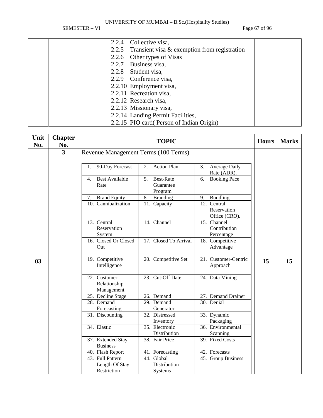SEMESTER – VI Page 67 of 96

|  | 2.2.4 Collective visa,<br>2.2.5 Transient visa $&$ exemption from registration<br>2.2.6 Other types of Visas<br>2.2.7 Business visa,<br>2.2.8 Student visa,<br>2.2.9 Conference visa,<br>2.2.10 Employment visa,<br>2.2.11 Recreation visa,<br>2.2.12 Research visa,<br>2.2.13 Missionary visa,<br>2.2.14 Landing Permit Facilities,<br>2.2.15 PIO card(Person of Indian Origin) |  |
|--|----------------------------------------------------------------------------------------------------------------------------------------------------------------------------------------------------------------------------------------------------------------------------------------------------------------------------------------------------------------------------------|--|

| Unit           | <b>Chapter</b>          |                                                               |                                                                             |              |              |
|----------------|-------------------------|---------------------------------------------------------------|-----------------------------------------------------------------------------|--------------|--------------|
| No.            | No.                     |                                                               | <b>TOPIC</b>                                                                | <b>Hours</b> | <b>Marks</b> |
|                | $\overline{\mathbf{3}}$ |                                                               |                                                                             |              |              |
|                |                         | Revenue Management Terms (100 Terms)<br>90-Day Forecast<br>1. | <b>Action Plan</b><br>2.<br>Average Daily<br>3.<br>Rate (ADR).              |              |              |
|                |                         | <b>Best Available</b><br>4.<br>Rate                           | <b>Best-Rate</b><br><b>Booking Pace</b><br>5.<br>6.<br>Guarantee<br>Program |              |              |
|                |                         | <b>Brand Equity</b><br>7.                                     | 8.<br><b>Branding</b><br><b>Bundling</b><br>9.                              |              |              |
|                |                         | 10. Cannibalization                                           | 12. Central<br>11. Capacity<br>Reservation<br>Office (CRO).                 |              |              |
|                |                         | 13. Central<br>Reservation<br>System                          | 14. Channel<br>15. Channel<br>Contribution<br>Percentage                    |              |              |
|                |                         | 16. Closed Or Closed<br>Out                                   | 17. Closed To Arrival<br>18. Competitive<br>Advantage                       |              |              |
| 0 <sub>3</sub> |                         | 19. Competitive<br>Intelligence                               | 20. Competitive Set<br>21. Customer-Centric<br>Approach                     | 15           | 15           |
|                |                         | 22. Customer<br>Relationship<br>Management                    | 23. Cut-Off Date<br>24. Data Mining                                         |              |              |
|                |                         | 25. Decline Stage                                             | 26. Demand<br>27. Demand Drainer                                            |              |              |
|                |                         | 28. Demand                                                    | 30. Denial<br>29. Demand                                                    |              |              |
|                |                         | Forecasting                                                   | Generator                                                                   |              |              |
|                |                         | 31. Discounting                                               | 32. Distressed<br>33. Dynamic<br>Packaging                                  |              |              |
|                |                         | 34. Elastic                                                   | Inventory<br>35. Electronic<br>36. Environmental                            |              |              |
|                |                         |                                                               | Distribution<br>Scanning                                                    |              |              |
|                |                         | 37. Extended Stay                                             | 38. Fair Price<br>39. Fixed Costs                                           |              |              |
|                |                         | <b>Business</b>                                               |                                                                             |              |              |
|                |                         | 40. Flash Report                                              | 41. Forecasting<br>42. Forecasts                                            |              |              |
|                |                         | 43. Full Pattern                                              | 44. Global<br>45. Group Business                                            |              |              |
|                |                         | Length Of Stay                                                | Distribution                                                                |              |              |
|                |                         | Restriction                                                   | Systems                                                                     |              |              |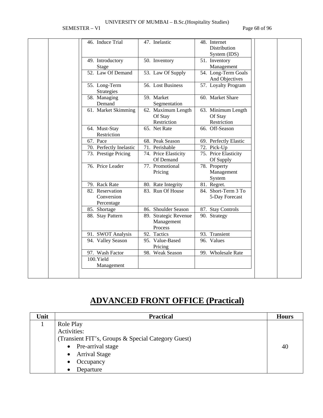SEMESTER – VI Page 68 of 96

| 46. Induce Trial        |                       |                       |
|-------------------------|-----------------------|-----------------------|
|                         | 47. Inelastic         | 48. Internet          |
|                         |                       | Distribution          |
|                         |                       | System (IDS)          |
| 49. Introductory        | 50. Inventory         | 51. Inventory         |
| Stage                   |                       | Management            |
| 52. Law Of Demand       | 53. Law Of Supply     | 54. Long-Term Goals   |
|                         |                       | And Objectives        |
| 55. Long-Term           | 56. Lost Business     | 57. Loyalty Program   |
| Strategies              |                       |                       |
| 58. Managing            | 59. Market            | 60. Market Share      |
| Demand                  | Segmentation          |                       |
| 61. Market Skimming     | 62. Maximum Length    | 63. Minimum Length    |
|                         | Of Stay               | Of Stay               |
|                         | Restriction           | Restriction           |
| 64. Must-Stay           | 65. Net Rate          | 66. Off-Season        |
| Restriction             |                       |                       |
| 67. Pace                | 68. Peak Season       | 69. Perfectly Elastic |
| 70. Perfectly Inelastic | 71. Perishable        | 72. Pick-Up           |
| 73. Prestige Pricing    | 74. Price Elasticity  | 75. Price Elasticity  |
|                         | Of Demand             | Of Supply             |
| 76. Price Leader        | 77. Promotional       | 78. Property          |
|                         | Pricing               | Management            |
|                         |                       | System                |
| 79. Rack Rate           | 80. Rate Integrity    | 81. Regret.           |
| 82. Reservation         | 83. Run Of House      | 84. Short-Term 3 To   |
| Conversion              |                       | 5-Day Forecast        |
| Percentage              |                       |                       |
| 85. Shortage            | 86. Shoulder Season   | 87. Stay Controls     |
| 88. Stay Pattern        | 89. Strategic Revenue | 90. Strategy          |
|                         | Management<br>Process |                       |
|                         | 92. Tactics           | 93. Transient         |
| 91. SWOT Analysis       | 95. Value-Based       | 96. Values            |
| 94. Valley Season       | Pricing               |                       |
| 97. Wash Factor         | 98. Weak Season       | 99. Wholesale Rate    |
| 100.Yield               |                       |                       |
| Management              |                       |                       |
|                         |                       |                       |

# **ADVANCED FRONT OFFICE (Practical)**

| Unit | <b>Practical</b>                                   | <b>Hours</b> |  |  |  |
|------|----------------------------------------------------|--------------|--|--|--|
|      | Role Play                                          |              |  |  |  |
|      | Activities:                                        |              |  |  |  |
|      | (Transient FIT's, Groups & Special Category Guest) |              |  |  |  |
|      | Pre-arrival stage<br>$\bullet$                     | 40           |  |  |  |
|      | <b>Arrival Stage</b><br>$\bullet$                  |              |  |  |  |
|      | Occupancy<br>$\bullet$                             |              |  |  |  |
|      | Departure<br>$\bullet$                             |              |  |  |  |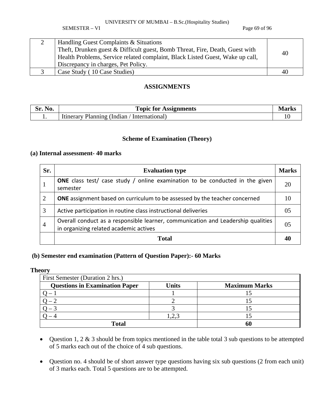SEMESTER – VI Page 69 of 96

| <b>Handling Guest Complaints &amp; Situations</b>                             |    |
|-------------------------------------------------------------------------------|----|
| Theft, Drunken guest & Difficult guest, Bomb Threat, Fire, Death, Guest with  |    |
| Health Problems, Service related complaint, Black Listed Guest, Wake up call, | 40 |
| Discrepancy in charges, Pet Policy.                                           |    |
| Case Study (10 Case Studies)                                                  | 40 |

### **ASSIGNMENTS**

| Sr.<br><b>NO.</b> | <b>Topic for Assignments</b>                       |  |
|-------------------|----------------------------------------------------|--|
|                   | Planning<br>' Indian<br>International<br>Itinerary |  |

### **Scheme of Examination (Theory)**

### **(a) Internal assessment- 40 marks**

| Sr.            | <b>Evaluation type</b>                                                                                                     | <b>Marks</b> |
|----------------|----------------------------------------------------------------------------------------------------------------------------|--------------|
|                | <b>ONE</b> class test/ case study / online examination to be conducted in the given<br>semester                            | 20           |
| 2              | <b>ONE</b> assignment based on curriculum to be assessed by the teacher concerned                                          | 10           |
| 3              | Active participation in routine class instructional deliveries                                                             | 0.5          |
| $\overline{4}$ | Overall conduct as a responsible learner, communication and Leadership qualities<br>in organizing related academic actives | 05           |
|                | <b>Total</b>                                                                                                               |              |

### **(b) Semester end examination (Pattern of Question Paper):- 60 Marks**

#### **Theory**

| First Semester (Duration 2 hrs.)      |              |                      |  |  |  |  |  |  |
|---------------------------------------|--------------|----------------------|--|--|--|--|--|--|
| <b>Questions in Examination Paper</b> | <b>Units</b> | <b>Maximum Marks</b> |  |  |  |  |  |  |
|                                       |              |                      |  |  |  |  |  |  |
|                                       |              |                      |  |  |  |  |  |  |
|                                       |              |                      |  |  |  |  |  |  |
|                                       |              |                      |  |  |  |  |  |  |
| Total                                 |              |                      |  |  |  |  |  |  |

- Question 1, 2 & 3 should be from topics mentioned in the table total 3 sub questions to be attempted of 5 marks each out of the choice of 4 sub questions.
- Question no. 4 should be of short answer type questions having six sub questions (2 from each unit) of 3 marks each. Total 5 questions are to be attempted.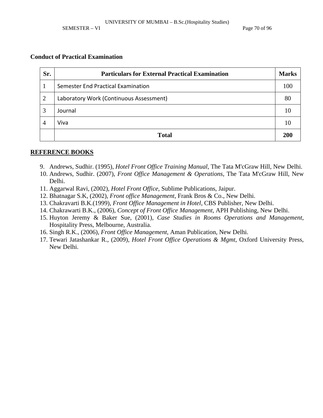SEMESTER – VI Page 70 of 96

### **Conduct of Practical Examination**

| Sr.            | <b>Particulars for External Practical Examination</b> | <b>Marks</b> |
|----------------|-------------------------------------------------------|--------------|
|                | Semester End Practical Examination                    | 100          |
| $\overline{2}$ | Laboratory Work (Continuous Assessment)               | 80           |
| 3              | Journal                                               | 10           |
| 4              | Viva                                                  | 10           |
|                | <b>Total</b>                                          | <b>200</b>   |

- 9. Andrews, Sudhir. (1995), *Hotel Front Office Training Manual*, The Tata M'cGraw Hill, New Delhi.
- 10. Andrews, Sudhir. (2007), *Front Office Management & Operations*, The Tata M'cGraw Hill, New Delhi.
- 11. Aggarwal Ravi, (2002), *Hotel Front Office*, Sublime Publications, Jaipur.
- 12. Bhatnagar S.K, (2002), *Front office Management*, Frank Bros & Co., New Delhi.
- 13. Chakravarti B.K.(1999), *Front Office Management in Hotel*, CBS Publisher, New Delhi.
- 14. Chakrawarti B.K., (2006), *Concept of Front Office Management*, APH Publishing, New Delhi.
- 15. Huyton Jeremy & Baker Sue, (2001), *Case Studies in Rooms Operations and Management*, Hospitality Press, Melbourne, Australia.
- 16. Singh R.K., (2006), *Front Office Management*, Aman Publication, New Delhi.
- 17. Tewari Jatashankar R., (2009), *Hotel Front Office Operations & Mgmt*, Oxford University Press, New Delhi.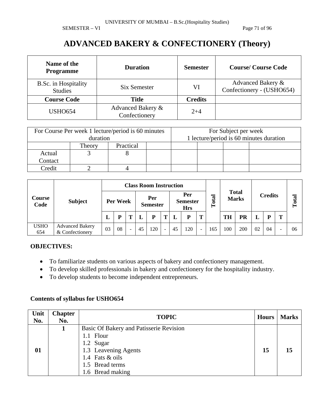SEMESTER – VI Page 71 of 96

# **ADVANCED BAKERY & CONFECTIONERY (Theory)**

| Name of the<br><b>Programme</b>        | <b>Duration</b>                    | <b>Semester</b> | <b>Course/Course Code</b>                      |
|----------------------------------------|------------------------------------|-----------------|------------------------------------------------|
| B.Sc. in Hospitality<br><b>Studies</b> | Six Semester                       | VI              | Advanced Bakery &<br>Confectionery - (USHO654) |
| <b>Course Code</b>                     | Title                              | <b>Credits</b>  |                                                |
| <b>USHO654</b>                         | Advanced Bakery &<br>Confectionery | $2 + 4$         |                                                |

|         | duration            | For Course Per week 1 lecture/period is 60 minutes |  |  | For Subject per week | 1 lecture/period is 60 minutes duration |  |
|---------|---------------------|----------------------------------------------------|--|--|----------------------|-----------------------------------------|--|
|         | Practical<br>Theory |                                                    |  |  |                      |                                         |  |
| Actual  |                     |                                                    |  |  |                      |                                         |  |
| Contact |                     |                                                    |  |  |                      |                                         |  |
| Credit  |                     |                                                    |  |  |                      |                                         |  |

| Course<br>Code     |                                           | <b>Class Room Instruction</b> |    |                        |    |                                      |                          |    |           |                              |     |                |     |       |    |   |    |
|--------------------|-------------------------------------------|-------------------------------|----|------------------------|----|--------------------------------------|--------------------------|----|-----------|------------------------------|-----|----------------|-----|-------|----|---|----|
|                    | <b>Subject</b>                            | Per Week                      |    | Per<br><b>Semester</b> |    | Per<br><b>Semester</b><br><b>Hrs</b> |                          |    | otal<br>Ĥ | <b>Total</b><br><b>Marks</b> |     | <b>Credits</b> |     | Total |    |   |    |
|                    |                                           | L                             |    |                        |    | P                                    | m                        |    | P         | T                            |     | <b>TH</b>      | PR  |       | D  | т |    |
| <b>USHO</b><br>654 | <b>Advanced Bakery</b><br>& Confectionery | 03                            | 08 | $\sim$                 | 45 | 120                                  | $\overline{\phantom{a}}$ | 45 | 120       | $\sim$                       | 165 | 100            | 200 | 02    | 04 |   | 06 |

### **OBJECTIVES:**

- To familiarize students on various aspects of bakery and confectionery management.
- To develop skilled professionals in bakery and confectionery for the hospitality industry.
- To develop students to become independent entrepreneurs.

| Unit<br>No. | <b>Chapter</b><br>No. | <b>TOPIC</b>                                                                                                                                        | <b>Hours</b> | <b>Marks</b> |
|-------------|-----------------------|-----------------------------------------------------------------------------------------------------------------------------------------------------|--------------|--------------|
| 01          |                       | Basic Of Bakery and Patisserie Revision<br>1.1 Flour<br>1.2 Sugar<br>1.3 Leavening Agents<br>1.4 Fats & oils<br>1.5 Bread terms<br>1.6 Bread making | 15           | 15           |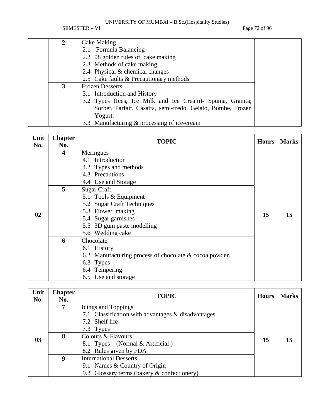SEMESTER – VI Page 72 of 96

| 2 | Cake Making                                                 |  |
|---|-------------------------------------------------------------|--|
|   | 2.1 Formula Balancing                                       |  |
|   | 2.2 08 golden rules of cake making                          |  |
|   | 2.3 Methods of cake making                                  |  |
|   | 2.4 Physical & chemical changes                             |  |
|   | 2.5 Cake faults & Precautionary methods                     |  |
|   | <b>Frozen Desserts</b>                                      |  |
|   | 3.1 Introduction and History                                |  |
|   | 3.2 Types (Ices, Ice Milk and Ice Cream) Spuma, Granita,    |  |
|   | Sorbet, Parfait, Casatta, semi-fredo, Gelato, Bombe, Frozen |  |
|   | Yogurt.                                                     |  |
|   | 3.3 Manufacturing & processing of ice-cream                 |  |

| Unit<br>No. | <b>Chapter</b><br>No.   | <b>TOPIC</b>                                                          | <b>Hours</b> | <b>Marks</b> |
|-------------|-------------------------|-----------------------------------------------------------------------|--------------|--------------|
|             | $\overline{\mathbf{4}}$ | Meringues<br>4.1 Introduction                                         |              |              |
|             |                         | 4.2 Types and methods                                                 |              |              |
|             |                         | 4.3 Precautions<br>4.4 Use and Storage                                |              |              |
|             | 5                       | <b>Sugar Craft</b>                                                    |              |              |
|             |                         | 5.1 Tools & Equipment<br>5.2 Sugar Craft Techniques                   |              |              |
| 02          |                         | 5.3 Flower making                                                     | 15           | 15           |
|             |                         | 5.4 Sugar garnishes<br>5.5 3D gum paste modelling<br>5.6 Wedding cake |              |              |
|             | 6                       | Chocolate                                                             |              |              |
|             |                         | 6.1 History                                                           |              |              |
|             |                         | 6.2 Manufacturing process of chocolate & cocoa powder.                |              |              |
|             |                         | 6.3 Types                                                             |              |              |
|             |                         | 6.4 Tempering                                                         |              |              |
|             |                         | 6.5 Use and storage                                                   |              |              |

| Unit<br>No. | <b>Chapter</b><br>No. | <b>TOPIC</b>                                                                                                  | <b>Hours</b> | <b>Marks</b> |
|-------------|-----------------------|---------------------------------------------------------------------------------------------------------------|--------------|--------------|
|             | 7                     | Icings and Toppings<br>7.1 Classification with advantages & disadvantages<br>7.2 Shelf life                   |              |              |
| 03          | 8                     | 7.3 Types<br>Colours & Flavours<br>8.1 Types – (Normal & Artificial)<br>8.2 Rules given by FDA                | 15           |              |
|             | 9                     | <b>International Desserts</b><br>9.1 Names & Country of Origin<br>9.2 Glossary terms (bakery & confectionery) |              |              |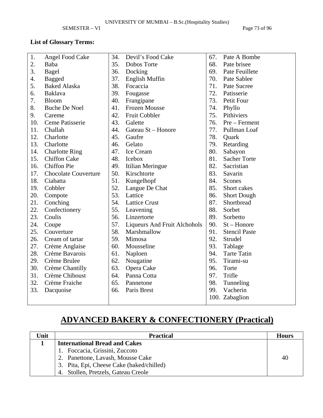SEMESTER – VI Page 73 of 96

## **List of Glossary Terms:**

| 1.  | Angel Food Cake             | 34. | Devil's Food Cake                   | 67. | Pate A Bombe         |
|-----|-----------------------------|-----|-------------------------------------|-----|----------------------|
| 2.  | Baba                        | 35. | Dobos Torte                         | 68. | Pate brisee          |
| 3.  | Bagel                       | 36. | Docking                             | 69. | Pate Feuillete       |
| 4.  | <b>Bagged</b>               | 37. | <b>English Muffin</b>               | 70. | Pate Sablee          |
| 5.  | <b>Baked Alaska</b>         | 38. | Focaccia                            | 71. | Pate Sucree          |
| 6.  | <b>Baklava</b>              | 39. | Fougasse                            | 72. | Patisserie           |
| 7.  | <b>Bloom</b>                | 40. | Frangipane                          | 73. | Petit Four           |
| 8.  | <b>Buche De Noel</b>        | 41. | Frozen Mousse                       | 74. | Phyllo               |
| 9.  | Careme                      | 42. | Fruit Cobbler                       | 75. | Pithiviers           |
| 10. | Ceme Patisserie             | 43. | Galette                             | 76. | Pre – Ferment        |
| 11. | Challah                     | 44. | Gateau St - Honore                  | 77. | Pullman Loaf         |
| 12. | Charlotte                   | 45. | Gaufre                              | 78. | Quark                |
| 13. | Charlotte                   | 46. | Gelato                              | 79. | Retarding            |
| 14. | <b>Charlotte Ring</b>       | 47. | Ice Cream                           | 80. | Sabayon              |
| 15. | <b>Chiffon Cake</b>         | 48. | Icebox                              | 81. | <b>Sacher Torte</b>  |
| 16. | <b>Chiffon Pie</b>          | 49. | Itilian Meringue                    | 82. | Sacristian           |
| 17. | <b>Chocolate Couverture</b> | 50. | Kirschtorte                         | 83. | Savarin              |
| 18. | Ciabatta                    | 51. | Kungelhopf                          | 84. | Scones               |
| 19. | Cobbler                     | 52. | Langue De Chat                      | 85. | Short cakes          |
| 20. | Compote                     | 53. | Lattice                             | 86. | <b>Short Dough</b>   |
| 21. | Conching                    | 54. | <b>Lattice Crust</b>                | 87. | Shortbread           |
| 22. | Confectionery               | 55. | Leavening                           | 88. | Sorbet               |
| 23. | Coulis                      | 56. | Linzertorte                         | 89. | Sorbetto             |
| 24. | Coupe                       | 57. | <b>Liqueurs And Fruit Alchohols</b> | 90. | $St - Honor$         |
| 25. | Couverture                  | 58. | Marshmallow                         | 91. | <b>Stencil Paste</b> |
| 26. | Cream of tartar             | 59. | Mimosa                              | 92. | Strudel              |
| 27. | Crème Anglaise              | 60. | Mousseline                          | 93. | Tablage              |
| 28. | Crème Bavarois              | 61. | Naploen                             | 94. | <b>Tarte Tatin</b>   |
| 29. | Crème Brulee                | 62. | Nougatine                           | 95. | Tirami-su            |
| 30. | Crème Chantilly             | 63. | Opera Cake                          | 96. | Torte                |
| 31. | Crème Chiboust              | 64. | Panna Cotta                         | 97. | Trifle               |
| 32. | Crème Fraiche               | 65. | Pannetone                           | 98. | Tunneling            |
| 33. | Dacquoise                   | 66. | Paris Brest                         | 99. | Vacherin             |
|     |                             |     |                                     |     | 100. Zabaglion       |
|     |                             |     |                                     |     |                      |

# **ADVANCED BAKERY & CONFECTIONERY (Practical)**

| Unit | <b>Practical</b>                          | <b>Hours</b> |
|------|-------------------------------------------|--------------|
|      | <b>International Bread and Cakes</b>      |              |
|      | Foccacia, Grissini, Zuccoto               |              |
|      | Panettone, Lavash, Mousse Cake            | 40           |
|      | 3. Pita, Epi, Cheese Cake (baked/chilled) |              |
|      | Stollen, Pretzels, Gateau Creole<br>4.    |              |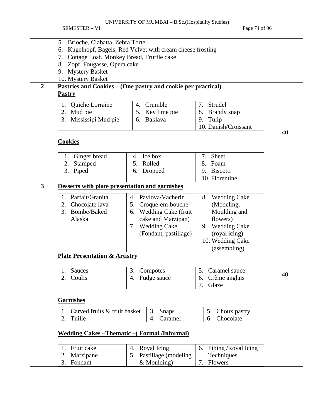SEMESTER – VI Page 74 of 96

|                         | Brioche, Ciabatta, Zebra Torte<br>5.                                     |                                  |                           |    |  |  |  |  |  |
|-------------------------|--------------------------------------------------------------------------|----------------------------------|---------------------------|----|--|--|--|--|--|
|                         | Kugelhopf, Bagels, Red Velvet with cream cheese frosting<br>6.           |                                  |                           |    |  |  |  |  |  |
|                         | 7. Cottage Loaf, Monkey Bread, Truffle cake                              |                                  |                           |    |  |  |  |  |  |
|                         | 8. Zopf, Fougasse, Opera cake                                            |                                  |                           |    |  |  |  |  |  |
|                         | 9. Mystery Basket                                                        |                                  |                           |    |  |  |  |  |  |
|                         | 10. Mystery Basket                                                       |                                  |                           |    |  |  |  |  |  |
| $\overline{2}$          | Pastries and Cookies – (One pastry and cookie per practical)             |                                  |                           |    |  |  |  |  |  |
|                         | <b>Pastry</b>                                                            |                                  |                           |    |  |  |  |  |  |
|                         |                                                                          |                                  |                           |    |  |  |  |  |  |
|                         | Quiche Lorraine<br>1.                                                    | 4. Crumble                       | Strudel<br>7.             |    |  |  |  |  |  |
|                         | Mud pie<br>2.                                                            | 5. Key lime pie                  | 8. Brandy snap            |    |  |  |  |  |  |
|                         | Mississipi Mud pie<br>3.                                                 | 6. Baklava                       | 9. Tulip                  |    |  |  |  |  |  |
|                         |                                                                          |                                  | 10. Danish/Croissant      |    |  |  |  |  |  |
|                         |                                                                          |                                  |                           | 40 |  |  |  |  |  |
|                         | <b>Cookies</b>                                                           |                                  |                           |    |  |  |  |  |  |
|                         |                                                                          |                                  |                           |    |  |  |  |  |  |
|                         | Ginger bread<br>1.                                                       | 4. Ice box                       | Sheet<br>7.               |    |  |  |  |  |  |
|                         | Stamped<br>2.                                                            | Rolled<br>5.                     | 8. Foam                   |    |  |  |  |  |  |
|                         | 3. Piped                                                                 | 6. Dropped                       | 9. Biscotti               |    |  |  |  |  |  |
|                         |                                                                          |                                  | 10. Florentine            |    |  |  |  |  |  |
| $\overline{\mathbf{3}}$ |                                                                          |                                  |                           |    |  |  |  |  |  |
|                         | Desserts with plate presentation and garnishes                           |                                  |                           |    |  |  |  |  |  |
|                         | Parfait/Granita<br>1.                                                    | 4. Pavlova/Vacherin              | <b>Wedding Cake</b><br>8. |    |  |  |  |  |  |
|                         | Chocolate lava<br>2.                                                     | 5. Croque-em-bouche              | (Modeling,                |    |  |  |  |  |  |
|                         | 3. Bombe/Baked                                                           | <b>Wedding Cake (fruit</b><br>6. | Moulding and              |    |  |  |  |  |  |
|                         | Alaska                                                                   | cake and Marzipan)               | flowers)                  |    |  |  |  |  |  |
|                         |                                                                          | 7. Wedding Cake                  | <b>Wedding Cake</b><br>9. |    |  |  |  |  |  |
|                         |                                                                          | (Fondant, pastillage)            |                           |    |  |  |  |  |  |
|                         |                                                                          |                                  | (royal icing)             |    |  |  |  |  |  |
|                         |                                                                          |                                  | 10. Wedding Cake          |    |  |  |  |  |  |
|                         |                                                                          |                                  | (assembling)              |    |  |  |  |  |  |
|                         | <b>Plate Presentation &amp; Artistry</b>                                 |                                  |                           |    |  |  |  |  |  |
|                         | Sauces                                                                   |                                  | 5. Caramel sauce          |    |  |  |  |  |  |
|                         | 2. Coulis                                                                | 3. Compotes                      |                           | 40 |  |  |  |  |  |
|                         |                                                                          | 4. Fudge sauce                   | 6. Crème anglais          |    |  |  |  |  |  |
|                         |                                                                          |                                  | 7. Glaze                  |    |  |  |  |  |  |
|                         |                                                                          |                                  |                           |    |  |  |  |  |  |
|                         | <b>Garnishes</b>                                                         |                                  |                           |    |  |  |  |  |  |
|                         | Carved fruits & fruit basket<br>Choux pastry<br>3.<br><b>Snaps</b><br>5. |                                  |                           |    |  |  |  |  |  |
|                         | Chocolate<br>Tuille<br>Caramel<br>2.<br>4.<br>6.                         |                                  |                           |    |  |  |  |  |  |
|                         |                                                                          |                                  |                           |    |  |  |  |  |  |
|                         | <b>Wedding Cakes-Thematic-(Formal/Informal)</b>                          |                                  |                           |    |  |  |  |  |  |
|                         | Fruit cake<br>1.                                                         | Royal Icing<br>4.                | 6. Piping / Royal Icing   |    |  |  |  |  |  |
|                         | Marzipane<br>2.                                                          | 5. Pastillage (modeling          | Techniques                |    |  |  |  |  |  |
|                         |                                                                          |                                  |                           |    |  |  |  |  |  |
|                         | 3. Fondant                                                               | & Moulding)                      | Flowers<br>7.             |    |  |  |  |  |  |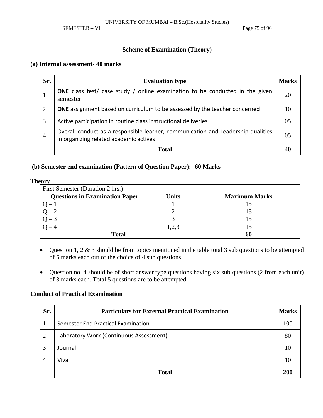SEMESTER – VI Page 75 of 96

### **Scheme of Examination (Theory)**

#### **(a) Internal assessment- 40 marks**

| Sr.            | <b>Evaluation type</b>                                                                                                     | <b>Marks</b> |
|----------------|----------------------------------------------------------------------------------------------------------------------------|--------------|
|                | <b>ONE</b> class test/ case study / online examination to be conducted in the given<br>semester                            | 20           |
| 2              | <b>ONE</b> assignment based on curriculum to be assessed by the teacher concerned                                          | 10           |
| 3              | Active participation in routine class instructional deliveries                                                             | 05           |
| $\overline{4}$ | Overall conduct as a responsible learner, communication and Leadership qualities<br>in organizing related academic actives | 05           |
|                | <b>Total</b>                                                                                                               |              |

#### **(b) Semester end examination (Pattern of Question Paper):- 60 Marks**

#### **Theory**

| First Semester (Duration 2 hrs.)      |              |                      |  |  |  |  |  |
|---------------------------------------|--------------|----------------------|--|--|--|--|--|
| <b>Questions in Examination Paper</b> | <b>Units</b> | <b>Maximum Marks</b> |  |  |  |  |  |
|                                       |              |                      |  |  |  |  |  |
|                                       |              |                      |  |  |  |  |  |
|                                       |              |                      |  |  |  |  |  |
|                                       | $2^{3}$      |                      |  |  |  |  |  |
| <b>Total</b>                          |              |                      |  |  |  |  |  |

- Question 1, 2 & 3 should be from topics mentioned in the table total 3 sub questions to be attempted of 5 marks each out of the choice of 4 sub questions.
- Question no. 4 should be of short answer type questions having six sub questions (2 from each unit) of 3 marks each. Total 5 questions are to be attempted.

#### **Conduct of Practical Examination**

| Sr.            | <b>Particulars for External Practical Examination</b> | <b>Marks</b> |
|----------------|-------------------------------------------------------|--------------|
|                | Semester End Practical Examination                    | 100          |
| $\overline{2}$ | Laboratory Work (Continuous Assessment)               | 80           |
| 3              | Journal                                               |              |
| 4              | Viva                                                  |              |
|                | <b>Total</b>                                          | 200          |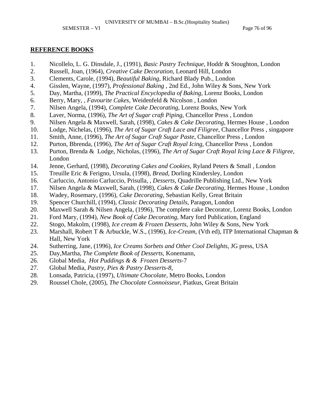- 1. Nicollelo, L. G. Dinsdale, J., (1991), *Basic Pastry Technique*, Hoddr & Stoughton, London
- 2. Russell, Joan, (1964), *Creative Cake Decoration*, Leonard Hill, London
- 3. Clements, Carole, (1994), *Beautiful Baking*, Richard Blady Pub., London
- 4. Gisslen, Wayne, (1997), *Professional Baking* , 2nd Ed., John Wiley & Sons, New York
- 5. Day, Martha, (1999), *The Practical Encyclopedia of Baking*, Lorenz Books, London
- 6. Berry, Mary, , *Favourite Cakes*, Weidenfeld & Nicolson , London
- 7. Nilsen Angela, (1994), *Complete Cake Decorating*, Lorenz Books, New York
- 8. Laver, Norma, (1996), *The Art of Sugar craft Piping*, Chancellor Press , London
- 9. Nilsen Angela & Maxwell, Sarah, (1998), *Cakes & Cake Decorating*, Hermes House , London
- 10. Lodge, Nichelas, (1996), *The Art of Sugar Craft Lace and Filigree*, Chancellor Press , singapore
- 11. Smith, Anne, (1996), *The Art of Sugar Craft Sugar Paste*, Chancellor Press , London
- 12. Purton, Bbrenda, (1996), *The Art of Sugar Craft Royal Icing*, Chancellor Press , London
- 13. Purton, Brenda & Lodge, Nicholas, (1996), *The Art of Sugar Craft Royal Icing Lace & Filigree*, London
- 14. Jenne, Gerhard, (1998), *Decorating Cakes and Cookies*, Ryland Peters & Small , London
- 15. Treuille Eric & Ferigno, Ursula, (1998), *Bread*, Dorling Kindersley, London
- 16. Carluccio, Antonio Carluccio, Prisulla, , *Desserts*, Quadrille Publishing Ltd., New York
- 17. Nilsen Angela & Maxwell, Sarah, (1998), *Cakes & Cake Decorating*, Hermes House , London
- 18. Wadey, Rosemary, (1996), *Cake Decorating*, Sebastian Kelly, Great Britain
- 19. Spencer Churchill, (1994), *Classic Decorating Details*, Paragon, London
- 20. Maxwell Sarah & Nilsen Angela, (1996), The complete cake Decorator, Lorenz Books, London
- 21. Ford Mary, (1994), *New Book of Cake Decorating*, Mary ford Publication, England
- 22. Stogo, Makolm, (1998), *Ice cream & Frozen Desserts*, John Wiley & Sons, New York
- 23. Marshall, Robert T & Arbuckle, W.S., (1996), *Ice-Cream*, (Vth ed), ITP International Chapman & Hall, New York
- 24. Sutherring, Jane, (1996), *Ice Creams Sorbets and Other Cool Delights*, JG press, USA
- 25. Day,Martha, *The Complete Book of Desserts*, Konemann,
- 26. Global Media, *Hot Puddings & & Frozen Desserts*-7
- 27. Global Media, *Pastry, Pies & Pastry Desserts-8*,
- 28. Lonsada, Patricia, (1997), *Ultimate Chocolate*, Metro Books, London
- 29. Roussel Chole, (2005), *The Chocolate Connoisseur*, Piatkus, Great Britain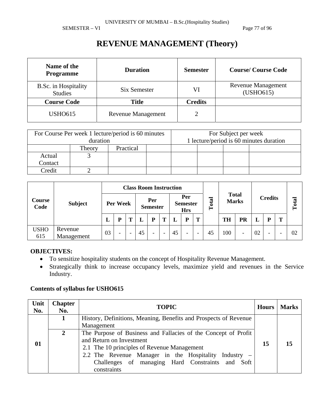SEMESTER – VI Page 77 of 96

## **REVENUE MANAGEMENT (Theory)**

| Name of the<br><b>Programme</b>        | <b>Duration</b>    | <b>Semester</b> | <b>Course/Course Code</b>              |
|----------------------------------------|--------------------|-----------------|----------------------------------------|
| B.Sc. in Hospitality<br><b>Studies</b> | Six Semester       | VI              | <b>Revenue Management</b><br>(USHO615) |
| <b>Course Code</b>                     | <b>Title</b>       | <b>Credits</b>  |                                        |
| <b>USHO615</b>                         | Revenue Management |                 |                                        |

|         | For Course Per week 1 lecture/period is 60 minutes<br>duration |           | For Subject per week<br>1 lecture/period is 60 minutes duration |  |  |  |  |
|---------|----------------------------------------------------------------|-----------|-----------------------------------------------------------------|--|--|--|--|
|         |                                                                |           |                                                                 |  |  |  |  |
|         | Theory                                                         | Practical |                                                                 |  |  |  |  |
| Actual  |                                                                |           |                                                                 |  |  |  |  |
| Contact |                                                                |           |                                                                 |  |  |  |  |
| Credit  |                                                                |           |                                                                 |  |  |  |  |

| Course<br>Code |                       |          | <b>Class Room Instruction</b> |                          |    |                          |                                      |    |                          |                          |                              |           |                |    |       |   |    |
|----------------|-----------------------|----------|-------------------------------|--------------------------|----|--------------------------|--------------------------------------|----|--------------------------|--------------------------|------------------------------|-----------|----------------|----|-------|---|----|
|                | <b>Subject</b>        | Per Week |                               | Per<br><b>Semester</b>   |    |                          | Per<br><b>Semester</b><br><b>Hrs</b> |    |                          | Total                    | <b>Total</b><br><b>Marks</b> |           | <b>Credits</b> |    | Total |   |    |
|                |                       | L        | D                             | m                        |    | p                        | т                                    |    | P                        | T                        |                              | <b>TH</b> | PR             |    | D     | т |    |
| USHO<br>615    | Revenue<br>Management | 03       | ۰                             | $\overline{\phantom{a}}$ | 45 | $\overline{\phantom{0}}$ | $\overline{\phantom{0}}$             | 45 | $\overline{\phantom{a}}$ | $\overline{\phantom{a}}$ | 45                           | 100       | -              | 02 | -     |   | 02 |

### **OBJECTIVES:**

- To sensitize hospitality students on the concept of Hospitality Revenue Management.
- Strategically think to increase occupancy levels, maximize yield and revenues in the Service Industry.

| Unit<br>No. | <b>Chapter</b><br>No. | <b>TOPIC</b>                                                                                                                                                                                                                                                          | <b>Hours</b> | <b>Marks</b> |
|-------------|-----------------------|-----------------------------------------------------------------------------------------------------------------------------------------------------------------------------------------------------------------------------------------------------------------------|--------------|--------------|
|             |                       | History, Definitions, Meaning, Benefits and Prospects of Revenue<br>Management                                                                                                                                                                                        |              |              |
| 01          | $\mathbf{2}$          | The Purpose of Business and Fallacies of the Concept of Profit<br>and Return on Investment<br>2.1 The 10 principles of Revenue Management<br>2.2 The Revenue Manager in the Hospitality Industry –<br>Challenges of managing Hard Constraints and Soft<br>constraints | 15           |              |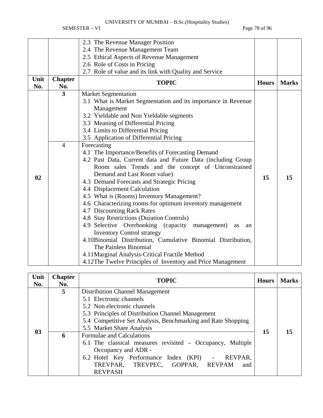SEMESTER – VI Page 78 of 96

|      |                | 2.3 The Revenue Manager Position                                                                                  |              |              |  |  |  |  |  |
|------|----------------|-------------------------------------------------------------------------------------------------------------------|--------------|--------------|--|--|--|--|--|
|      |                |                                                                                                                   |              |              |  |  |  |  |  |
|      |                | 2.4 The Revenue Management Team                                                                                   |              |              |  |  |  |  |  |
|      |                | 2.5 Ethical Aspects of Revenue Management                                                                         |              |              |  |  |  |  |  |
|      |                | 2.6 Role of Costs in Pricing                                                                                      |              |              |  |  |  |  |  |
|      |                | 2.7 Role of value and its link with Quality and Service                                                           |              |              |  |  |  |  |  |
| Unit | <b>Chapter</b> | <b>TOPIC</b>                                                                                                      | <b>Hours</b> | <b>Marks</b> |  |  |  |  |  |
| No.  | No.            |                                                                                                                   |              |              |  |  |  |  |  |
|      | 3              | <b>Market Segmentation</b>                                                                                        |              |              |  |  |  |  |  |
|      |                | 3.1 What is Market Segmentation and its importance in Revenue                                                     |              |              |  |  |  |  |  |
|      |                | Management                                                                                                        |              |              |  |  |  |  |  |
|      |                | 3.2 Yieldable and Non Yieldable segments                                                                          |              |              |  |  |  |  |  |
|      |                | 3.3 Meaning of Differential Pricing                                                                               |              |              |  |  |  |  |  |
|      |                | 3.4 Limits to Differential Pricing                                                                                |              |              |  |  |  |  |  |
|      |                | 3.5 Application of Differential Pricing                                                                           |              |              |  |  |  |  |  |
|      | $\overline{4}$ | Forecasting                                                                                                       |              |              |  |  |  |  |  |
|      |                |                                                                                                                   |              |              |  |  |  |  |  |
|      |                | 4.1 The Importance/Benefits of Forecasting Demand<br>4.2 Past Data, Current data and Future Data (including Group |              |              |  |  |  |  |  |
|      |                | Room sales Trends and the concept of Unconstrained<br>Demand and Last Room value)                                 |              |              |  |  |  |  |  |
|      |                |                                                                                                                   |              |              |  |  |  |  |  |
| 02   |                | 4.3 Demand Forecasts and Strategic Pricing                                                                        | 15           | 15           |  |  |  |  |  |
|      |                | 4.4 Displacement Calculation                                                                                      |              |              |  |  |  |  |  |
|      |                | 4.5 What is (Rooms) Inventory Management?                                                                         |              |              |  |  |  |  |  |
|      |                | 4.6 Characterizing rooms for optimum inventory management                                                         |              |              |  |  |  |  |  |
|      |                | 4.7 Discounting Rack Rates                                                                                        |              |              |  |  |  |  |  |
|      |                | 4.8 Stay Restrictions (Duration Controls)                                                                         |              |              |  |  |  |  |  |
|      |                |                                                                                                                   |              |              |  |  |  |  |  |
|      |                | 4.9 Selective Overbooking (capacity management)<br>as<br>an                                                       |              |              |  |  |  |  |  |
|      |                | <b>Inventory Control strategy</b>                                                                                 |              |              |  |  |  |  |  |
|      |                | 4.10Binomial Distribution, Cumulative Binomial Distribution,                                                      |              |              |  |  |  |  |  |
|      |                | The Painless Binomial                                                                                             |              |              |  |  |  |  |  |
|      |                | 4.11 Marginal Analysis-Critical Fractile Method                                                                   |              |              |  |  |  |  |  |
|      |                | 4.12The Twelve Principles of Inventory and Price Management                                                       |              |              |  |  |  |  |  |

| Unit<br>No. | <b>Chapter</b><br>No. | <b>TOPIC</b>                                                                                                                                                                                                                                | <b>Hours</b> | <b>Marks</b> |
|-------------|-----------------------|---------------------------------------------------------------------------------------------------------------------------------------------------------------------------------------------------------------------------------------------|--------------|--------------|
| 03          | 5                     | Distribution Channel Management<br>5.1 Electronic channels<br>5.2 Non electronic channels<br>5.3 Principles of Distribution Channel Management<br>5.4 Competitive Set Analysis, Benchmarking and Rate Shopping<br>5.5 Market Share Analysis | 15           | 15           |
|             | 6                     | Formulae and Calculations<br>6.1 The classical measures revisited – Occupancy, Multiple<br>Occupancy and ADR -<br>6.2 Hotel Key Performance Index (KPI) - REVPAR,<br>TREVPAR, TREVPEC, GOPPAR, REVPAM<br>and<br><b>REVPASH</b>              |              |              |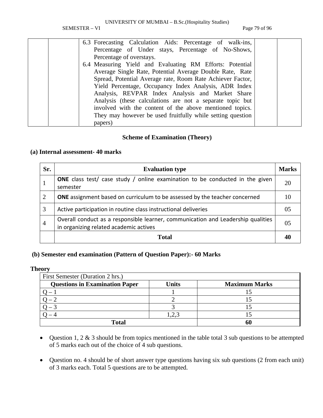SEMESTER – VI Page 79 of 96

|  | 6.3 Forecasting Calculation Aids: Percentage of walk-ins,  |  |
|--|------------------------------------------------------------|--|
|  | Percentage of Under stays, Percentage of No-Shows,         |  |
|  | Percentage of overstays.                                   |  |
|  | 6.4 Measuring Yield and Evaluating RM Efforts: Potential   |  |
|  | Average Single Rate, Potential Average Double Rate, Rate   |  |
|  | Spread, Potential Average rate, Room Rate Achiever Factor, |  |
|  | Yield Percentage, Occupancy Index Analysis, ADR Index      |  |
|  | Analysis, REVPAR Index Analysis and Market Share           |  |
|  | Analysis (these calculations are not a separate topic but  |  |
|  | involved with the content of the above mentioned topics.   |  |
|  | They may however be used fruitfully while setting question |  |
|  | papers)                                                    |  |

#### **Scheme of Examination (Theory)**

#### **(a) Internal assessment- 40 marks**

| Sr.            | <b>Evaluation type</b>                                                                                                     | <b>Marks</b> |
|----------------|----------------------------------------------------------------------------------------------------------------------------|--------------|
|                | <b>ONE</b> class test/ case study / online examination to be conducted in the given<br>semester                            | 20           |
| $\overline{2}$ | <b>ONE</b> assignment based on curriculum to be assessed by the teacher concerned                                          | 10           |
| 3              | Active participation in routine class instructional deliveries                                                             | 05           |
| 4              | Overall conduct as a responsible learner, communication and Leadership qualities<br>in organizing related academic actives | 05           |
|                | <b>Total</b>                                                                                                               |              |

### **(b) Semester end examination (Pattern of Question Paper):- 60 Marks**

| <b>Theory</b>                         |              |                      |
|---------------------------------------|--------------|----------------------|
| First Semester (Duration 2 hrs.)      |              |                      |
| <b>Questions in Examination Paper</b> | <b>Units</b> | <b>Maximum Marks</b> |
|                                       |              |                      |
|                                       |              |                      |
|                                       |              |                      |
|                                       | ,2,3         |                      |
| <b>Total</b>                          |              | 61                   |

- Question 1, 2 & 3 should be from topics mentioned in the table total 3 sub questions to be attempted of 5 marks each out of the choice of 4 sub questions.
- Question no. 4 should be of short answer type questions having six sub questions (2 from each unit) of 3 marks each. Total 5 questions are to be attempted.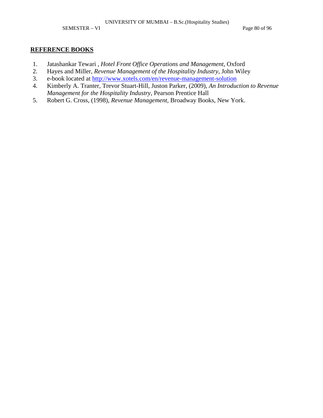SEMESTER – VI Page 80 of 96

- 1. Jatashankar Tewari , *Hotel Front Office Operations and Management*, Oxford
- 2. Hayes and Miller, *Revenue Management of the Hospitality Industry*, John Wiley
- 3. e-book located at http://www.xotels.com/en/revenue-management-solution
- 4. Kimberly A. Tranter, Trevor Stuart-Hill, Juston Parker, (2009), *An Introduction to Revenue Management for the Hospitality Industry*, Pearson Prentice Hall
- 5. Robert G. Cross, (1998), *Revenue Management*, Broadway Books, New York.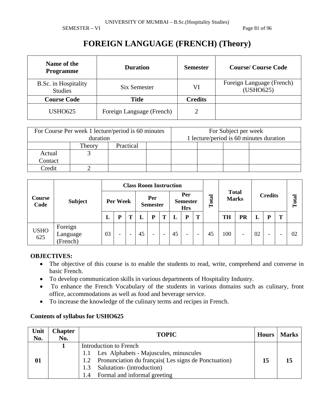SEMESTER – VI Page 81 of 96

## **FOREIGN LANGUAGE (FRENCH) (Theory)**

| Name of the<br><b>Programme</b>        | <b>Duration</b>           | <b>Semester</b> | <b>Course/Course Code</b>              |
|----------------------------------------|---------------------------|-----------------|----------------------------------------|
| B.Sc. in Hospitality<br><b>Studies</b> | Six Semester              | VI              | Foreign Language (French)<br>(USHO625) |
| <b>Course Code</b>                     | <b>Title</b>              | <b>Credits</b>  |                                        |
| <b>USHO625</b>                         | Foreign Language (French) |                 |                                        |

| For Course Per week 1 lecture/period is 60 minutes<br>duration |        |           |  |  | For Subject per week<br>1 lecture/period is 60 minutes duration |  |  |  |
|----------------------------------------------------------------|--------|-----------|--|--|-----------------------------------------------------------------|--|--|--|
|                                                                | Theory | Practical |  |  |                                                                 |  |  |  |
| Actual                                                         |        |           |  |  |                                                                 |  |  |  |
| Contact                                                        |        |           |  |  |                                                                 |  |  |  |
| ∩redit                                                         |        |           |  |  |                                                                 |  |  |  |

|                    |                                 | <b>Class Room Instruction</b> |   |                        |    |                                      |                          |           |                              |                          |                |     |           |    |   |   |    |
|--------------------|---------------------------------|-------------------------------|---|------------------------|----|--------------------------------------|--------------------------|-----------|------------------------------|--------------------------|----------------|-----|-----------|----|---|---|----|
| Course<br>Code     | <b>Subject</b>                  | Per Week                      |   | Per<br><b>Semester</b> |    | Per<br><b>Semester</b><br><b>Hrs</b> |                          | otal<br>⊨ | <b>Total</b><br><b>Marks</b> |                          | <b>Credits</b> |     | Total     |    |   |   |    |
|                    |                                 | L                             | D |                        |    | P                                    | T                        |           | P                            | Т                        |                | TH  | <b>PR</b> |    | D | Т |    |
| <b>USHO</b><br>625 | Foreign<br>Language<br>(French) | 03                            | - | ۰                      | 45 | $\overline{\phantom{a}}$             | $\overline{\phantom{0}}$ | 45        | $\overline{\phantom{0}}$     | $\overline{\phantom{0}}$ | 45             | 100 | -         | 02 | - |   | 02 |

### **OBJECTIVES:**

- The objective of this course is to enable the students to read, write, comprehend and converse in basic French.
- To develop communication skills in various departments of Hospitality Industry.
- To enhance the French Vocabulary of the students in various domains such as culinary, front office, accommodations as well as food and beverage service.
- To increase the knowledge of the culinary terms and recipes in French.

| Unit<br>No. | <b>Chapter</b><br>No. | <b>TOPIC</b>                                             | Hours | <b>Marks</b> |
|-------------|-----------------------|----------------------------------------------------------|-------|--------------|
|             |                       | Introduction to French                                   |       |              |
|             |                       | Les Alphabets - Majuscules, minuscules                   |       |              |
| 01          |                       | 1.2 Pronunciation du français (Les signs de Ponctuation) | 15    | 15           |
|             |                       | Salutation- (introduction)<br>1.3                        |       |              |
|             |                       | Formal and informal greeting<br>1.4                      |       |              |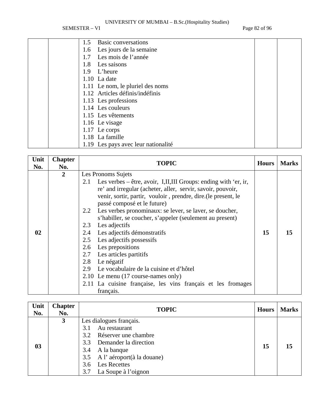SEMESTER – VI Page 82 of 96

|     | 1.5 Basic conversations          |  |
|-----|----------------------------------|--|
| 1.6 | Les jours de la semaine          |  |
| 1.7 | Les mois de l'année              |  |
| 1.8 | Les saisons                      |  |
| 1.9 | L'heure                          |  |
|     | $1.10$ La date                   |  |
|     | 1.11 Le nom, le pluriel des noms |  |
|     | 1.12 Articles définis/indéfinis  |  |
|     | 1.13 Les professions             |  |
|     | 1.14 Les couleurs                |  |
|     | 1.15 Les vêtements               |  |
|     | 1.16 Le visage                   |  |
|     | 1.17 Le corps                    |  |
|     | 1.18 La famille                  |  |

1.19 Les pays avec leur nationalité

| Unit<br>No. | <b>Chapter</b><br>No. | <b>TOPIC</b>                                                                                                                                                                                                                                                                                                                                                                                                                                                                                                                                                                                                                                                                                                                                                  | <b>Hours</b> | <b>Marks</b> |
|-------------|-----------------------|---------------------------------------------------------------------------------------------------------------------------------------------------------------------------------------------------------------------------------------------------------------------------------------------------------------------------------------------------------------------------------------------------------------------------------------------------------------------------------------------------------------------------------------------------------------------------------------------------------------------------------------------------------------------------------------------------------------------------------------------------------------|--------------|--------------|
| 02          | $\overline{2}$        | Les Pronoms Sujets<br>Les verbes $-\hat{\text{etc}}$ , avoir, I,II,III Groups: ending with 'er, ir,<br>2.1<br>re' and irregular (acheter, aller, servir, savoir, pouvoir,<br>venir, sortir, partir, vouloir, prendre, dire. (le present, le<br>passé composé et le future)<br>2.2 Les verbes pronominaux: se lever, se laver, se doucher,<br>s'habiller, se coucher, s'appeler (seulement au present)<br>Les adjectifs<br>2.3<br>Les adjectifs démonstratifs<br>2.4<br>Les adjectifs possessifs<br>2.5<br>Les prepositions<br>2.6<br>Les articles partitifs<br>2.7<br>2.8<br>Le négatif<br>Le vocabulaire de la cuisine et d'hôtel<br>2.9<br>2.10 Le menu (17 course-names only)<br>2.11 La cuisine française, les vins français et les fromages<br>français. | 15           | 15           |

| Unit<br>No. | <b>Chapter</b><br>No. | <b>TOPIC</b>                                                                                                                                                                                                   | <b>Hours</b> | <b>Marks</b> |
|-------------|-----------------------|----------------------------------------------------------------------------------------------------------------------------------------------------------------------------------------------------------------|--------------|--------------|
| 03          | 3                     | Les dialogues français.<br>Au restaurant<br>3.1<br>3.2 Réserver une chambre<br>3.3 Demander la direction<br>3.4 A la banque<br>3.5 A l'aéroport(à la douane)<br>3.6 Les Recettes<br>La Soupe à l'oignon<br>3.7 | 15           | 15           |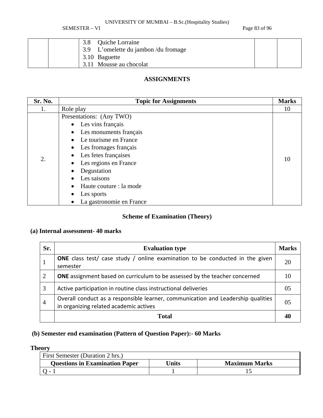SEMESTER – VI Page 83 of 96

| 3.8 Quiche Lorraine<br>3.9 L'omelette du jambon / du fromage |  |
|--------------------------------------------------------------|--|
| 3.10 Baguette<br>3.11 Mousse au chocolat                     |  |

## **ASSIGNMENTS**

| Sr. No. | <b>Topic for Assignments</b> | <b>Marks</b> |
|---------|------------------------------|--------------|
| 1.      | Role play                    | 10           |
|         | Presentations: (Any TWO)     |              |
|         | Les vins français            |              |
|         | Les monuments français       |              |
|         | Le tourisme en France        |              |
|         | Les fromages français        |              |
|         | Les fetes françaises         |              |
| 2.      | Les regions en France        | 10           |
|         | Degustation                  |              |
|         | Les saisons                  |              |
|         | Haute couture : la mode      |              |
|         | Les sports                   |              |
|         | La gastronomie en France     |              |

## **Scheme of Examination (Theory)**

## **(a) Internal assessment- 40 marks**

| Sr.            | <b>Evaluation type</b>                                                                                                     | <b>Marks</b> |
|----------------|----------------------------------------------------------------------------------------------------------------------------|--------------|
|                | <b>ONE</b> class test/ case study / online examination to be conducted in the given<br>semester                            | 20           |
| 2              | <b>ONE</b> assignment based on curriculum to be assessed by the teacher concerned                                          | 10           |
| 3              | Active participation in routine class instructional deliveries                                                             | 05           |
| $\overline{4}$ | Overall conduct as a responsible learner, communication and Leadership qualities<br>in organizing related academic actives | 05           |
|                | Total                                                                                                                      |              |

## **(b) Semester end examination (Pattern of Question Paper):- 60 Marks**

## **Theory**

| <b>First Semester (Duration 2 hrs.)</b> |       |                      |
|-----------------------------------------|-------|----------------------|
| <b>Questions in Examination Paper</b>   | Jnits | <b>Maximum Marks</b> |
|                                         |       |                      |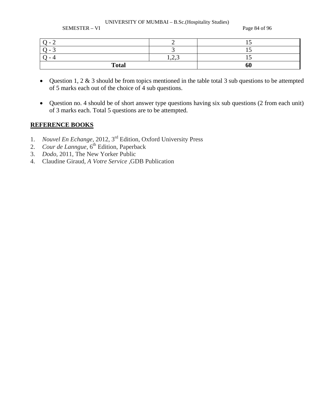SEMESTER – VI Page 84 of 96

| $\overline{\phantom{0}}$ |                   |  |
|--------------------------|-------------------|--|
| $\overline{\phantom{0}}$ |                   |  |
|                          | $\sim$<br>1, 2, 3 |  |
| <b>Total</b>             | 60                |  |

- Question 1, 2 & 3 should be from topics mentioned in the table total 3 sub questions to be attempted of 5 marks each out of the choice of 4 sub questions.
- Question no. 4 should be of short answer type questions having six sub questions (2 from each unit) of 3 marks each. Total 5 questions are to be attempted.

- 1. *Nouvel En Echange,* 2012, 3rd Edition, Oxford University Press
- 2. *Cour de Lanngue*, 6<sup>th</sup> Edition, Paperback
- 3. *Dodo,* 2011, The New Yorker Public
- 4. Claudine Giraud, *A Votre Service* ,GDB Publication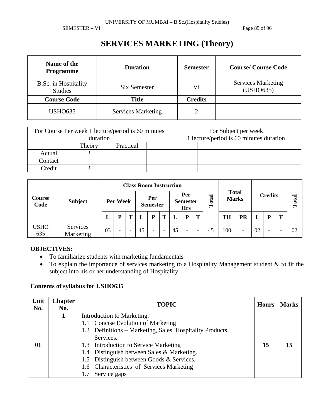SEMESTER – VI Page 85 of 96

## **SERVICES MARKETING (Theory)**

| Name of the<br><b>Programme</b>        | <b>Duration</b>           | <b>Semester</b> | <b>Course/Course Code</b>              |
|----------------------------------------|---------------------------|-----------------|----------------------------------------|
| B.Sc. in Hospitality<br><b>Studies</b> | Six Semester              | VI              | <b>Services Marketing</b><br>(USHO635) |
| <b>Course Code</b>                     | Title                     | <b>Credits</b>  |                                        |
| <b>USHO635</b>                         | <b>Services Marketing</b> |                 |                                        |

|                     | duration | For Course Per week 1 lecture/period is 60 minutes | For Subject per week<br>1 lecture/period is 60 minutes duration |  |  |  |  |
|---------------------|----------|----------------------------------------------------|-----------------------------------------------------------------|--|--|--|--|
| Practical<br>Theory |          |                                                    |                                                                 |  |  |  |  |
| Actual              |          |                                                    |                                                                 |  |  |  |  |
| Contact             |          |                                                    |                                                                 |  |  |  |  |
| Credit              |          |                                                    |                                                                 |  |  |  |  |

| <b>Course</b><br>Code |                       | <b>Class Room Instruction</b> |   |                          |    |                                      |                          |           |                              |                          |                |           |       |    |   |   |    |
|-----------------------|-----------------------|-------------------------------|---|--------------------------|----|--------------------------------------|--------------------------|-----------|------------------------------|--------------------------|----------------|-----------|-------|----|---|---|----|
|                       | <b>Subject</b>        | Per Week                      |   | Per<br><b>Semester</b>   |    | Per<br><b>Semester</b><br><b>Hrs</b> |                          | otal<br>⊨ | <b>Total</b><br><b>Marks</b> |                          | <b>Credits</b> |           | Total |    |   |   |    |
|                       |                       | L                             | D |                          |    | P                                    | т                        |           | P                            | Т                        |                | <b>TH</b> | PR    |    | D | т |    |
| <b>USHO</b><br>635    | Services<br>Marketing | 03                            | ۰ | $\overline{\phantom{a}}$ | 45 | $\overline{\phantom{0}}$             | $\overline{\phantom{0}}$ | 45        | $\overline{\phantom{a}}$     | $\overline{\phantom{a}}$ | 45             | 100       | -     | 02 | - |   | 02 |

### **OBJECTIVES:**

- To familiarize students with marketing fundamentals
- To explain the importance of services marketing to a Hospitality Management student & to fit the subject into his or her understanding of Hospitality.

| Unit<br>No. | <b>Chapter</b><br>No. | <b>TOPIC</b>                                                                                                                                                                                                                                                                                                                                       | <b>Hours</b> | <b>Marks</b> |
|-------------|-----------------------|----------------------------------------------------------------------------------------------------------------------------------------------------------------------------------------------------------------------------------------------------------------------------------------------------------------------------------------------------|--------------|--------------|
| 01          |                       | Introduction to Marketing.<br>1.1 Concise Evolution of Marketing<br>1.2 Definitions – Marketing, Sales, Hospitality Products,<br>Services.<br>1.3 Introduction to Service Marketing<br>1.4 Distinguish between Sales & Marketing.<br>1.5 Distinguish between Goods & Services.<br>1.6 Characteristics of Services Marketing<br>Service gaps<br>1.7 | 15           | 15           |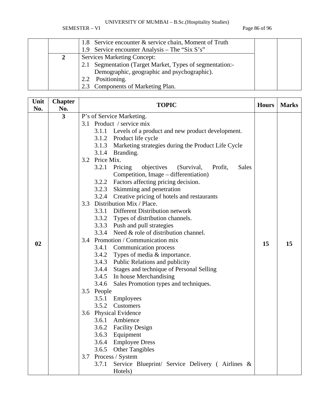SEMESTER – VI Page 86 of 96

|  | 1.8 Service encounter & service chain, Moment of Truth   |  |
|--|----------------------------------------------------------|--|
|  | 1.9 Service encounter Analysis – The "Six S's"           |  |
|  | <b>Services Marketing Concept:</b>                       |  |
|  | 2.1 Segmentation (Target Market, Types of segmentation:- |  |
|  | Demographic, geographic and psychographic).              |  |
|  | Positioning.<br>2.2                                      |  |
|  | 2.3 Components of Marketing Plan.                        |  |

| Unit<br>No. | <b>Chapter</b><br>No. | <b>TOPIC</b>                                                                                                                                                                                                                                                                                                                                                                                                                                                                                                                                                                                                                                                                                                                                                                                                                                                                                                                                  | <b>Hours</b> | <b>Marks</b> |
|-------------|-----------------------|-----------------------------------------------------------------------------------------------------------------------------------------------------------------------------------------------------------------------------------------------------------------------------------------------------------------------------------------------------------------------------------------------------------------------------------------------------------------------------------------------------------------------------------------------------------------------------------------------------------------------------------------------------------------------------------------------------------------------------------------------------------------------------------------------------------------------------------------------------------------------------------------------------------------------------------------------|--------------|--------------|
|             | $\overline{3}$        | P's of Service Marketing.<br>3.1 Product / service mix<br>3.1.1 Levels of a product and new product development.<br>3.1.2 Product life cycle<br>3.1.3 Marketing strategies during the Product Life Cycle<br>3.1.4 Branding.<br>3.2 Price Mix.<br>3.2.1<br>Pricing<br>objectives<br><b>Sales</b><br>(Survival,<br>Profit,<br>Competition, Image – differentiation)                                                                                                                                                                                                                                                                                                                                                                                                                                                                                                                                                                             |              |              |
| 02          |                       | 3.2.2 Factors affecting pricing decision.<br>3.2.3 Skimming and penetration<br>3.2.4 Creative pricing of hotels and restaurants<br>Distribution Mix / Place.<br>3.3<br>Different Distribution network<br>3.3.1<br>3.3.2 Types of distribution channels.<br>3.3.3 Push and pull strategies<br>3.3.4 Need & role of distribution channel.<br>3.4 Promotion / Communication mix<br>3.4.1 Communication process<br>3.4.2 Types of media & importance.<br>3.4.3 Public Relations and publicity<br>3.4.4 Stages and technique of Personal Selling<br>3.4.5 In house Merchandising<br>Sales Promotion types and techniques.<br>3.4.6<br>3.5 People<br>Employees<br>3.5.1<br>3.5.2<br>Customers<br>3.6 Physical Evidence<br>Ambience<br>3.6.1<br>3.6.2 Facility Design<br>3.6.3 Equipment<br>3.6.4<br><b>Employee Dress</b><br>3.6.5<br><b>Other Tangibles</b><br>Process / System<br>3.7<br>3.7.1<br>Service Blueprint/ Service Delivery (Airlines & | 15           | 15           |
|             |                       | Hotels)                                                                                                                                                                                                                                                                                                                                                                                                                                                                                                                                                                                                                                                                                                                                                                                                                                                                                                                                       |              |              |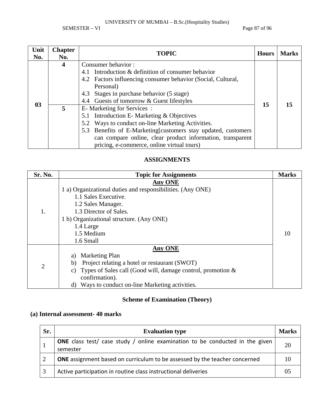SEMESTER – VI Page 87 of 96

| Unit<br>No. | <b>Chapter</b><br>No. | <b>TOPIC</b>                                                                                                                                                                                                                                                                                               | <b>Hours</b> | <b>Marks</b> |
|-------------|-----------------------|------------------------------------------------------------------------------------------------------------------------------------------------------------------------------------------------------------------------------------------------------------------------------------------------------------|--------------|--------------|
|             | 4                     | Consumer behavior:<br>Introduction & definition of consumer behavior<br>4.1<br>4.2 Factors influencing consumer behavior (Social, Cultural,<br>Personal)                                                                                                                                                   |              |              |
| 03          |                       | 4.3 Stages in purchase behavior (5 stage)<br>4.4 Guests of tomorrow & Guest lifestyles                                                                                                                                                                                                                     | 15           | 15           |
|             | 5.                    | E-Marketing for Services:<br>5.1 Introduction E- Marketing & Objectives<br>5.2 Ways to conduct on-line Marketing Activities.<br>5.3 Benefits of E-Marketing [customers stay updated, customers<br>can compare online, clear product information, transparent<br>pricing, e-commerce, online virtual tours) |              |              |

### **ASSIGNMENTS**

| Sr. No.        | <b>Topic for Assignments</b>                                                                                                                                                                                                                   | <b>Marks</b> |
|----------------|------------------------------------------------------------------------------------------------------------------------------------------------------------------------------------------------------------------------------------------------|--------------|
| 1.             | <b>Any ONE</b><br>1 a) Organizational duties and responsibilities. (Any ONE)<br>1.1 Sales Executive.<br>1.2 Sales Manager.<br>1.3 Director of Sales.<br>1 b) Organizational structure. (Any ONE)<br>1.4 Large<br>1.5 Medium<br>1.6 Small       | 10           |
| $\overline{2}$ | <b>Any ONE</b><br>Marketing Plan<br>a)<br>Project relating a hotel or restaurant (SWOT)<br>b)<br>Types of Sales call (Good will, damage control, promotion $\&$<br>C)<br>confirmation).<br>Ways to conduct on-line Marketing activities.<br>d) |              |

## **Scheme of Examination (Theory)**

## **(a) Internal assessment- 40 marks**

| Sr. | <b>Evaluation type</b>                                                                          | <b>Marks</b> |
|-----|-------------------------------------------------------------------------------------------------|--------------|
|     | <b>ONE</b> class test/ case study / online examination to be conducted in the given<br>semester |              |
|     | <b>ONE</b> assignment based on curriculum to be assessed by the teacher concerned               |              |
|     | Active participation in routine class instructional deliveries                                  |              |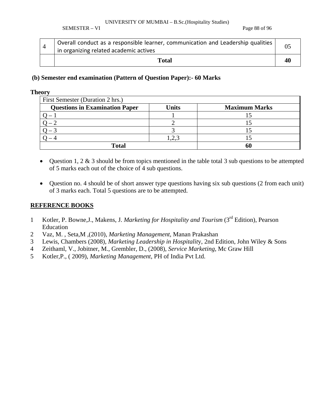SEMESTER – VI Page 88 of 96

|  | Overall conduct as a responsible learner, communication and Leadership qualities<br>I in organizing related academic actives |  |
|--|------------------------------------------------------------------------------------------------------------------------------|--|
|  | Total                                                                                                                        |  |

#### **(b) Semester end examination (Pattern of Question Paper):- 60 Marks**

#### **Theory**

| First Semester (Duration 2 hrs.)      |       |                      |  |  |  |  |
|---------------------------------------|-------|----------------------|--|--|--|--|
| <b>Questions in Examination Paper</b> | Units | <b>Maximum Marks</b> |  |  |  |  |
|                                       |       |                      |  |  |  |  |
|                                       |       |                      |  |  |  |  |
|                                       |       |                      |  |  |  |  |
|                                       |       |                      |  |  |  |  |
| <b>Total</b>                          |       |                      |  |  |  |  |

- Question 1, 2  $\&$  3 should be from topics mentioned in the table total 3 sub questions to be attempted of 5 marks each out of the choice of 4 sub questions.
- Question no. 4 should be of short answer type questions having six sub questions (2 from each unit) of 3 marks each. Total 5 questions are to be attempted.

- 1 Kotler, P. Bowne,J., Makens, J. *Marketing for Hospitality and Tourism* (3rd Edition), Pearson Education
- 2 Vaz, M. , Seta,M ,(2010), *Marketing Management*, Manan Prakashan
- 3 Lewis, Chambers (2008), *Marketing Leadership in Hospitalit*y, 2nd Edition, John Wiley & Sons
- 4 Zeithaml, V., Jobitner, M., Grembler, D., (2008), *Service Marketing*, Mc Graw Hill
- 5 Kotler,P., ( 2009), *Marketing Management*, PH of India Pvt Ltd.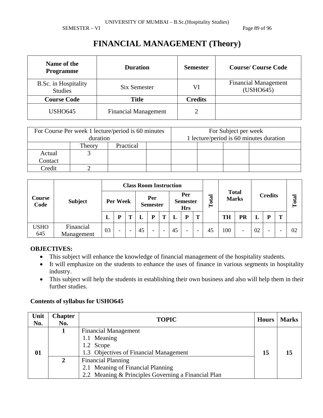SEMESTER – VI Page 89 of 96

## **FINANCIAL MANAGEMENT (Theory)**

| Name of the<br><b>Programme</b>        | <b>Duration</b>             | <b>Semester</b> | <b>Course/Course Code</b>                |
|----------------------------------------|-----------------------------|-----------------|------------------------------------------|
| B.Sc. in Hospitality<br><b>Studies</b> | Six Semester                | VI              | <b>Financial Management</b><br>(USHO645) |
| <b>Course Code</b>                     | <b>Title</b>                | <b>Credits</b>  |                                          |
| <b>USHO645</b>                         | <b>Financial Management</b> |                 |                                          |

|         | duration | For Course Per week 1 lecture/period is 60 minutes | For Subject per week<br>1 lecture/period is 60 minutes duration |  |  |  |  |
|---------|----------|----------------------------------------------------|-----------------------------------------------------------------|--|--|--|--|
|         | Theory   | Practical                                          |                                                                 |  |  |  |  |
| Actual  |          |                                                    |                                                                 |  |  |  |  |
| Contact |          |                                                    |                                                                 |  |  |  |  |
| Credit  |          |                                                    |                                                                 |  |  |  |  |

|                    |                         |          | <b>Class Room Instruction</b> |                        |    |                                      |                          |       |                              |                          |                |           |                          |    |                          |   |    |
|--------------------|-------------------------|----------|-------------------------------|------------------------|----|--------------------------------------|--------------------------|-------|------------------------------|--------------------------|----------------|-----------|--------------------------|----|--------------------------|---|----|
| Course<br>Code     | <b>Subject</b>          | Per Week |                               | Per<br><b>Semester</b> |    | Per<br><b>Semester</b><br><b>Hrs</b> |                          | Total | <b>Total</b><br><b>Marks</b> |                          | <b>Credits</b> |           | Total                    |    |                          |   |    |
|                    |                         | L        | D                             | m                      |    | Þ                                    | т                        |       | P                            | T                        |                | <b>TH</b> | <b>PR</b>                | L  |                          | т |    |
| <b>USHO</b><br>645 | Financial<br>Management | 03       | $\overline{\phantom{0}}$      |                        | 45 | $\overline{\phantom{0}}$             | $\overline{\phantom{0}}$ | 45    | $\overline{\phantom{a}}$     | $\overline{\phantom{a}}$ | 45             | 100       | $\overline{\phantom{a}}$ | 02 | $\overline{\phantom{0}}$ |   | 02 |

### **OBJECTIVES:**

- This subject will enhance the knowledge of financial management of the hospitality students.
- It will emphasize on the students to enhance the uses of finance in various segments in hospitality industry.
- This subject will help the students in establishing their own business and also will help them in their further studies.

| Unit<br>No. | <b>Chapter</b><br>No. | <b>TOPIC</b>                                        | <b>Hours</b> | <b>Marks</b> |
|-------------|-----------------------|-----------------------------------------------------|--------------|--------------|
|             |                       | <b>Financial Management</b>                         |              |              |
|             |                       | 1.1 Meaning                                         |              |              |
|             |                       | 1.2 Scope                                           |              |              |
| 01          |                       | 1.3 Objectives of Financial Management              | 15           | 15           |
|             |                       | <b>Financial Planning</b>                           |              |              |
|             |                       | 2.1 Meaning of Financial Planning                   |              |              |
|             |                       | 2.2 Meaning & Principles Governing a Financial Plan |              |              |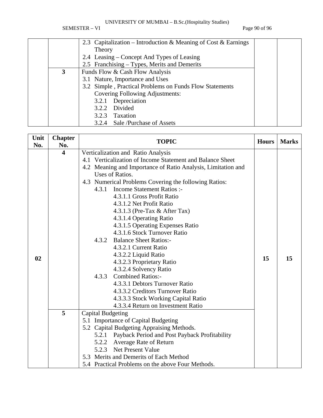SEMESTER – VI Page 90 of 96

|   | 2.3 Capitalization – Introduction & Meaning of Cost & Earnings |  |
|---|----------------------------------------------------------------|--|
|   | Theory                                                         |  |
|   | 2.4 Leasing – Concept And Types of Leasing                     |  |
|   | 2.5 Franchising – Types, Merits and Demerits                   |  |
| 3 | Funds Flow & Cash Flow Analysis                                |  |
|   | 3.1 Nature, Importance and Uses                                |  |
|   | 3.2 Simple, Practical Problems on Funds Flow Statements        |  |
|   | Covering Following Adjustments:                                |  |
|   | 3.2.1 Depreciation                                             |  |
|   | Divided<br>3.2.2                                               |  |
|   | Taxation<br>3.2.3                                              |  |
|   | 3.2.4 Sale /Purchase of Assets                                 |  |

| Unit | <b>Chapter</b>          | <b>Hours</b>                                                 | <b>Marks</b> |    |
|------|-------------------------|--------------------------------------------------------------|--------------|----|
| No.  | No.                     |                                                              |              |    |
|      | $\overline{\mathbf{4}}$ | Verticalization and Ratio Analysis                           |              |    |
|      |                         | 4.1 Verticalization of Income Statement and Balance Sheet    |              |    |
|      |                         | 4.2 Meaning and Importance of Ratio Analysis, Limitation and |              |    |
|      |                         | Uses of Ratios.                                              |              |    |
|      |                         | 4.3 Numerical Problems Covering the following Ratios:        |              |    |
|      |                         | <b>Income Statement Ratios:-</b><br>4.3.1                    |              |    |
|      |                         | 4.3.1.1 Gross Profit Ratio                                   |              |    |
|      |                         | 4.3.1.2 Net Profit Ratio                                     |              |    |
|      |                         | 4.3.1.3 (Pre-Tax $&$ After Tax)                              |              |    |
|      |                         | 4.3.1.4 Operating Ratio                                      |              |    |
|      |                         | 4.3.1.5 Operating Expenses Ratio                             |              |    |
|      |                         | 4.3.1.6 Stock Turnover Ratio                                 |              |    |
|      |                         | <b>Balance Sheet Ratios:-</b><br>4.3.2                       |              |    |
|      |                         | 4.3.2.1 Current Ratio                                        |              |    |
| 02   |                         | 4.3.2.2 Liquid Ratio                                         | 15           | 15 |
|      |                         | 4.3.2.3 Proprietary Ratio                                    |              |    |
|      |                         | 4.3.2.4 Solvency Ratio                                       |              |    |
|      |                         | <b>Combined Ratios:-</b><br>4.3.3                            |              |    |
|      |                         | 4.3.3.1 Debtors Turnover Ratio                               |              |    |
|      |                         | 4.3.3.2 Creditors Turnover Ratio                             |              |    |
|      |                         | 4.3.3.3 Stock Working Capital Ratio                          |              |    |
|      |                         | 4.3.3.4 Return on Investment Ratio                           |              |    |
|      | 5                       | <b>Capital Budgeting</b>                                     |              |    |
|      |                         | 5.1 Importance of Capital Budgeting                          |              |    |
|      |                         | 5.2 Capital Budgeting Appraising Methods.                    |              |    |
|      |                         | 5.2.1 Payback Period and Post Payback Profitability          |              |    |
|      |                         | 5.2.2 Average Rate of Return                                 |              |    |
|      |                         | 5.2.3 Net Present Value                                      |              |    |
|      |                         | 5.3 Merits and Demerits of Each Method                       |              |    |
|      |                         | 5.4 Practical Problems on the above Four Methods.            |              |    |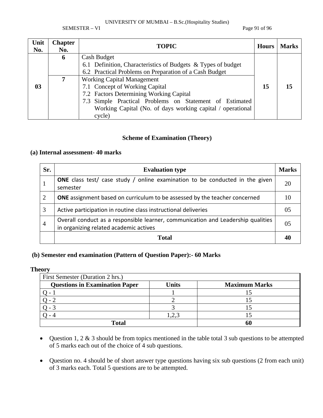SEMESTER – VI Page 91 of 96

| Unit<br>No.    | <b>Chapter</b><br>No. | <b>TOPIC</b>                                                                                                           | <b>Hours</b> | <b>Marks</b> |
|----------------|-----------------------|------------------------------------------------------------------------------------------------------------------------|--------------|--------------|
|                | 6                     | Cash Budget                                                                                                            |              |              |
|                |                       | 6.1 Definition, Characteristics of Budgets & Types of budget<br>6.2 Practical Problems on Preparation of a Cash Budget |              |              |
|                |                       | <b>Working Capital Management</b>                                                                                      |              |              |
| 0 <sub>3</sub> |                       | 7.1 Concept of Working Capital                                                                                         | 15           | 15           |
|                |                       | 7.2 Factors Determining Working Capital                                                                                |              |              |
|                |                       | 7.3 Simple Practical Problems on Statement of Estimated                                                                |              |              |
|                |                       | Working Capital (No. of days working capital / operational                                                             |              |              |
|                |                       | cycle)                                                                                                                 |              |              |

#### **Scheme of Examination (Theory)**

#### **(a) Internal assessment- 40 marks**

| Sr.            | <b>Evaluation type</b>                                                                                                     | <b>Marks</b>   |
|----------------|----------------------------------------------------------------------------------------------------------------------------|----------------|
|                | <b>ONE</b> class test/ case study / online examination to be conducted in the given<br>semester                            | 20             |
| 2              | <b>ONE</b> assignment based on curriculum to be assessed by the teacher concerned                                          | 10             |
| 3              | Active participation in routine class instructional deliveries                                                             | 05             |
| $\overline{4}$ | Overall conduct as a responsible learner, communication and Leadership qualities<br>in organizing related academic actives | 0 <sub>5</sub> |
|                | Total                                                                                                                      |                |

## **(b) Semester end examination (Pattern of Question Paper):- 60 Marks**

| <b>Theory</b>                         |              |                      |
|---------------------------------------|--------------|----------------------|
| First Semester (Duration 2 hrs.)      |              |                      |
| <b>Questions in Examination Paper</b> | <b>Units</b> | <b>Maximum Marks</b> |
|                                       |              |                      |
|                                       |              |                      |
|                                       |              |                      |
|                                       | 2,3          |                      |
| <b>Total</b>                          |              |                      |

- Question 1, 2 & 3 should be from topics mentioned in the table total 3 sub questions to be attempted of 5 marks each out of the choice of 4 sub questions.
- Question no. 4 should be of short answer type questions having six sub questions (2 from each unit) of 3 marks each. Total 5 questions are to be attempted.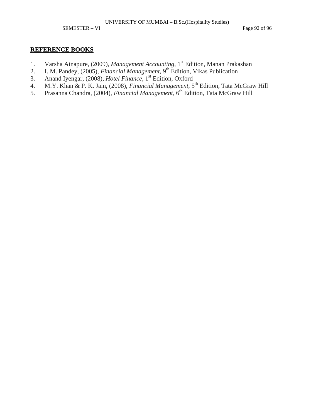SEMESTER – VI Page 92 of 96

- 1. Varsha Ainapure, (2009), *Management Accounting*, 1st Edition, Manan Prakashan
- 2. I. M. Pandey, (2005), *Financial Management*, 9<sup>th</sup> Edition, Vikas Publication
- 3. Anand Iyengar, (2008), *Hotel Finance*, 1st Edition, Oxford
- 4. M.Y. Khan & P. K. Jain, (2008), *Financial Management*, 5<sup>th</sup> Edition, Tata McGraw Hill
- 5. Prasanna Chandra, (2004), *Financial Management*, 6<sup>th</sup> Edition, Tata McGraw Hill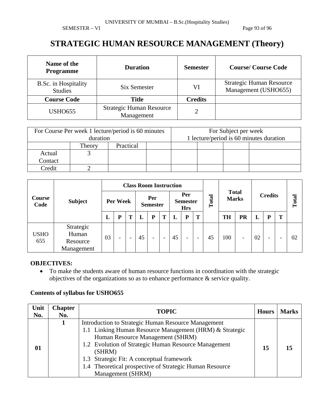SEMESTER – VI Page 93 of 96

## **STRATEGIC HUMAN RESOURCE MANAGEMENT (Theory)**

| Name of the<br><b>Programme</b>        | <b>Duration</b>                               | <b>Semester</b> | <b>Course/Course Code</b>                               |
|----------------------------------------|-----------------------------------------------|-----------------|---------------------------------------------------------|
| B.Sc. in Hospitality<br><b>Studies</b> | Six Semester                                  | VI              | <b>Strategic Human Resource</b><br>Management (USHO655) |
| <b>Course Code</b>                     | Title                                         | <b>Credits</b>  |                                                         |
| <b>USHO655</b>                         | <b>Strategic Human Resource</b><br>Management | っ               |                                                         |

| For Course Per week 1 lecture/period is 60 minutes<br>duration |        |           |  |  | For Subject per week<br>1 lecture/period is 60 minutes duration |  |  |  |
|----------------------------------------------------------------|--------|-----------|--|--|-----------------------------------------------------------------|--|--|--|
|                                                                | Theory | Practical |  |  |                                                                 |  |  |  |
| Actual                                                         |        |           |  |  |                                                                 |  |  |  |
| Contact                                                        |        |           |  |  |                                                                 |  |  |  |
| Credit                                                         |        |           |  |  |                                                                 |  |  |  |

|                |                                              | <b>Class Room Instruction</b> |                          |                          |                        |                          |                                      |    |                          |                          |                              |           |                |    |       |   |    |
|----------------|----------------------------------------------|-------------------------------|--------------------------|--------------------------|------------------------|--------------------------|--------------------------------------|----|--------------------------|--------------------------|------------------------------|-----------|----------------|----|-------|---|----|
| Course<br>Code | <b>Subject</b>                               | Per Week                      |                          |                          | Per<br><b>Semester</b> |                          | Per<br><b>Semester</b><br><b>Hrs</b> |    | Total                    |                          | <b>Total</b><br><b>Marks</b> |           | <b>Credits</b> |    | Total |   |    |
|                |                                              | L                             | D                        |                          | L                      | P                        | Т                                    | L  | ${\bf P}$                | T                        |                              | <b>TH</b> | PR             | L  | Þ     | T |    |
| USHO<br>655    | Strategic<br>Human<br>Resource<br>Management | 03                            | $\overline{\phantom{a}}$ | $\overline{\phantom{0}}$ | 45                     | $\overline{\phantom{0}}$ | $\overline{\phantom{a}}$             | 45 | $\overline{\phantom{a}}$ | $\overline{\phantom{a}}$ | 45                           | 100       | -              | 02 | -     |   | 02 |

#### **OBJECTIVES:**

• To make the students aware of human resource functions in coordination with the strategic objectives of the organizations so as to enhance performance & service quality.

| Unit<br>No. | <b>Chapter</b><br>No. | <b>TOPIC</b>                                                                                                                                                                                                                                                                                                                                      | <b>Hours</b> | <b>Marks</b> |
|-------------|-----------------------|---------------------------------------------------------------------------------------------------------------------------------------------------------------------------------------------------------------------------------------------------------------------------------------------------------------------------------------------------|--------------|--------------|
| 01          |                       | Introduction to Strategic Human Resource Management<br>1.1 Linking Human Resource Management (HRM) & Strategic<br>Human Resource Management (SHRM)<br>1.2 Evolution of Strategic Human Resource Management<br>(SHRM)<br>1.3 Strategic Fit: A conceptual framework<br>1.4 Theoretical prospective of Strategic Human Resource<br>Management (SHRM) | 15           |              |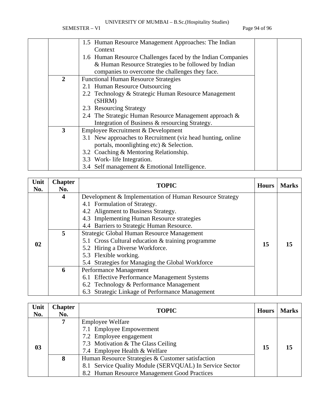SEMESTER – VI Page 94 of 96

|                                                             | 1.5 Human Resource Management Approaches: The Indian        |  |  |
|-------------------------------------------------------------|-------------------------------------------------------------|--|--|
|                                                             | Context                                                     |  |  |
| 1.6 Human Resource Challenges faced by the Indian Companies |                                                             |  |  |
| & Human Resource Strategies to be followed by Indian        |                                                             |  |  |
|                                                             | companies to overcome the challenges they face.             |  |  |
| 2                                                           | <b>Functional Human Resource Strategies</b>                 |  |  |
|                                                             | 2.1 Human Resource Outsourcing                              |  |  |
|                                                             | 2.2 Technology & Strategic Human Resource Management        |  |  |
|                                                             | (SHRM)                                                      |  |  |
|                                                             | 2.3 Resourcing Strategy                                     |  |  |
| 2.4 The Strategic Human Resource Management approach &      |                                                             |  |  |
|                                                             | Integration of Business & resourcing Strategy.              |  |  |
| 3                                                           | Employee Recruitment & Development                          |  |  |
|                                                             | 3.1 New approaches to Recruitment (viz head hunting, online |  |  |
|                                                             | portals, moonlighting etc) & Selection.                     |  |  |
|                                                             | 3.2 Coaching & Mentoring Relationship.                      |  |  |
|                                                             | 3.3 Work- life Integration.                                 |  |  |
|                                                             | 3.4 Self management & Emotional Intelligence.               |  |  |

| Unit<br>No. | <b>Chapter</b><br>No.   | <b>TOPIC</b>                                            | <b>Hours</b> | <b>Marks</b> |
|-------------|-------------------------|---------------------------------------------------------|--------------|--------------|
|             | $\overline{\mathbf{4}}$ | Development & Implementation of Human Resource Strategy |              |              |
|             |                         | 4.1 Formulation of Strategy.                            |              |              |
|             |                         | 4.2 Alignment to Business Strategy.                     |              |              |
|             |                         | 4.3 Implementing Human Resource strategies              |              |              |
|             |                         | 4.4 Barriers to Strategic Human Resource.               |              |              |
|             | 5                       | Strategic Global Human Resource Management              |              |              |
| 02          |                         | 5.1 Cross Cultural education & training programme       |              |              |
|             |                         | 5.2 Hiring a Diverse Workforce.                         | 15           | 15           |
|             |                         | 5.3 Flexible working.                                   |              |              |
|             |                         | 5.4 Strategies for Managing the Global Workforce        |              |              |
|             | 6                       | Performance Management                                  |              |              |
|             |                         | 6.1 Effective Performance Management Systems            |              |              |
|             |                         | 6.2 Technology & Performance Management                 |              |              |
|             |                         | 6.3 Strategic Linkage of Performance Management         |              |              |

| Unit<br>No. | <b>Chapter</b><br>No. | <b>TOPIC</b>                                                                                                                                                 | <b>Hours</b> | <b>Marks</b> |  |
|-------------|-----------------------|--------------------------------------------------------------------------------------------------------------------------------------------------------------|--------------|--------------|--|
| 03          | 7                     | <b>Employee Welfare</b><br>7.1 Employee Empowerment<br>7.2 Employee engagement<br>7.3 Motivation & The Glass Ceiling<br>7.4 Employee Health & Welfare        | 15           |              |  |
|             | 8                     | Human Resource Strategies & Customer satisfaction<br>8.1 Service Quality Module (SERVQUAL) In Service Sector<br>8.2 Human Resource Management Good Practices |              |              |  |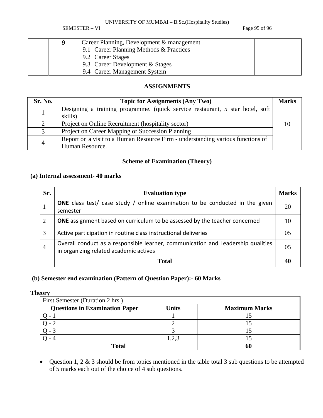SEMESTER – VI Page 95 of 96

|  | Career Planning, Development & management |  |
|--|-------------------------------------------|--|
|  | 9.1 Career Planning Methods & Practices   |  |
|  | 9.2 Career Stages                         |  |
|  | 9.3 Career Development $&$ Stages         |  |
|  | 9.4 Career Management System              |  |

### **ASSIGNMENTS**

| Sr. No. | <b>Topic for Assignments (Any Two)</b>                                                             |  |  |  |
|---------|----------------------------------------------------------------------------------------------------|--|--|--|
|         | Designing a training programme. (quick service restaurant, 5 star hotel, soft<br>skills)           |  |  |  |
|         | Project on Online Recruitment (hospitality sector)                                                 |  |  |  |
| 3       | Project on Career Mapping or Succession Planning                                                   |  |  |  |
| 4       | Report on a visit to a Human Resource Firm - understanding various functions of<br>Human Resource. |  |  |  |

## **Scheme of Examination (Theory)**

#### **(a) Internal assessment- 40 marks**

| Sr.            | <b>Evaluation type</b>                                                                                                     |                |  |
|----------------|----------------------------------------------------------------------------------------------------------------------------|----------------|--|
|                | <b>ONE</b> class test/ case study / online examination to be conducted in the given<br>semester                            | 20             |  |
| 2              | <b>ONE</b> assignment based on curriculum to be assessed by the teacher concerned                                          | 10             |  |
| 3              | Active participation in routine class instructional deliveries                                                             | 05             |  |
| $\overline{4}$ | Overall conduct as a responsible learner, communication and Leadership qualities<br>in organizing related academic actives | 0 <sub>5</sub> |  |
|                | Total                                                                                                                      | 40             |  |

#### **(b) Semester end examination (Pattern of Question Paper):- 60 Marks**

#### **Theory**

| First Semester (Duration 2 hrs.)                                       |      |  |  |  |  |  |
|------------------------------------------------------------------------|------|--|--|--|--|--|
| <b>Questions in Examination Paper</b><br>Units<br><b>Maximum Marks</b> |      |  |  |  |  |  |
|                                                                        |      |  |  |  |  |  |
|                                                                        |      |  |  |  |  |  |
|                                                                        |      |  |  |  |  |  |
|                                                                        | .2.3 |  |  |  |  |  |
| Total                                                                  |      |  |  |  |  |  |

• Question 1, 2 & 3 should be from topics mentioned in the table total 3 sub questions to be attempted of 5 marks each out of the choice of 4 sub questions.